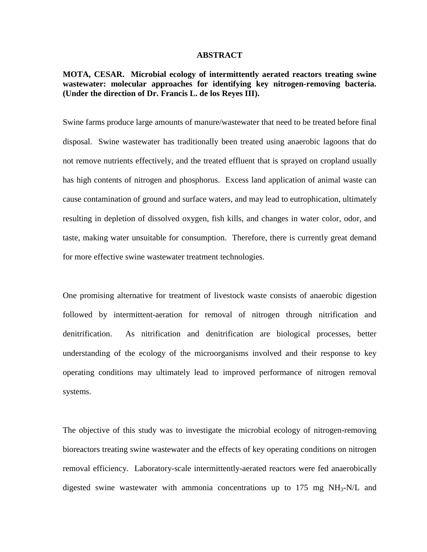#### **ABSTRACT**

**MOTA, CESAR. Microbial ecology of intermittently aerated reactors treating swine wastewater: molecular approaches for identifying key nitrogen-removing bacteria. (Under the direction of Dr. Francis L. de los Reyes III).**

Swine farms produce large amounts of manure/wastewater that need to be treated before final disposal. Swine wastewater has traditionally been treated using anaerobic lagoons that do not remove nutrients effectively, and the treated effluent that is sprayed on cropland usually has high contents of nitrogen and phosphorus. Excess land application of animal waste can cause contamination of ground and surface waters, and may lead to eutrophication, ultimately resulting in depletion of dissolved oxygen, fish kills, and changes in water color, odor, and taste, making water unsuitable for consumption. Therefore, there is currently great demand for more effective swine wastewater treatment technologies.

One promising alternative for treatment of livestock waste consists of anaerobic digestion followed by intermittent-aeration for removal of nitrogen through nitrification and denitrification. As nitrification and denitrification are biological processes, better understanding of the ecology of the microorganisms involved and their response to key operating conditions may ultimately lead to improved performance of nitrogen removal systems.

The objective of this study was to investigate the microbial ecology of nitrogen-removing bioreactors treating swine wastewater and the effects of key operating conditions on nitrogen removal efficiency. Laboratory-scale intermittently-aerated reactors were fed anaerobically digested swine wastewater with ammonia concentrations up to  $175 \text{ mg NH}_3\text{-}N/L$  and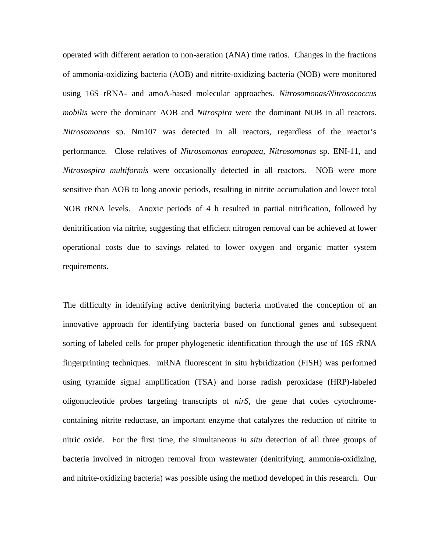operated with different aeration to non-aeration (ANA) time ratios. Changes in the fractions of ammonia-oxidizing bacteria (AOB) and nitrite-oxidizing bacteria (NOB) were monitored using 16S rRNA- and amoA-based molecular approaches. *Nitrosomonas/Nitrosococcus mobilis* were the dominant AOB and *Nitrospira* were the dominant NOB in all reactors. *Nitrosomonas* sp. Nm107 was detected in all reactors, regardless of the reactor's performance. Close relatives of *Nitrosomonas europaea, Nitrosomonas* sp. ENI-11, and *Nitrosospira multiformis* were occasionally detected in all reactors. NOB were more sensitive than AOB to long anoxic periods, resulting in nitrite accumulation and lower total NOB rRNA levels. Anoxic periods of 4 h resulted in partial nitrification, followed by denitrification via nitrite, suggesting that efficient nitrogen removal can be achieved at lower operational costs due to savings related to lower oxygen and organic matter system requirements.

The difficulty in identifying active denitrifying bacteria motivated the conception of an innovative approach for identifying bacteria based on functional genes and subsequent sorting of labeled cells for proper phylogenetic identification through the use of 16S rRNA fingerprinting techniques. mRNA fluorescent in situ hybridization (FISH) was performed using tyramide signal amplification (TSA) and horse radish peroxidase (HRP)-labeled oligonucleotide probes targeting transcripts of *nirS*, the gene that codes cytochromecontaining nitrite reductase, an important enzyme that catalyzes the reduction of nitrite to nitric oxide. For the first time, the simultaneous *in situ* detection of all three groups of bacteria involved in nitrogen removal from wastewater (denitrifying, ammonia-oxidizing, and nitrite-oxidizing bacteria) was possible using the method developed in this research. Our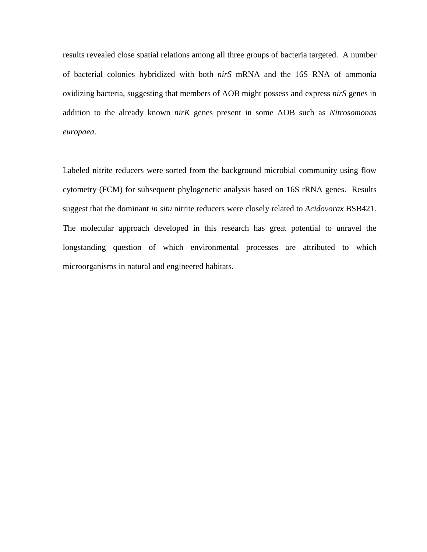results revealed close spatial relations among all three groups of bacteria targeted. A number of bacterial colonies hybridized with both *nirS* mRNA and the 16S RNA of ammonia oxidizing bacteria, suggesting that members of AOB might possess and express *nirS* genes in addition to the already known *nirK* genes present in some AOB such as *Nitrosomonas europaea*.

Labeled nitrite reducers were sorted from the background microbial community using flow cytometry (FCM) for subsequent phylogenetic analysis based on 16S rRNA genes. Results suggest that the dominant *in situ* nitrite reducers were closely related to *Acidovorax* BSB421. The molecular approach developed in this research has great potential to unravel the longstanding question of which environmental processes are attributed to which microorganisms in natural and engineered habitats.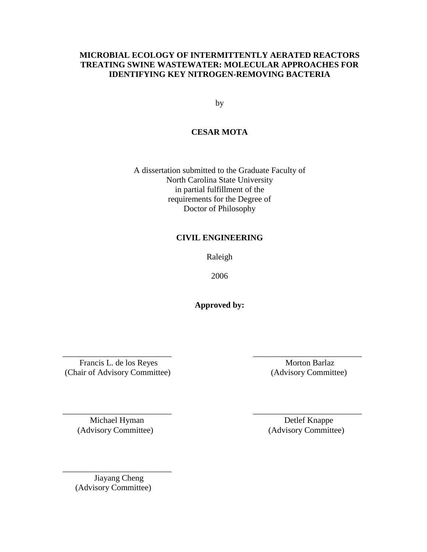## **MICROBIAL ECOLOGY OF INTERMITTENTLY AERATED REACTORS TREATING SWINE WASTEWATER: MOLECULAR APPROACHES FOR IDENTIFYING KEY NITROGEN-REMOVING BACTERIA**

by

## **CESAR MOTA**

A dissertation submitted to the Graduate Faculty of North Carolina State University in partial fulfillment of the requirements for the Degree of Doctor of Philosophy

## **CIVIL ENGINEERING**

Raleigh

2006

**Approved by:** 

\_\_\_\_\_\_\_\_\_\_\_\_\_\_\_\_\_\_\_\_\_\_\_\_\_\_ \_\_\_\_\_\_\_\_\_\_\_\_\_\_\_\_\_\_\_\_\_\_\_\_\_\_

\_\_\_\_\_\_\_\_\_\_\_\_\_\_\_\_\_\_\_\_\_\_\_\_\_\_ \_\_\_\_\_\_\_\_\_\_\_\_\_\_\_\_\_\_\_\_\_\_\_\_\_\_

Francis L. de los Reyes Morton Barlaz (Chair of Advisory Committee) (Advisory Committee)

Michael Hyman Detlef Knappe (Advisory Committee) (Advisory Committee)

 Jiayang Cheng (Advisory Committee)

\_\_\_\_\_\_\_\_\_\_\_\_\_\_\_\_\_\_\_\_\_\_\_\_\_\_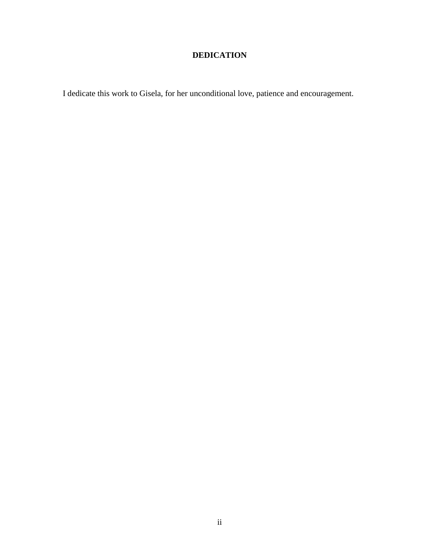## **DEDICATION**

I dedicate this work to Gisela, for her unconditional love, patience and encouragement.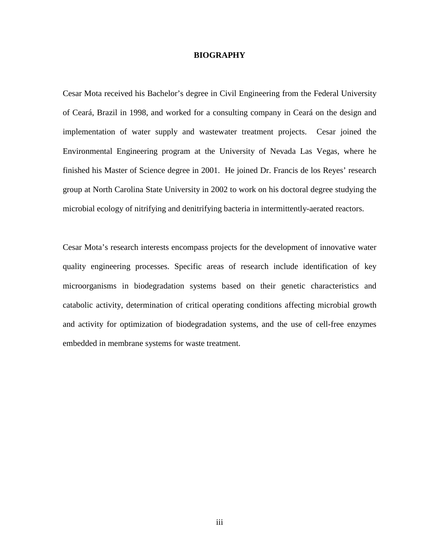#### **BIOGRAPHY**

Cesar Mota received his Bachelor's degree in Civil Engineering from the Federal University of Ceará, Brazil in 1998, and worked for a consulting company in Ceará on the design and implementation of water supply and wastewater treatment projects. Cesar joined the Environmental Engineering program at the University of Nevada Las Vegas, where he finished his Master of Science degree in 2001. He joined Dr. Francis de los Reyes' research group at North Carolina State University in 2002 to work on his doctoral degree studying the microbial ecology of nitrifying and denitrifying bacteria in intermittently-aerated reactors.

Cesar Mota's research interests encompass projects for the development of innovative water quality engineering processes. Specific areas of research include identification of key microorganisms in biodegradation systems based on their genetic characteristics and catabolic activity, determination of critical operating conditions affecting microbial growth and activity for optimization of biodegradation systems, and the use of cell-free enzymes embedded in membrane systems for waste treatment.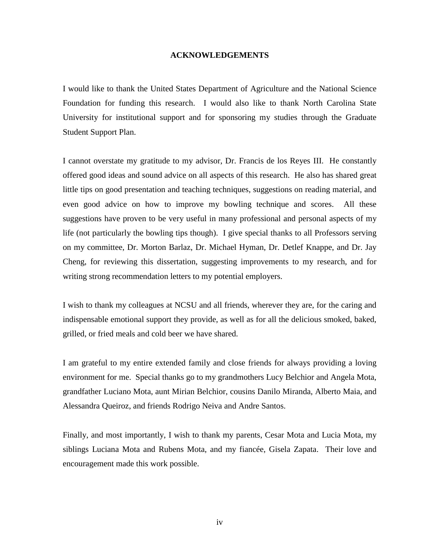#### **ACKNOWLEDGEMENTS**

I would like to thank the United States Department of Agriculture and the National Science Foundation for funding this research. I would also like to thank North Carolina State University for institutional support and for sponsoring my studies through the Graduate Student Support Plan.

I cannot overstate my gratitude to my advisor, Dr. Francis de los Reyes III. He constantly offered good ideas and sound advice on all aspects of this research. He also has shared great little tips on good presentation and teaching techniques, suggestions on reading material, and even good advice on how to improve my bowling technique and scores. All these suggestions have proven to be very useful in many professional and personal aspects of my life (not particularly the bowling tips though). I give special thanks to all Professors serving on my committee, Dr. Morton Barlaz, Dr. Michael Hyman, Dr. Detlef Knappe, and Dr. Jay Cheng, for reviewing this dissertation, suggesting improvements to my research, and for writing strong recommendation letters to my potential employers.

I wish to thank my colleagues at NCSU and all friends, wherever they are, for the caring and indispensable emotional support they provide, as well as for all the delicious smoked, baked, grilled, or fried meals and cold beer we have shared.

I am grateful to my entire extended family and close friends for always providing a loving environment for me. Special thanks go to my grandmothers Lucy Belchior and Angela Mota, grandfather Luciano Mota, aunt Mirian Belchior, cousins Danilo Miranda, Alberto Maia, and Alessandra Queiroz, and friends Rodrigo Neiva and Andre Santos.

Finally, and most importantly, I wish to thank my parents, Cesar Mota and Lucia Mota, my siblings Luciana Mota and Rubens Mota, and my fiancée, Gisela Zapata. Their love and encouragement made this work possible.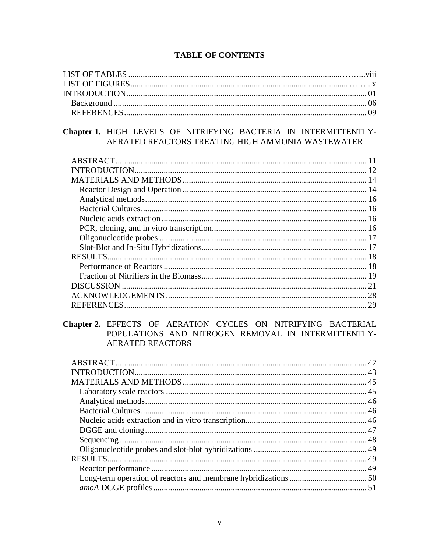## **TABLE OF CONTENTS**

## Chapter 1. HIGH LEVELS OF NITRIFYING BACTERIA IN INTERMITTENTLY-AERATED REACTORS TREATING HIGH AMMONIA WASTEWATER

| 28 |
|----|
|    |

## Chapter 2. EFFECTS OF AERATION CYCLES ON NITRIFYING BACTERIAL POPULATIONS AND NITROGEN REMOVAL IN INTERMITTENTLY-**AERATED REACTORS**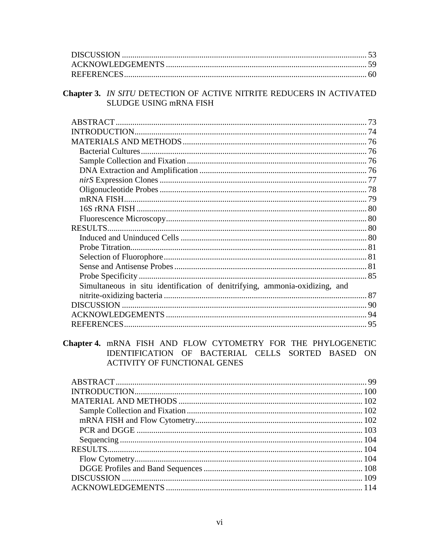## Chapter 3. IN SITU DETECTION OF ACTIVE NITRITE REDUCERS IN ACTIVATED SLUDGE USING mRNA FISH

## Chapter 4. mRNA FISH AND FLOW CYTOMETRY FOR THE PHYLOGENETIC IDENTIFICATION OF BACTERIAL CELLS SORTED BASED ON ACTIVITY OF FUNCTIONAL GENES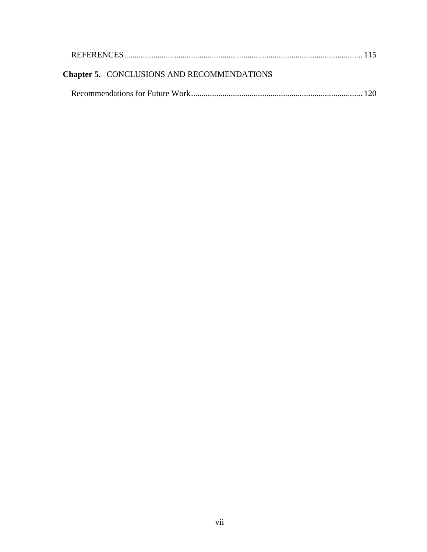| <b>Chapter 5. CONCLUSIONS AND RECOMMENDATIONS</b> |  |
|---------------------------------------------------|--|
|                                                   |  |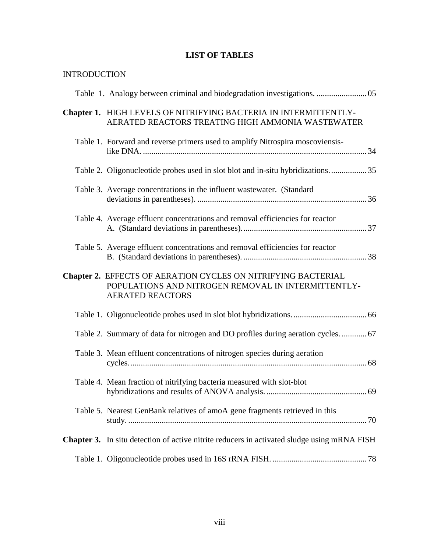# **LIST OF TABLES**

# INTRODUCTION

| Table 1. Analogy between criminal and biodegradation investigations.  05                                                                        |  |  |
|-------------------------------------------------------------------------------------------------------------------------------------------------|--|--|
| Chapter 1. HIGH LEVELS OF NITRIFYING BACTERIA IN INTERMITTENTLY-<br>AERATED REACTORS TREATING HIGH AMMONIA WASTEWATER                           |  |  |
| Table 1. Forward and reverse primers used to amplify Nitrospira moscoviensis-                                                                   |  |  |
|                                                                                                                                                 |  |  |
| Table 3. Average concentrations in the influent wastewater. (Standard                                                                           |  |  |
| Table 4. Average effluent concentrations and removal efficiencies for reactor                                                                   |  |  |
| Table 5. Average effluent concentrations and removal efficiencies for reactor                                                                   |  |  |
| Chapter 2. EFFECTS OF AERATION CYCLES ON NITRIFYING BACTERIAL<br>POPULATIONS AND NITROGEN REMOVAL IN INTERMITTENTLY-<br><b>AERATED REACTORS</b> |  |  |
|                                                                                                                                                 |  |  |
| Table 2. Summary of data for nitrogen and DO profiles during aeration cycles 67                                                                 |  |  |
| Table 3. Mean effluent concentrations of nitrogen species during aeration                                                                       |  |  |
| Table 4. Mean fraction of nitrifying bacteria measured with slot-blot                                                                           |  |  |
| Table 5. Nearest GenBank relatives of amoA gene fragments retrieved in this                                                                     |  |  |
| Chapter 3. In situ detection of active nitrite reducers in activated sludge using mRNA FISH                                                     |  |  |
|                                                                                                                                                 |  |  |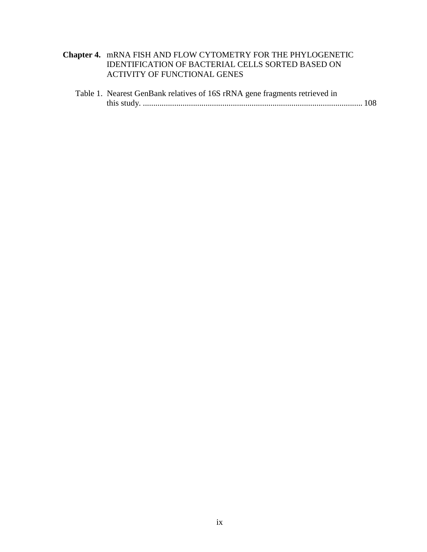## **Chapter 4.** mRNA FISH AND FLOW CYTOMETRY FOR THE PHYLOGENETIC IDENTIFICATION OF BACTERIAL CELLS SORTED BASED ON ACTIVITY OF FUNCTIONAL GENES

| Table 1. Nearest GenBank relatives of 16S rRNA gene fragments retrieved in |  |
|----------------------------------------------------------------------------|--|
|                                                                            |  |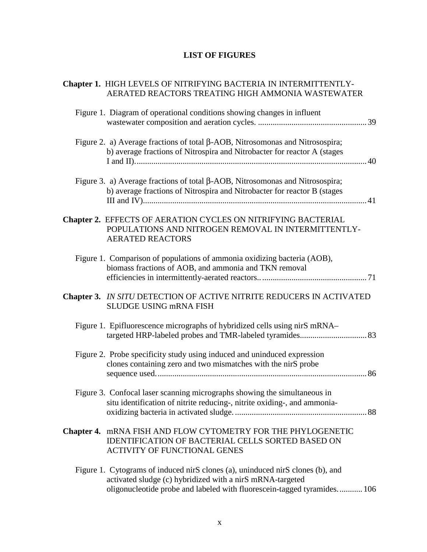# **LIST OF FIGURES**

| Chapter 1. HIGH LEVELS OF NITRIFYING BACTERIA IN INTERMITTENTLY-<br>AERATED REACTORS TREATING HIGH AMMONIA WASTEWATER                                                                                                  |
|------------------------------------------------------------------------------------------------------------------------------------------------------------------------------------------------------------------------|
| Figure 1. Diagram of operational conditions showing changes in influent                                                                                                                                                |
| Figure 2. a) Average fractions of total $\beta$ -AOB, Nitrosomonas and Nitrosospira;<br>b) average fractions of Nitrospira and Nitrobacter for reactor A (stages                                                       |
| Figure 3. a) Average fractions of total $\beta$ -AOB, Nitrosomonas and Nitrosospira;<br>b) average fractions of Nitrospira and Nitrobacter for reactor B (stages                                                       |
| Chapter 2. EFFECTS OF AERATION CYCLES ON NITRIFYING BACTERIAL<br>POPULATIONS AND NITROGEN REMOVAL IN INTERMITTENTLY-<br><b>AERATED REACTORS</b>                                                                        |
| Figure 1. Comparison of populations of ammonia oxidizing bacteria (AOB),<br>biomass fractions of AOB, and ammonia and TKN removal                                                                                      |
| Chapter 3. IN SITU DETECTION OF ACTIVE NITRITE REDUCERS IN ACTIVATED<br>SLUDGE USING mRNA FISH                                                                                                                         |
| Figure 1. Epifluorescence micrographs of hybridized cells using nirS mRNA-                                                                                                                                             |
| Figure 2. Probe specificity study using induced and uninduced expression<br>clones containing zero and two mismatches with the nirS probe                                                                              |
| Figure 3. Confocal laser scanning micrographs showing the simultaneous in<br>situ identification of nitrite reducing-, nitrite oxiding-, and ammonia-                                                                  |
| Chapter 4. mRNA FISH AND FLOW CYTOMETRY FOR THE PHYLOGENETIC<br><b>IDENTIFICATION OF BACTERIAL CELLS SORTED BASED ON</b><br><b>ACTIVITY OF FUNCTIONAL GENES</b>                                                        |
| Figure 1. Cytograms of induced nirS clones (a), uninduced nirS clones (b), and<br>activated sludge (c) hybridized with a nirS mRNA-targeted<br>oligonucleotide probe and labeled with fluorescein-tagged tyramides 106 |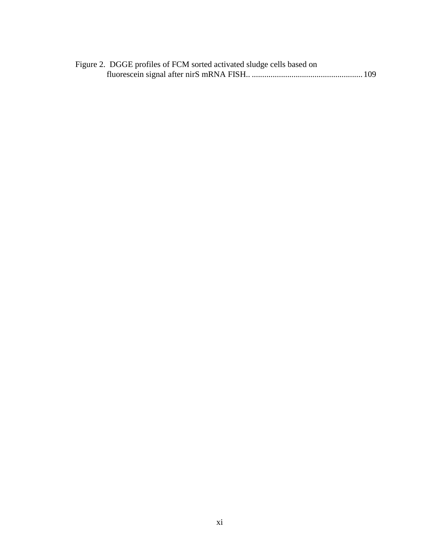| Figure 2. DGGE profiles of FCM sorted activated sludge cells based on |  |
|-----------------------------------------------------------------------|--|
|                                                                       |  |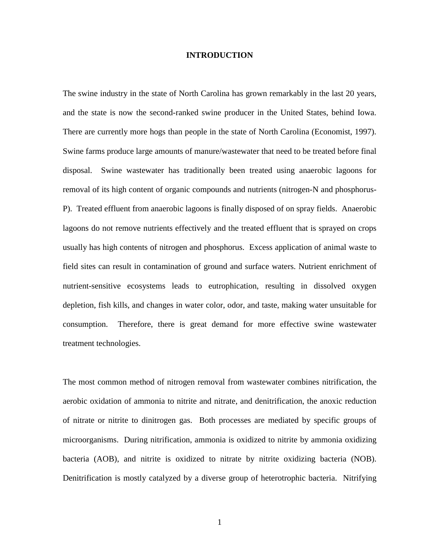#### **INTRODUCTION**

The swine industry in the state of North Carolina has grown remarkably in the last 20 years, and the state is now the second-ranked swine producer in the United States, behind Iowa. There are currently more hogs than people in the state of North Carolina (Economist, 1997). Swine farms produce large amounts of manure/wastewater that need to be treated before final disposal. Swine wastewater has traditionally been treated using anaerobic lagoons for removal of its high content of organic compounds and nutrients (nitrogen-N and phosphorus-P). Treated effluent from anaerobic lagoons is finally disposed of on spray fields. Anaerobic lagoons do not remove nutrients effectively and the treated effluent that is sprayed on crops usually has high contents of nitrogen and phosphorus. Excess application of animal waste to field sites can result in contamination of ground and surface waters. Nutrient enrichment of nutrient-sensitive ecosystems leads to eutrophication, resulting in dissolved oxygen depletion, fish kills, and changes in water color, odor, and taste, making water unsuitable for consumption. Therefore, there is great demand for more effective swine wastewater treatment technologies.

The most common method of nitrogen removal from wastewater combines nitrification, the aerobic oxidation of ammonia to nitrite and nitrate, and denitrification, the anoxic reduction of nitrate or nitrite to dinitrogen gas. Both processes are mediated by specific groups of microorganisms. During nitrification, ammonia is oxidized to nitrite by ammonia oxidizing bacteria (AOB), and nitrite is oxidized to nitrate by nitrite oxidizing bacteria (NOB). Denitrification is mostly catalyzed by a diverse group of heterotrophic bacteria. Nitrifying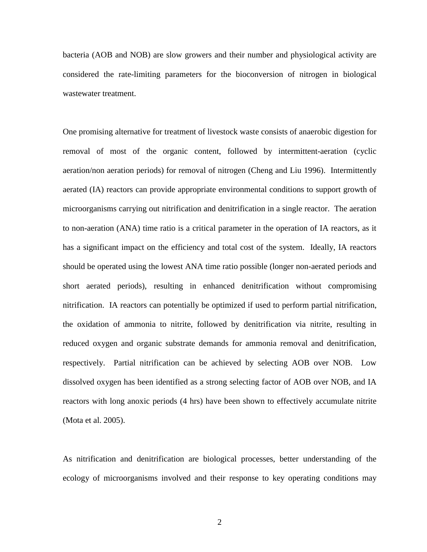bacteria (AOB and NOB) are slow growers and their number and physiological activity are considered the rate-limiting parameters for the bioconversion of nitrogen in biological wastewater treatment.

One promising alternative for treatment of livestock waste consists of anaerobic digestion for removal of most of the organic content, followed by intermittent-aeration (cyclic aeration/non aeration periods) for removal of nitrogen (Cheng and Liu 1996). Intermittently aerated (IA) reactors can provide appropriate environmental conditions to support growth of microorganisms carrying out nitrification and denitrification in a single reactor. The aeration to non-aeration (ANA) time ratio is a critical parameter in the operation of IA reactors, as it has a significant impact on the efficiency and total cost of the system. Ideally, IA reactors should be operated using the lowest ANA time ratio possible (longer non-aerated periods and short aerated periods), resulting in enhanced denitrification without compromising nitrification. IA reactors can potentially be optimized if used to perform partial nitrification, the oxidation of ammonia to nitrite, followed by denitrification via nitrite, resulting in reduced oxygen and organic substrate demands for ammonia removal and denitrification, respectively. Partial nitrification can be achieved by selecting AOB over NOB. Low dissolved oxygen has been identified as a strong selecting factor of AOB over NOB, and IA reactors with long anoxic periods (4 hrs) have been shown to effectively accumulate nitrite (Mota et al. 2005).

As nitrification and denitrification are biological processes, better understanding of the ecology of microorganisms involved and their response to key operating conditions may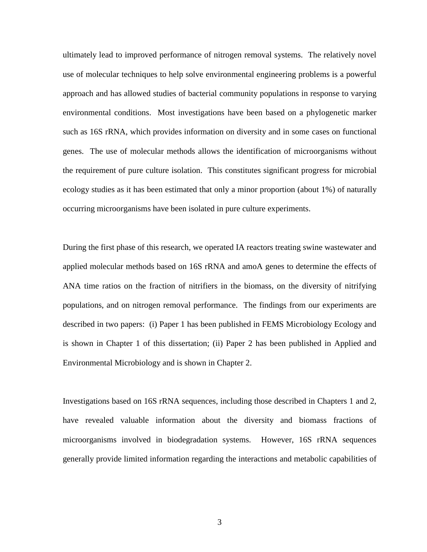ultimately lead to improved performance of nitrogen removal systems. The relatively novel use of molecular techniques to help solve environmental engineering problems is a powerful approach and has allowed studies of bacterial community populations in response to varying environmental conditions. Most investigations have been based on a phylogenetic marker such as 16S rRNA, which provides information on diversity and in some cases on functional genes. The use of molecular methods allows the identification of microorganisms without the requirement of pure culture isolation. This constitutes significant progress for microbial ecology studies as it has been estimated that only a minor proportion (about 1%) of naturally occurring microorganisms have been isolated in pure culture experiments.

During the first phase of this research, we operated IA reactors treating swine wastewater and applied molecular methods based on 16S rRNA and amoA genes to determine the effects of ANA time ratios on the fraction of nitrifiers in the biomass, on the diversity of nitrifying populations, and on nitrogen removal performance. The findings from our experiments are described in two papers: (i) Paper 1 has been published in FEMS Microbiology Ecology and is shown in Chapter 1 of this dissertation; (ii) Paper 2 has been published in Applied and Environmental Microbiology and is shown in Chapter 2.

Investigations based on 16S rRNA sequences, including those described in Chapters 1 and 2, have revealed valuable information about the diversity and biomass fractions of microorganisms involved in biodegradation systems. However, 16S rRNA sequences generally provide limited information regarding the interactions and metabolic capabilities of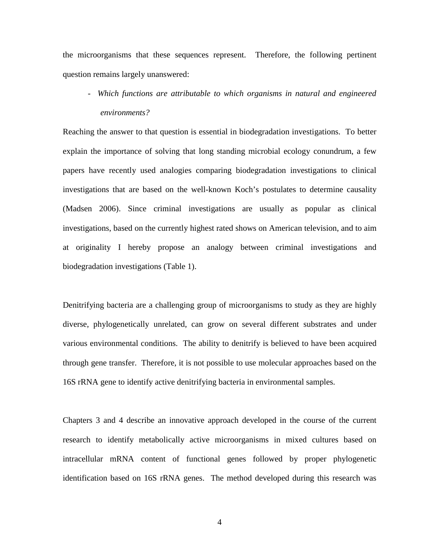the microorganisms that these sequences represent. Therefore, the following pertinent question remains largely unanswered:

*- Which functions are attributable to which organisms in natural and engineered environments?* 

Reaching the answer to that question is essential in biodegradation investigations. To better explain the importance of solving that long standing microbial ecology conundrum, a few papers have recently used analogies comparing biodegradation investigations to clinical investigations that are based on the well-known Koch's postulates to determine causality (Madsen 2006). Since criminal investigations are usually as popular as clinical investigations, based on the currently highest rated shows on American television, and to aim at originality I hereby propose an analogy between criminal investigations and biodegradation investigations (Table 1).

Denitrifying bacteria are a challenging group of microorganisms to study as they are highly diverse, phylogenetically unrelated, can grow on several different substrates and under various environmental conditions. The ability to denitrify is believed to have been acquired through gene transfer. Therefore, it is not possible to use molecular approaches based on the 16S rRNA gene to identify active denitrifying bacteria in environmental samples.

Chapters 3 and 4 describe an innovative approach developed in the course of the current research to identify metabolically active microorganisms in mixed cultures based on intracellular mRNA content of functional genes followed by proper phylogenetic identification based on 16S rRNA genes. The method developed during this research was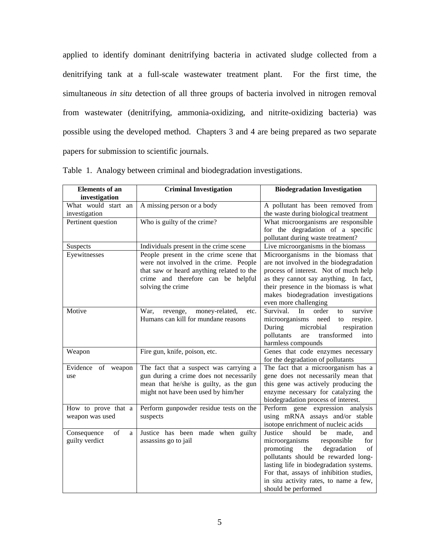applied to identify dominant denitrifying bacteria in activated sludge collected from a denitrifying tank at a full-scale wastewater treatment plant. For the first time, the simultaneous *in situ* detection of all three groups of bacteria involved in nitrogen removal from wastewater (denitrifying, ammonia-oxidizing, and nitrite-oxidizing bacteria) was possible using the developed method. Chapters 3 and 4 are being prepared as two separate papers for submission to scientific journals.

| <b>Elements</b> of an                    | <b>Criminal Investigation</b>                                                                                                                                                            | <b>Biodegradation Investigation</b>                                                                                                                                                                                                                                                                                    |
|------------------------------------------|------------------------------------------------------------------------------------------------------------------------------------------------------------------------------------------|------------------------------------------------------------------------------------------------------------------------------------------------------------------------------------------------------------------------------------------------------------------------------------------------------------------------|
| investigation                            |                                                                                                                                                                                          |                                                                                                                                                                                                                                                                                                                        |
| What would start an                      | A missing person or a body                                                                                                                                                               | A pollutant has been removed from                                                                                                                                                                                                                                                                                      |
| investigation                            |                                                                                                                                                                                          | the waste during biological treatment                                                                                                                                                                                                                                                                                  |
| Pertinent question                       | Who is guilty of the crime?                                                                                                                                                              | What microorganisms are responsible<br>for the degradation of a specific                                                                                                                                                                                                                                               |
|                                          |                                                                                                                                                                                          | pollutant during waste treatment?                                                                                                                                                                                                                                                                                      |
| Suspects                                 | Individuals present in the crime scene                                                                                                                                                   | Live microorganisms in the biomass                                                                                                                                                                                                                                                                                     |
| Eyewitnesses                             | People present in the crime scene that<br>were not involved in the crime. People<br>that saw or heard anything related to the<br>crime and therefore can be helpful<br>solving the crime | Microorganisms in the biomass that<br>are not involved in the biodegradation<br>process of interest. Not of much help<br>as they cannot say anything. In fact,<br>their presence in the biomass is what                                                                                                                |
|                                          |                                                                                                                                                                                          | makes biodegradation investigations<br>even more challenging                                                                                                                                                                                                                                                           |
| Motive                                   | War,<br>revenge,<br>money-related,<br>etc.<br>Humans can kill for mundane reasons                                                                                                        | order<br>Survival.<br>In<br>survive<br>to<br>microorganisms<br>respire.<br>need<br>to<br>respiration<br>During<br>microbial<br>transformed<br>pollutants<br>into<br>are<br>harmless compounds                                                                                                                          |
| Weapon                                   | Fire gun, knife, poison, etc.                                                                                                                                                            | Genes that code enzymes necessary<br>for the degradation of pollutants                                                                                                                                                                                                                                                 |
| Evidence<br>of<br>weapon<br>use          | The fact that a suspect was carrying a<br>gun during a crime does not necessarily<br>mean that he/she is guilty, as the gun<br>might not have been used by him/her                       | The fact that a microorganism has a<br>gene does not necessarily mean that<br>this gene was actively producing the<br>enzyme necessary for catalyzing the<br>biodegradation process of interest.                                                                                                                       |
| How to prove that a<br>weapon was used   | Perform gunpowder residue tests on the<br>suspects                                                                                                                                       | Perform gene expression analysis<br>using mRNA assays and/or stable<br>isotope enrichment of nucleic acids                                                                                                                                                                                                             |
| Consequence<br>of<br>a<br>guilty verdict | Justice has been made when guilty<br>assassins go to jail                                                                                                                                | Justice<br>should<br>made,<br>be<br>and<br>microorganisms<br>responsible<br>for<br>degradation<br>promoting<br>the<br>of<br>pollutants should be rewarded long-<br>lasting life in biodegradation systems.<br>For that, assays of inhibition studies,<br>in situ activity rates, to name a few,<br>should be performed |

Table 1. Analogy between criminal and biodegradation investigations.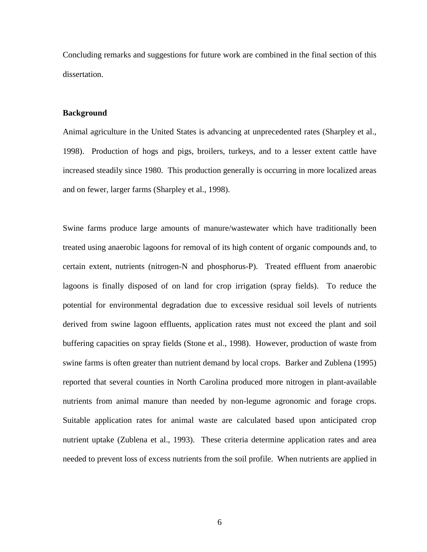Concluding remarks and suggestions for future work are combined in the final section of this dissertation.

#### **Background**

Animal agriculture in the United States is advancing at unprecedented rates (Sharpley et al., 1998). Production of hogs and pigs, broilers, turkeys, and to a lesser extent cattle have increased steadily since 1980. This production generally is occurring in more localized areas and on fewer, larger farms (Sharpley et al., 1998).

Swine farms produce large amounts of manure/wastewater which have traditionally been treated using anaerobic lagoons for removal of its high content of organic compounds and, to certain extent, nutrients (nitrogen-N and phosphorus-P). Treated effluent from anaerobic lagoons is finally disposed of on land for crop irrigation (spray fields). To reduce the potential for environmental degradation due to excessive residual soil levels of nutrients derived from swine lagoon effluents, application rates must not exceed the plant and soil buffering capacities on spray fields (Stone et al., 1998). However, production of waste from swine farms is often greater than nutrient demand by local crops. Barker and Zublena (1995) reported that several counties in North Carolina produced more nitrogen in plant-available nutrients from animal manure than needed by non-legume agronomic and forage crops. Suitable application rates for animal waste are calculated based upon anticipated crop nutrient uptake (Zublena et al., 1993). These criteria determine application rates and area needed to prevent loss of excess nutrients from the soil profile. When nutrients are applied in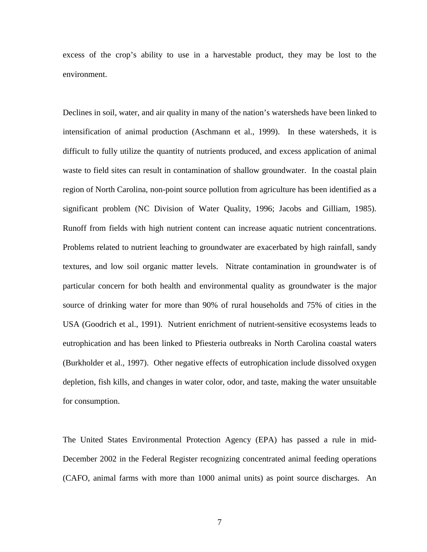excess of the crop's ability to use in a harvestable product, they may be lost to the environment.

Declines in soil, water, and air quality in many of the nation's watersheds have been linked to intensification of animal production (Aschmann et al., 1999). In these watersheds, it is difficult to fully utilize the quantity of nutrients produced, and excess application of animal waste to field sites can result in contamination of shallow groundwater. In the coastal plain region of North Carolina, non-point source pollution from agriculture has been identified as a significant problem (NC Division of Water Quality, 1996; Jacobs and Gilliam, 1985). Runoff from fields with high nutrient content can increase aquatic nutrient concentrations. Problems related to nutrient leaching to groundwater are exacerbated by high rainfall, sandy textures, and low soil organic matter levels. Nitrate contamination in groundwater is of particular concern for both health and environmental quality as groundwater is the major source of drinking water for more than 90% of rural households and 75% of cities in the USA (Goodrich et al., 1991). Nutrient enrichment of nutrient-sensitive ecosystems leads to eutrophication and has been linked to Pfiesteria outbreaks in North Carolina coastal waters (Burkholder et al., 1997). Other negative effects of eutrophication include dissolved oxygen depletion, fish kills, and changes in water color, odor, and taste, making the water unsuitable for consumption.

The United States Environmental Protection Agency (EPA) has passed a rule in mid-December 2002 in the Federal Register recognizing concentrated animal feeding operations (CAFO, animal farms with more than 1000 animal units) as point source discharges. An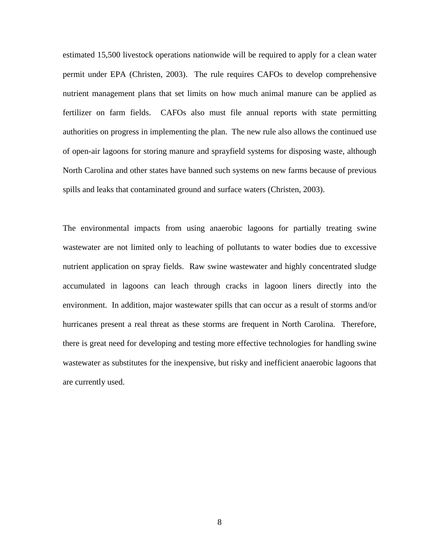estimated 15,500 livestock operations nationwide will be required to apply for a clean water permit under EPA (Christen, 2003). The rule requires CAFOs to develop comprehensive nutrient management plans that set limits on how much animal manure can be applied as fertilizer on farm fields. CAFOs also must file annual reports with state permitting authorities on progress in implementing the plan. The new rule also allows the continued use of open-air lagoons for storing manure and sprayfield systems for disposing waste, although North Carolina and other states have banned such systems on new farms because of previous spills and leaks that contaminated ground and surface waters (Christen, 2003).

The environmental impacts from using anaerobic lagoons for partially treating swine wastewater are not limited only to leaching of pollutants to water bodies due to excessive nutrient application on spray fields. Raw swine wastewater and highly concentrated sludge accumulated in lagoons can leach through cracks in lagoon liners directly into the environment. In addition, major wastewater spills that can occur as a result of storms and/or hurricanes present a real threat as these storms are frequent in North Carolina. Therefore, there is great need for developing and testing more effective technologies for handling swine wastewater as substitutes for the inexpensive, but risky and inefficient anaerobic lagoons that are currently used.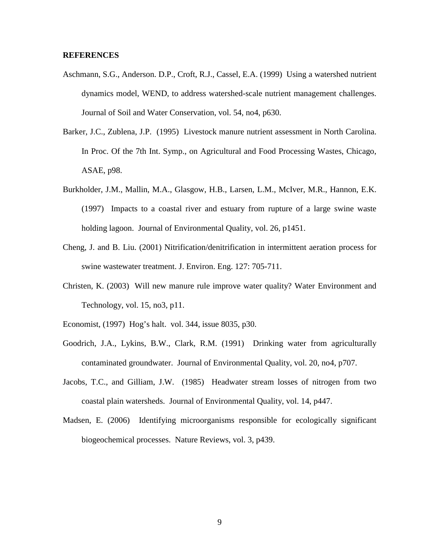#### **REFERENCES**

- Aschmann, S.G., Anderson. D.P., Croft, R.J., Cassel, E.A. (1999) Using a watershed nutrient dynamics model, WEND, to address watershed-scale nutrient management challenges. Journal of Soil and Water Conservation, vol. 54, no4, p630.
- Barker, J.C., Zublena, J.P. (1995) Livestock manure nutrient assessment in North Carolina. In Proc. Of the 7th Int. Symp., on Agricultural and Food Processing Wastes, Chicago, ASAE, p98.
- Burkholder, J.M., Mallin, M.A., Glasgow, H.B., Larsen, L.M., McIver, M.R., Hannon, E.K. (1997) Impacts to a coastal river and estuary from rupture of a large swine waste holding lagoon. Journal of Environmental Quality, vol. 26, p1451.
- Cheng, J. and B. Liu. (2001) Nitrification/denitrification in intermittent aeration process for swine wastewater treatment. J. Environ. Eng. 127: 705-711.
- Christen, K. (2003) Will new manure rule improve water quality? Water Environment and Technology, vol. 15, no3, p11.
- Economist, (1997) Hog's halt. vol. 344, issue 8035, p30.
- Goodrich, J.A., Lykins, B.W., Clark, R.M. (1991) Drinking water from agriculturally contaminated groundwater. Journal of Environmental Quality, vol. 20, no4, p707.
- Jacobs, T.C., and Gilliam, J.W. (1985) Headwater stream losses of nitrogen from two coastal plain watersheds. Journal of Environmental Quality, vol. 14, p447.
- Madsen, E. (2006) Identifying microorganisms responsible for ecologically significant biogeochemical processes. Nature Reviews, vol. 3, p439.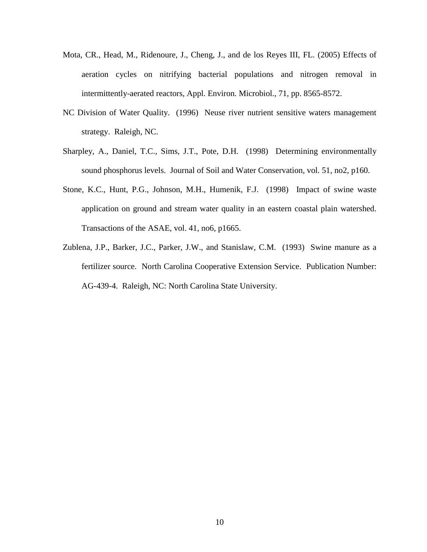- Mota, CR., Head, M., Ridenoure, J., Cheng, J., and de los Reyes III, FL. (2005) Effects of aeration cycles on nitrifying bacterial populations and nitrogen removal in intermittently-aerated reactors, Appl. Environ. Microbiol., 71, pp. 8565-8572.
- NC Division of Water Quality. (1996) Neuse river nutrient sensitive waters management strategy. Raleigh, NC.
- Sharpley, A., Daniel, T.C., Sims, J.T., Pote, D.H. (1998) Determining environmentally sound phosphorus levels. Journal of Soil and Water Conservation, vol. 51, no2, p160.
- Stone, K.C., Hunt, P.G., Johnson, M.H., Humenik, F.J. (1998) Impact of swine waste application on ground and stream water quality in an eastern coastal plain watershed. Transactions of the ASAE, vol. 41, no6, p1665.
- Zublena, J.P., Barker, J.C., Parker, J.W., and Stanislaw, C.M. (1993) Swine manure as a fertilizer source. North Carolina Cooperative Extension Service. Publication Number: AG-439-4. Raleigh, NC: North Carolina State University.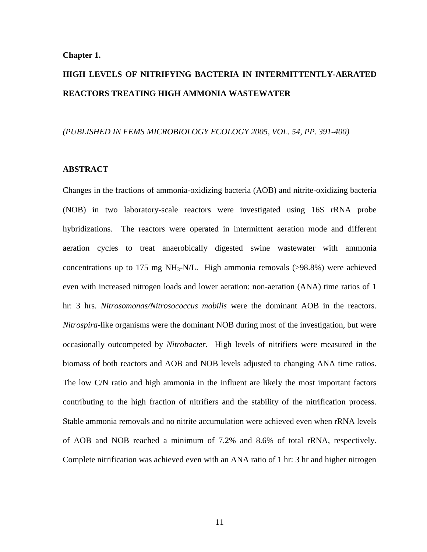#### **Chapter 1.**

# **HIGH LEVELS OF NITRIFYING BACTERIA IN INTERMITTENTLY-AERATED REACTORS TREATING HIGH AMMONIA WASTEWATER**

#### *(PUBLISHED IN FEMS MICROBIOLOGY ECOLOGY 2005, VOL. 54, PP. 391-400)*

#### **ABSTRACT**

Changes in the fractions of ammonia-oxidizing bacteria (AOB) and nitrite-oxidizing bacteria (NOB) in two laboratory-scale reactors were investigated using 16S rRNA probe hybridizations. The reactors were operated in intermittent aeration mode and different aeration cycles to treat anaerobically digested swine wastewater with ammonia concentrations up to 175 mg NH<sub>3</sub>-N/L. High ammonia removals  $(>98.8\%)$  were achieved even with increased nitrogen loads and lower aeration: non-aeration (ANA) time ratios of 1 hr: 3 hrs. *Nitrosomonas/Nitrosococcus mobilis* were the dominant AOB in the reactors. *Nitrospira*-like organisms were the dominant NOB during most of the investigation, but were occasionally outcompeted by *Nitrobacter*. High levels of nitrifiers were measured in the biomass of both reactors and AOB and NOB levels adjusted to changing ANA time ratios. The low C/N ratio and high ammonia in the influent are likely the most important factors contributing to the high fraction of nitrifiers and the stability of the nitrification process. Stable ammonia removals and no nitrite accumulation were achieved even when rRNA levels of AOB and NOB reached a minimum of 7.2% and 8.6% of total rRNA, respectively. Complete nitrification was achieved even with an ANA ratio of 1 hr: 3 hr and higher nitrogen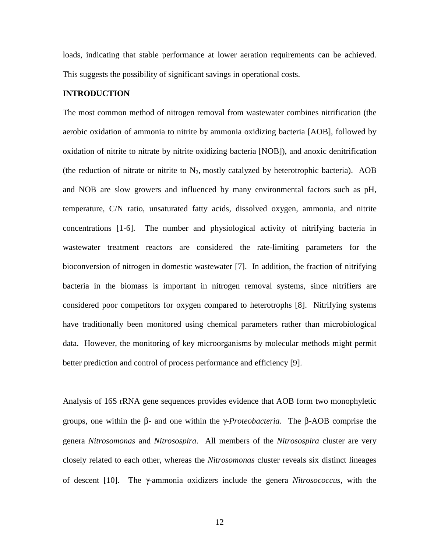loads, indicating that stable performance at lower aeration requirements can be achieved. This suggests the possibility of significant savings in operational costs.

#### **INTRODUCTION**

The most common method of nitrogen removal from wastewater combines nitrification (the aerobic oxidation of ammonia to nitrite by ammonia oxidizing bacteria [AOB], followed by oxidation of nitrite to nitrate by nitrite oxidizing bacteria [NOB]), and anoxic denitrification (the reduction of nitrate or nitrite to  $N_2$ , mostly catalyzed by heterotrophic bacteria). AOB and NOB are slow growers and influenced by many environmental factors such as pH, temperature, C/N ratio, unsaturated fatty acids, dissolved oxygen, ammonia, and nitrite concentrations [1-6]. The number and physiological activity of nitrifying bacteria in wastewater treatment reactors are considered the rate-limiting parameters for the bioconversion of nitrogen in domestic wastewater [7]. In addition, the fraction of nitrifying bacteria in the biomass is important in nitrogen removal systems, since nitrifiers are considered poor competitors for oxygen compared to heterotrophs [8]. Nitrifying systems have traditionally been monitored using chemical parameters rather than microbiological data. However, the monitoring of key microorganisms by molecular methods might permit better prediction and control of process performance and efficiency [9].

Analysis of 16S rRNA gene sequences provides evidence that AOB form two monophyletic groups, one within the β- and one within the γ-*Proteobacteria*. The β-AOB comprise the genera *Nitrosomonas* and *Nitrosospira*. All members of the *Nitrosospira* cluster are very closely related to each other, whereas the *Nitrosomonas* cluster reveals six distinct lineages of descent [10]. The γ-ammonia oxidizers include the genera *Nitrosococcus*, with the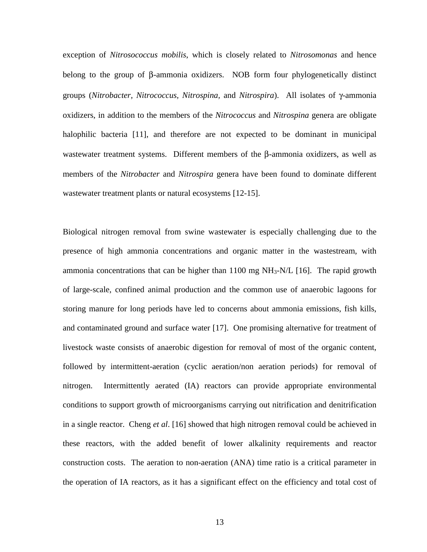exception of *Nitrosococcus mobilis*, which is closely related to *Nitrosomonas* and hence belong to the group of β-ammonia oxidizers. NOB form four phylogenetically distinct groups (*Nitrobacter, Nitrococcus, Nitrospina,* and *Nitrospira*). All isolates of γ-ammonia oxidizers, in addition to the members of the *Nitrococcus* and *Nitrospina* genera are obligate halophilic bacteria [11], and therefore are not expected to be dominant in municipal wastewater treatment systems. Different members of the β-ammonia oxidizers, as well as members of the *Nitrobacter* and *Nitrospira* genera have been found to dominate different wastewater treatment plants or natural ecosystems [12-15].

Biological nitrogen removal from swine wastewater is especially challenging due to the presence of high ammonia concentrations and organic matter in the wastestream, with ammonia concentrations that can be higher than  $1100 \text{ mg NH}_3\text{-}N/L$  [16]. The rapid growth of large-scale, confined animal production and the common use of anaerobic lagoons for storing manure for long periods have led to concerns about ammonia emissions, fish kills, and contaminated ground and surface water [17]. One promising alternative for treatment of livestock waste consists of anaerobic digestion for removal of most of the organic content, followed by intermittent-aeration (cyclic aeration/non aeration periods) for removal of nitrogen. Intermittently aerated (IA) reactors can provide appropriate environmental conditions to support growth of microorganisms carrying out nitrification and denitrification in a single reactor. Cheng *et al*. [16] showed that high nitrogen removal could be achieved in these reactors, with the added benefit of lower alkalinity requirements and reactor construction costs. The aeration to non-aeration (ANA) time ratio is a critical parameter in the operation of IA reactors, as it has a significant effect on the efficiency and total cost of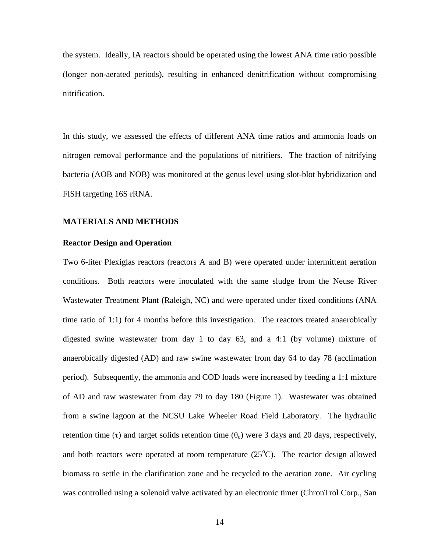the system. Ideally, IA reactors should be operated using the lowest ANA time ratio possible (longer non-aerated periods), resulting in enhanced denitrification without compromising nitrification.

In this study, we assessed the effects of different ANA time ratios and ammonia loads on nitrogen removal performance and the populations of nitrifiers. The fraction of nitrifying bacteria (AOB and NOB) was monitored at the genus level using slot-blot hybridization and FISH targeting 16S rRNA.

#### **MATERIALS AND METHODS**

#### **Reactor Design and Operation**

Two 6-liter Plexiglas reactors (reactors A and B) were operated under intermittent aeration conditions. Both reactors were inoculated with the same sludge from the Neuse River Wastewater Treatment Plant (Raleigh, NC) and were operated under fixed conditions (ANA time ratio of 1:1) for 4 months before this investigation. The reactors treated anaerobically digested swine wastewater from day 1 to day 63, and a 4:1 (by volume) mixture of anaerobically digested (AD) and raw swine wastewater from day 64 to day 78 (acclimation period). Subsequently, the ammonia and COD loads were increased by feeding a 1:1 mixture of AD and raw wastewater from day 79 to day 180 (Figure 1). Wastewater was obtained from a swine lagoon at the NCSU Lake Wheeler Road Field Laboratory. The hydraulic retention time (τ) and target solids retention time  $(\theta_c)$  were 3 days and 20 days, respectively, and both reactors were operated at room temperature  $(25^{\circ}C)$ . The reactor design allowed biomass to settle in the clarification zone and be recycled to the aeration zone. Air cycling was controlled using a solenoid valve activated by an electronic timer (ChronTrol Corp., San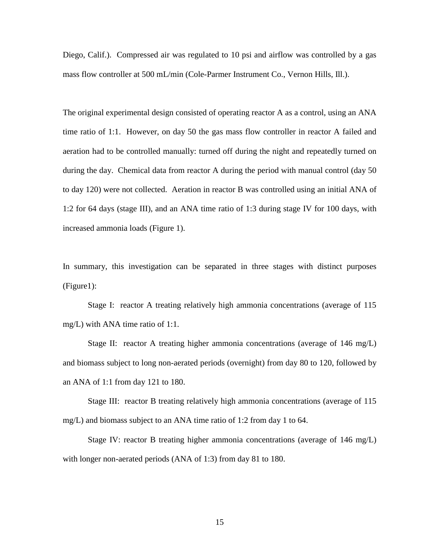Diego, Calif.). Compressed air was regulated to 10 psi and airflow was controlled by a gas mass flow controller at 500 mL/min (Cole-Parmer Instrument Co., Vernon Hills, Ill.).

The original experimental design consisted of operating reactor A as a control, using an ANA time ratio of 1:1. However, on day 50 the gas mass flow controller in reactor A failed and aeration had to be controlled manually: turned off during the night and repeatedly turned on during the day. Chemical data from reactor A during the period with manual control (day 50 to day 120) were not collected. Aeration in reactor B was controlled using an initial ANA of 1:2 for 64 days (stage III), and an ANA time ratio of 1:3 during stage IV for 100 days, with increased ammonia loads (Figure 1).

In summary, this investigation can be separated in three stages with distinct purposes (Figure1):

Stage I: reactor A treating relatively high ammonia concentrations (average of 115 mg/L) with ANA time ratio of 1:1.

Stage II: reactor A treating higher ammonia concentrations (average of 146 mg/L) and biomass subject to long non-aerated periods (overnight) from day 80 to 120, followed by an ANA of 1:1 from day 121 to 180.

Stage III: reactor B treating relatively high ammonia concentrations (average of 115 mg/L) and biomass subject to an ANA time ratio of 1:2 from day 1 to 64.

Stage IV: reactor B treating higher ammonia concentrations (average of 146 mg/L) with longer non-aerated periods (ANA of 1:3) from day 81 to 180.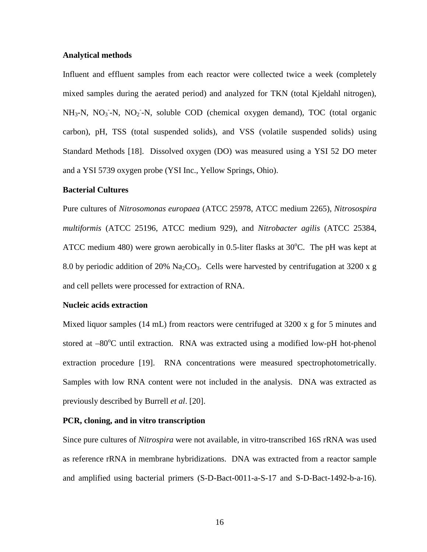#### **Analytical methods**

Influent and effluent samples from each reactor were collected twice a week (completely mixed samples during the aerated period) and analyzed for TKN (total Kjeldahl nitrogen),  $NH_3-N$ ,  $NO_3^--N$ ,  $NO_2^--N$ , soluble COD (chemical oxygen demand), TOC (total organic carbon), pH, TSS (total suspended solids), and VSS (volatile suspended solids) using Standard Methods [18]. Dissolved oxygen (DO) was measured using a YSI 52 DO meter and a YSI 5739 oxygen probe (YSI Inc., Yellow Springs, Ohio).

#### **Bacterial Cultures**

Pure cultures of *Nitrosomonas europaea* (ATCC 25978, ATCC medium 2265), *Nitrosospira multiformis* (ATCC 25196, ATCC medium 929), and *Nitrobacter agilis* (ATCC 25384, ATCC medium 480) were grown aerobically in 0.5-liter flasks at  $30^{\circ}$ C. The pH was kept at 8.0 by periodic addition of 20%  $Na<sub>2</sub>CO<sub>3</sub>$ . Cells were harvested by centrifugation at 3200 x g and cell pellets were processed for extraction of RNA.

#### **Nucleic acids extraction**

Mixed liquor samples (14 mL) from reactors were centrifuged at 3200 x g for 5 minutes and stored at  $-80^{\circ}$ C until extraction. RNA was extracted using a modified low-pH hot-phenol extraction procedure [19]. RNA concentrations were measured spectrophotometrically. Samples with low RNA content were not included in the analysis. DNA was extracted as previously described by Burrell *et al*. [20].

#### **PCR, cloning, and in vitro transcription**

Since pure cultures of *Nitrospira* were not available, in vitro-transcribed 16S rRNA was used as reference rRNA in membrane hybridizations. DNA was extracted from a reactor sample and amplified using bacterial primers (S-D-Bact-0011-a-S-17 and S-D-Bact-1492-b-a-16).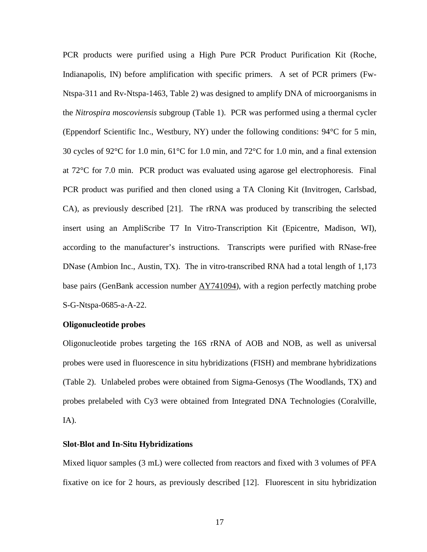PCR products were purified using a High Pure PCR Product Purification Kit (Roche, Indianapolis, IN) before amplification with specific primers. A set of PCR primers (Fw-Ntspa-311 and Rv-Ntspa-1463, Table 2) was designed to amplify DNA of microorganisms in the *Nitrospira moscoviensis* subgroup (Table 1). PCR was performed using a thermal cycler (Eppendorf Scientific Inc., Westbury, NY) under the following conditions: 94°C for 5 min, 30 cycles of 92°C for 1.0 min, 61°C for 1.0 min, and 72°C for 1.0 min, and a final extension at 72°C for 7.0 min. PCR product was evaluated using agarose gel electrophoresis. Final PCR product was purified and then cloned using a TA Cloning Kit (Invitrogen, Carlsbad, CA), as previously described [21]. The rRNA was produced by transcribing the selected insert using an AmpliScribe T7 In Vitro-Transcription Kit (Epicentre, Madison, WI), according to the manufacturer's instructions. Transcripts were purified with RNase-free DNase (Ambion Inc., Austin, TX). The in vitro-transcribed RNA had a total length of 1,173 base pairs (GenBank accession number  $AY741094$ ), with a region perfectly matching probe S-G-Ntspa-0685-a-A-22.

#### **Oligonucleotide probes**

Oligonucleotide probes targeting the 16S rRNA of AOB and NOB, as well as universal probes were used in fluorescence in situ hybridizations (FISH) and membrane hybridizations (Table 2). Unlabeled probes were obtained from Sigma-Genosys (The Woodlands, TX) and probes prelabeled with Cy3 were obtained from Integrated DNA Technologies (Coralville, IA).

#### **Slot-Blot and In-Situ Hybridizations**

Mixed liquor samples (3 mL) were collected from reactors and fixed with 3 volumes of PFA fixative on ice for 2 hours, as previously described [12]. Fluorescent in situ hybridization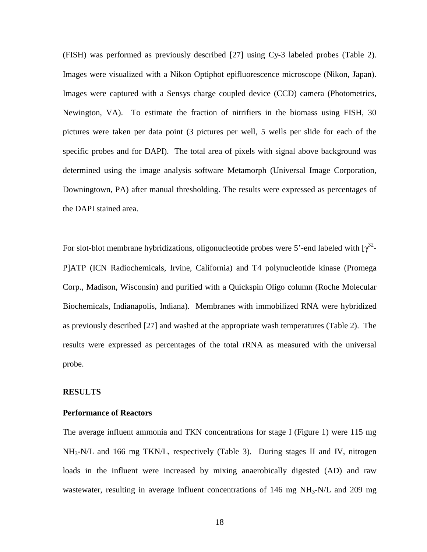(FISH) was performed as previously described [27] using Cy-3 labeled probes (Table 2). Images were visualized with a Nikon Optiphot epifluorescence microscope (Nikon, Japan). Images were captured with a Sensys charge coupled device (CCD) camera (Photometrics, Newington, VA). To estimate the fraction of nitrifiers in the biomass using FISH, 30 pictures were taken per data point (3 pictures per well, 5 wells per slide for each of the specific probes and for DAPI). The total area of pixels with signal above background was determined using the image analysis software Metamorph (Universal Image Corporation, Downingtown, PA) after manual thresholding. The results were expressed as percentages of the DAPI stained area.

For slot-blot membrane hybridizations, oligonucleotide probes were 5'-end labeled with  $[\gamma^{32}$ -P]ATP (ICN Radiochemicals, Irvine, California) and T4 polynucleotide kinase (Promega Corp., Madison, Wisconsin) and purified with a Quickspin Oligo column (Roche Molecular Biochemicals, Indianapolis, Indiana). Membranes with immobilized RNA were hybridized as previously described [27] and washed at the appropriate wash temperatures (Table 2). The results were expressed as percentages of the total rRNA as measured with the universal probe.

#### **RESULTS**

#### **Performance of Reactors**

The average influent ammonia and TKN concentrations for stage I (Figure 1) were 115 mg NH3-N/L and 166 mg TKN/L, respectively (Table 3). During stages II and IV, nitrogen loads in the influent were increased by mixing anaerobically digested (AD) and raw wastewater, resulting in average influent concentrations of  $146 \text{ mg NH}_3\text{-}N/L$  and  $209 \text{ mg}$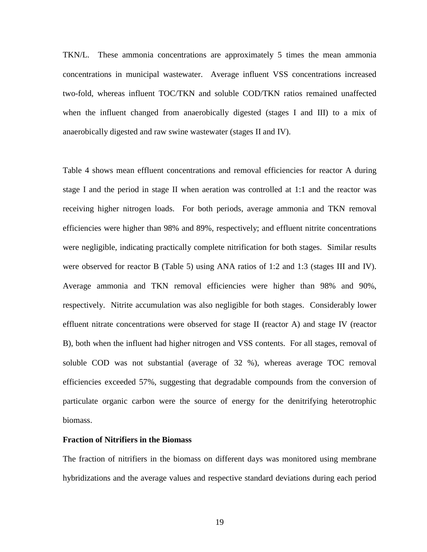TKN/L. These ammonia concentrations are approximately 5 times the mean ammonia concentrations in municipal wastewater. Average influent VSS concentrations increased two-fold, whereas influent TOC/TKN and soluble COD/TKN ratios remained unaffected when the influent changed from anaerobically digested (stages I and III) to a mix of anaerobically digested and raw swine wastewater (stages II and IV).

Table 4 shows mean effluent concentrations and removal efficiencies for reactor A during stage I and the period in stage II when aeration was controlled at 1:1 and the reactor was receiving higher nitrogen loads. For both periods, average ammonia and TKN removal efficiencies were higher than 98% and 89%, respectively; and effluent nitrite concentrations were negligible, indicating practically complete nitrification for both stages. Similar results were observed for reactor B (Table 5) using ANA ratios of 1:2 and 1:3 (stages III and IV). Average ammonia and TKN removal efficiencies were higher than 98% and 90%, respectively. Nitrite accumulation was also negligible for both stages. Considerably lower effluent nitrate concentrations were observed for stage II (reactor A) and stage IV (reactor B), both when the influent had higher nitrogen and VSS contents. For all stages, removal of soluble COD was not substantial (average of 32 %), whereas average TOC removal efficiencies exceeded 57%, suggesting that degradable compounds from the conversion of particulate organic carbon were the source of energy for the denitrifying heterotrophic biomass.

#### **Fraction of Nitrifiers in the Biomass**

The fraction of nitrifiers in the biomass on different days was monitored using membrane hybridizations and the average values and respective standard deviations during each period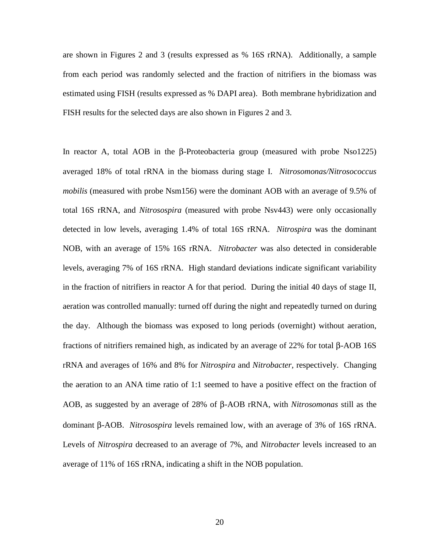are shown in Figures 2 and 3 (results expressed as % 16S rRNA). Additionally, a sample from each period was randomly selected and the fraction of nitrifiers in the biomass was estimated using FISH (results expressed as % DAPI area). Both membrane hybridization and FISH results for the selected days are also shown in Figures 2 and 3.

In reactor A, total AOB in the β-Proteobacteria group (measured with probe Nso1225) averaged 18% of total rRNA in the biomass during stage I. *Nitrosomonas/Nitrosococcus mobilis* (measured with probe Nsm156) were the dominant AOB with an average of 9.5% of total 16S rRNA, and *Nitrosospira* (measured with probe Nsv443) were only occasionally detected in low levels, averaging 1.4% of total 16S rRNA. *Nitrospira* was the dominant NOB, with an average of 15% 16S rRNA. *Nitrobacter* was also detected in considerable levels, averaging 7% of 16S rRNA. High standard deviations indicate significant variability in the fraction of nitrifiers in reactor A for that period. During the initial 40 days of stage II, aeration was controlled manually: turned off during the night and repeatedly turned on during the day. Although the biomass was exposed to long periods (overnight) without aeration, fractions of nitrifiers remained high, as indicated by an average of 22% for total β-AOB 16S rRNA and averages of 16% and 8% for *Nitrospira* and *Nitrobacter*, respectively. Changing the aeration to an ANA time ratio of 1:1 seemed to have a positive effect on the fraction of AOB, as suggested by an average of 28% of β-AOB rRNA, with *Nitrosomonas* still as the dominant β-AOB. *Nitrosospira* levels remained low, with an average of 3% of 16S rRNA. Levels of *Nitrospira* decreased to an average of 7%, and *Nitrobacter* levels increased to an average of 11% of 16S rRNA, indicating a shift in the NOB population.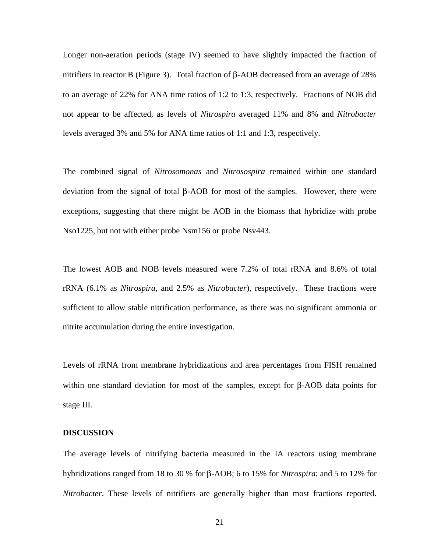Longer non-aeration periods (stage IV) seemed to have slightly impacted the fraction of nitrifiers in reactor B (Figure 3). Total fraction of β-AOB decreased from an average of 28% to an average of 22% for ANA time ratios of 1:2 to 1:3, respectively. Fractions of NOB did not appear to be affected, as levels of *Nitrospira* averaged 11% and 8% and *Nitrobacter* levels averaged 3% and 5% for ANA time ratios of 1:1 and 1:3, respectively.

The combined signal of *Nitrosomonas* and *Nitrosospira* remained within one standard deviation from the signal of total β-AOB for most of the samples. However, there were exceptions, suggesting that there might be AOB in the biomass that hybridize with probe Nso1225, but not with either probe Nsm156 or probe Nsv443.

The lowest AOB and NOB levels measured were 7.2% of total rRNA and 8.6% of total rRNA (6.1% as *Nitrospira*, and 2.5% as *Nitrobacter*), respectively. These fractions were sufficient to allow stable nitrification performance, as there was no significant ammonia or nitrite accumulation during the entire investigation.

Levels of rRNA from membrane hybridizations and area percentages from FISH remained within one standard deviation for most of the samples, except for β-AOB data points for stage III.

#### **DISCUSSION**

The average levels of nitrifying bacteria measured in the IA reactors using membrane hybridizations ranged from 18 to 30 % for β-AOB; 6 to 15% for *Nitrospira*; and 5 to 12% for *Nitrobacter*. These levels of nitrifiers are generally higher than most fractions reported.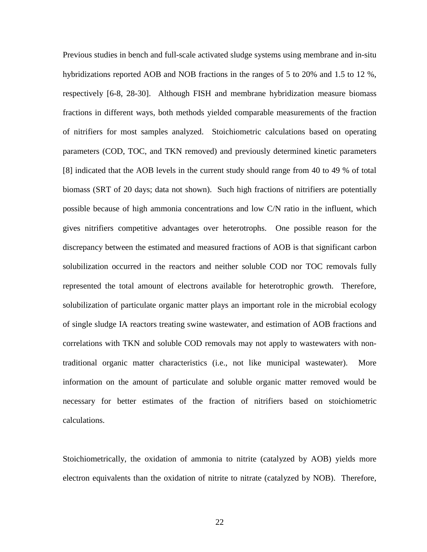Previous studies in bench and full-scale activated sludge systems using membrane and in-situ hybridizations reported AOB and NOB fractions in the ranges of 5 to 20% and 1.5 to 12 %, respectively [6-8, 28-30]. Although FISH and membrane hybridization measure biomass fractions in different ways, both methods yielded comparable measurements of the fraction of nitrifiers for most samples analyzed. Stoichiometric calculations based on operating parameters (COD, TOC, and TKN removed) and previously determined kinetic parameters [8] indicated that the AOB levels in the current study should range from 40 to 49 % of total biomass (SRT of 20 days; data not shown). Such high fractions of nitrifiers are potentially possible because of high ammonia concentrations and low C/N ratio in the influent, which gives nitrifiers competitive advantages over heterotrophs. One possible reason for the discrepancy between the estimated and measured fractions of AOB is that significant carbon solubilization occurred in the reactors and neither soluble COD nor TOC removals fully represented the total amount of electrons available for heterotrophic growth. Therefore, solubilization of particulate organic matter plays an important role in the microbial ecology of single sludge IA reactors treating swine wastewater, and estimation of AOB fractions and correlations with TKN and soluble COD removals may not apply to wastewaters with nontraditional organic matter characteristics (i.e., not like municipal wastewater). More information on the amount of particulate and soluble organic matter removed would be necessary for better estimates of the fraction of nitrifiers based on stoichiometric calculations.

Stoichiometrically, the oxidation of ammonia to nitrite (catalyzed by AOB) yields more electron equivalents than the oxidation of nitrite to nitrate (catalyzed by NOB). Therefore,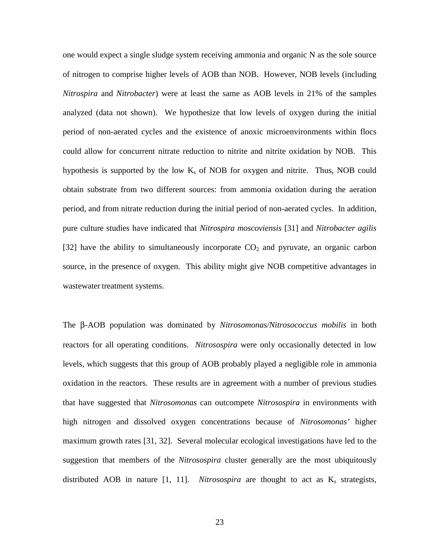one would expect a single sludge system receiving ammonia and organic N as the sole source of nitrogen to comprise higher levels of AOB than NOB. However, NOB levels (including *Nitrospira* and *Nitrobacter*) were at least the same as AOB levels in 21% of the samples analyzed (data not shown). We hypothesize that low levels of oxygen during the initial period of non-aerated cycles and the existence of anoxic microenvironments within flocs could allow for concurrent nitrate reduction to nitrite and nitrite oxidation by NOB. This hypothesis is supported by the low  $K_s$  of NOB for oxygen and nitrite. Thus, NOB could obtain substrate from two different sources: from ammonia oxidation during the aeration period, and from nitrate reduction during the initial period of non-aerated cycles. In addition, pure culture studies have indicated that *Nitrospira moscoviensis* [31] and *Nitrobacter agilis* [32] have the ability to simultaneously incorporate  $CO<sub>2</sub>$  and pyruvate, an organic carbon source, in the presence of oxygen. This ability might give NOB competitive advantages in wastewater treatment systems.

The β-AOB population was dominated by *Nitrosomonas/Nitrosococcus mobilis* in both reactors for all operating conditions. *Nitrosospira* were only occasionally detected in low levels, which suggests that this group of AOB probably played a negligible role in ammonia oxidation in the reactors. These results are in agreement with a number of previous studies that have suggested that *Nitrosomonas* can outcompete *Nitrosospira* in environments with high nitrogen and dissolved oxygen concentrations because of *Nitrosomonas'* higher maximum growth rates [31, 32]. Several molecular ecological investigations have led to the suggestion that members of the *Nitrosospira* cluster generally are the most ubiquitously distributed AOB in nature  $[1, 11]$ . *Nitrosospira* are thought to act as  $K_s$  strategists,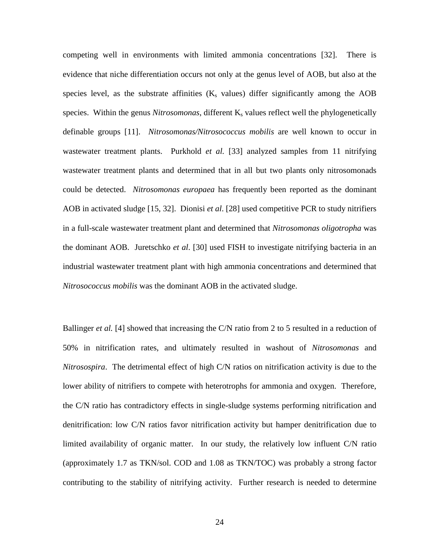competing well in environments with limited ammonia concentrations [32]. There is evidence that niche differentiation occurs not only at the genus level of AOB, but also at the species level, as the substrate affinities  $(K_s$  values) differ significantly among the AOB species. Within the genus *Nitrosomonas*, different K<sub>s</sub> values reflect well the phylogenetically definable groups [11]. *Nitrosomonas/Nitrosococcus mobilis* are well known to occur in wastewater treatment plants. Purkhold *et al.* [33] analyzed samples from 11 nitrifying wastewater treatment plants and determined that in all but two plants only nitrosomonads could be detected. *Nitrosomonas europaea* has frequently been reported as the dominant AOB in activated sludge [15, 32]. Dionisi *et al*. [28] used competitive PCR to study nitrifiers in a full-scale wastewater treatment plant and determined that *Nitrosomonas oligotropha* was the dominant AOB. Juretschko *et al*. [30] used FISH to investigate nitrifying bacteria in an industrial wastewater treatment plant with high ammonia concentrations and determined that *Nitrosococcus mobilis* was the dominant AOB in the activated sludge.

Ballinger *et al.* [4] showed that increasing the C/N ratio from 2 to 5 resulted in a reduction of 50% in nitrification rates, and ultimately resulted in washout of *Nitrosomonas* and *Nitrosospira*. The detrimental effect of high C/N ratios on nitrification activity is due to the lower ability of nitrifiers to compete with heterotrophs for ammonia and oxygen. Therefore, the C/N ratio has contradictory effects in single-sludge systems performing nitrification and denitrification: low C/N ratios favor nitrification activity but hamper denitrification due to limited availability of organic matter. In our study, the relatively low influent C/N ratio (approximately 1.7 as TKN/sol. COD and 1.08 as TKN/TOC) was probably a strong factor contributing to the stability of nitrifying activity. Further research is needed to determine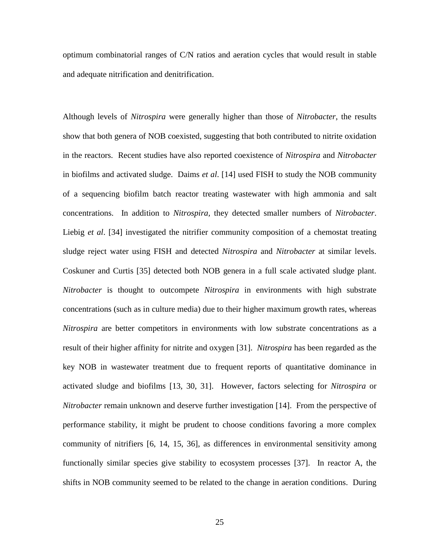optimum combinatorial ranges of C/N ratios and aeration cycles that would result in stable and adequate nitrification and denitrification.

Although levels of *Nitrospira* were generally higher than those of *Nitrobacter*, the results show that both genera of NOB coexisted, suggesting that both contributed to nitrite oxidation in the reactors. Recent studies have also reported coexistence of *Nitrospira* and *Nitrobacter*  in biofilms and activated sludge. Daims *et al*. [14] used FISH to study the NOB community of a sequencing biofilm batch reactor treating wastewater with high ammonia and salt concentrations. In addition to *Nitrospira,* they detected smaller numbers of *Nitrobacter*. Liebig *et al.* [34] investigated the nitrifier community composition of a chemostat treating sludge reject water using FISH and detected *Nitrospira* and *Nitrobacter* at similar levels. Coskuner and Curtis [35] detected both NOB genera in a full scale activated sludge plant. *Nitrobacter* is thought to outcompete *Nitrospira* in environments with high substrate concentrations (such as in culture media) due to their higher maximum growth rates, whereas *Nitrospira* are better competitors in environments with low substrate concentrations as a result of their higher affinity for nitrite and oxygen [31]. *Nitrospira* has been regarded as the key NOB in wastewater treatment due to frequent reports of quantitative dominance in activated sludge and biofilms [13, 30, 31]. However, factors selecting for *Nitrospira* or *Nitrobacter* remain unknown and deserve further investigation [14]. From the perspective of performance stability, it might be prudent to choose conditions favoring a more complex community of nitrifiers [6, 14, 15, 36], as differences in environmental sensitivity among functionally similar species give stability to ecosystem processes [37]. In reactor A, the shifts in NOB community seemed to be related to the change in aeration conditions. During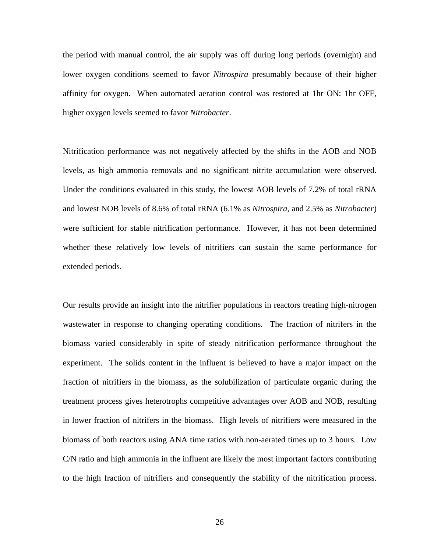the period with manual control, the air supply was off during long periods (overnight) and lower oxygen conditions seemed to favor *Nitrospira* presumably because of their higher affinity for oxygen. When automated aeration control was restored at 1hr ON: 1hr OFF, higher oxygen levels seemed to favor *Nitrobacter*.

Nitrification performance was not negatively affected by the shifts in the AOB and NOB levels, as high ammonia removals and no significant nitrite accumulation were observed. Under the conditions evaluated in this study, the lowest AOB levels of 7.2% of total rRNA and lowest NOB levels of 8.6% of total rRNA (6.1% as *Nitrospira*, and 2.5% as *Nitrobacter*) were sufficient for stable nitrification performance. However, it has not been determined whether these relatively low levels of nitrifiers can sustain the same performance for extended periods.

Our results provide an insight into the nitrifier populations in reactors treating high-nitrogen wastewater in response to changing operating conditions. The fraction of nitrifers in the biomass varied considerably in spite of steady nitrification performance throughout the experiment. The solids content in the influent is believed to have a major impact on the fraction of nitrifiers in the biomass, as the solubilization of particulate organic during the treatment process gives heterotrophs competitive advantages over AOB and NOB, resulting in lower fraction of nitrifers in the biomass. High levels of nitrifiers were measured in the biomass of both reactors using ANA time ratios with non-aerated times up to 3 hours. Low C/N ratio and high ammonia in the influent are likely the most important factors contributing to the high fraction of nitrifiers and consequently the stability of the nitrification process.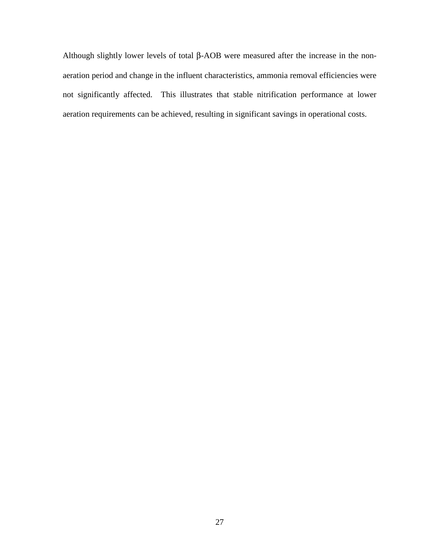Although slightly lower levels of total β-AOB were measured after the increase in the nonaeration period and change in the influent characteristics, ammonia removal efficiencies were not significantly affected. This illustrates that stable nitrification performance at lower aeration requirements can be achieved, resulting in significant savings in operational costs.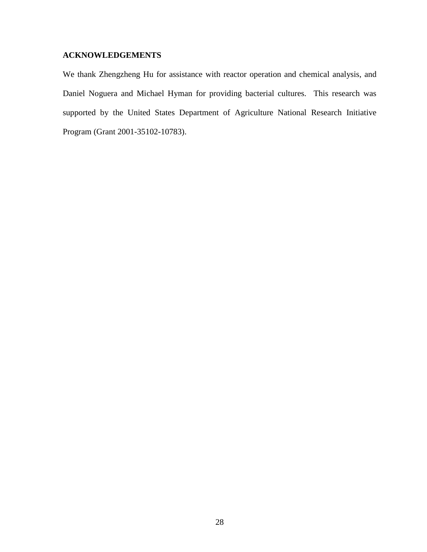## **ACKNOWLEDGEMENTS**

We thank Zhengzheng Hu for assistance with reactor operation and chemical analysis, and Daniel Noguera and Michael Hyman for providing bacterial cultures. This research was supported by the United States Department of Agriculture National Research Initiative Program (Grant 2001-35102-10783).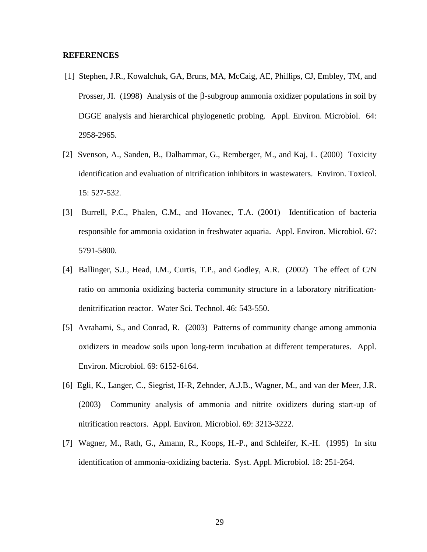#### **REFERENCES**

- [1] Stephen, J.R., Kowalchuk, GA, Bruns, MA, McCaig, AE, Phillips, CJ, Embley, TM, and Prosser, JI. (1998) Analysis of the β-subgroup ammonia oxidizer populations in soil by DGGE analysis and hierarchical phylogenetic probing. Appl. Environ. Microbiol. 64: 2958-2965.
- [2] Svenson, A., Sanden, B., Dalhammar, G., Remberger, M., and Kaj, L. (2000) Toxicity identification and evaluation of nitrification inhibitors in wastewaters. Environ. Toxicol. 15: 527-532.
- [3] Burrell, P.C., Phalen, C.M., and Hovanec, T.A. (2001) Identification of bacteria responsible for ammonia oxidation in freshwater aquaria. Appl. Environ. Microbiol. 67: 5791-5800.
- [4] Ballinger, S.J., Head, I.M., Curtis, T.P., and Godley, A.R. (2002) The effect of C/N ratio on ammonia oxidizing bacteria community structure in a laboratory nitrificationdenitrification reactor. Water Sci. Technol. 46: 543-550.
- [5] Avrahami, S., and Conrad, R. (2003) Patterns of community change among ammonia oxidizers in meadow soils upon long-term incubation at different temperatures. Appl. Environ. Microbiol. 69: 6152-6164.
- [6] Egli, K., Langer, C., Siegrist, H-R, Zehnder, A.J.B., Wagner, M., and van der Meer, J.R. (2003) Community analysis of ammonia and nitrite oxidizers during start-up of nitrification reactors. Appl. Environ. Microbiol. 69: 3213-3222.
- [7] Wagner, M., Rath, G., Amann, R., Koops, H.-P., and Schleifer, K.-H. (1995) In situ identification of ammonia-oxidizing bacteria. Syst. Appl. Microbiol. 18: 251-264.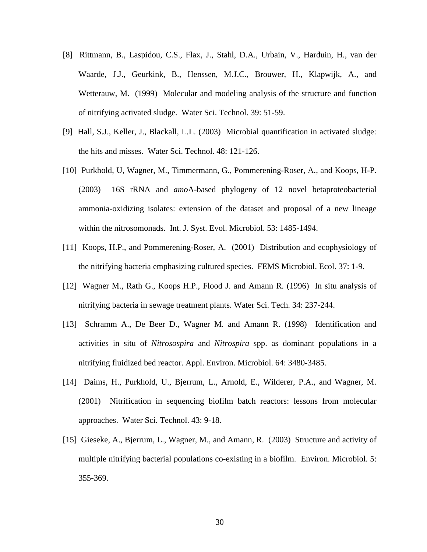- [8] Rittmann, B., Laspidou, C.S., Flax, J., Stahl, D.A., Urbain, V., Harduin, H., van der Waarde, J.J., Geurkink, B., Henssen, M.J.C., Brouwer, H., Klapwijk, A., and Wetterauw, M. (1999) Molecular and modeling analysis of the structure and function of nitrifying activated sludge. Water Sci. Technol. 39: 51-59.
- [9] Hall, S.J., Keller, J., Blackall, L.L. (2003) Microbial quantification in activated sludge: the hits and misses. Water Sci. Technol. 48: 121-126.
- [10] Purkhold, U, Wagner, M., Timmermann, G., Pommerening-Roser, A., and Koops, H-P. (2003) 16S rRNA and *amo*A-based phylogeny of 12 novel betaproteobacterial ammonia-oxidizing isolates: extension of the dataset and proposal of a new lineage within the nitrosomonads. Int. J. Syst. Evol. Microbiol. 53: 1485-1494.
- [11] Koops, H.P., and Pommerening-Roser, A. (2001) Distribution and ecophysiology of the nitrifying bacteria emphasizing cultured species. FEMS Microbiol. Ecol. 37: 1-9.
- [12] Wagner M., Rath G., Koops H.P., Flood J. and Amann R. (1996) In situ analysis of nitrifying bacteria in sewage treatment plants. Water Sci. Tech. 34: 237-244.
- [13] Schramm A., De Beer D., Wagner M. and Amann R. (1998) Identification and activities in situ of *Nitrosospira* and *Nitrospira* spp. as dominant populations in a nitrifying fluidized bed reactor. Appl. Environ. Microbiol. 64: 3480-3485.
- [14] Daims, H., Purkhold, U., Bjerrum, L., Arnold, E., Wilderer, P.A., and Wagner, M. (2001) Nitrification in sequencing biofilm batch reactors: lessons from molecular approaches. Water Sci. Technol. 43: 9-18.
- [15] Gieseke, A., Bjerrum, L., Wagner, M., and Amann, R. (2003) Structure and activity of multiple nitrifying bacterial populations co-existing in a biofilm. Environ. Microbiol. 5: 355-369.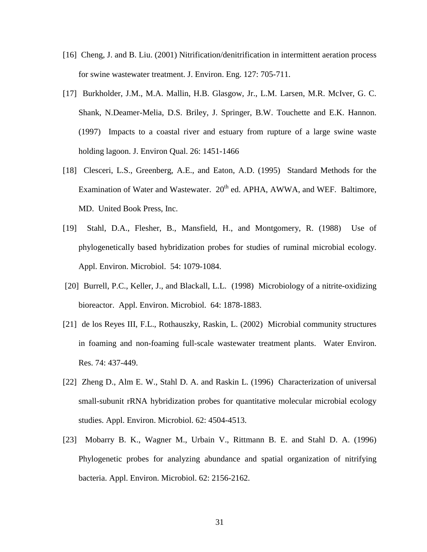- [16] Cheng, J. and B. Liu. (2001) Nitrification/denitrification in intermittent aeration process for swine wastewater treatment. J. Environ. Eng. 127: 705-711.
- [17] Burkholder, J.M., M.A. Mallin, H.B. Glasgow, Jr., L.M. Larsen, M.R. McIver, G. C. Shank, N.Deamer-Melia, D.S. Briley, J. Springer, B.W. Touchette and E.K. Hannon. (1997) Impacts to a coastal river and estuary from rupture of a large swine waste holding lagoon. J. Environ Qual. 26: 1451-1466
- [18] Clesceri, L.S., Greenberg, A.E., and Eaton, A.D. (1995) Standard Methods for the Examination of Water and Wastewater.  $20<sup>th</sup>$  ed. APHA, AWWA, and WEF. Baltimore, MD. United Book Press, Inc.
- [19] Stahl, D.A., Flesher, B., Mansfield, H., and Montgomery, R. (1988) Use of phylogenetically based hybridization probes for studies of ruminal microbial ecology. Appl. Environ. Microbiol. 54: 1079-1084.
- [20] Burrell, P.C., Keller, J., and Blackall, L.L. (1998) Microbiology of a nitrite-oxidizing bioreactor. Appl. Environ. Microbiol. 64: 1878-1883.
- [21] de los Reyes III, F.L., Rothauszky, Raskin, L. (2002) Microbial community structures in foaming and non-foaming full-scale wastewater treatment plants. Water Environ. Res. 74: 437-449.
- [22] Zheng D., Alm E. W., Stahl D. A. and Raskin L. (1996) Characterization of universal small-subunit rRNA hybridization probes for quantitative molecular microbial ecology studies. Appl. Environ. Microbiol. 62: 4504-4513.
- [23] Mobarry B. K., Wagner M., Urbain V., Rittmann B. E. and Stahl D. A. (1996) Phylogenetic probes for analyzing abundance and spatial organization of nitrifying bacteria. Appl. Environ. Microbiol. 62: 2156-2162.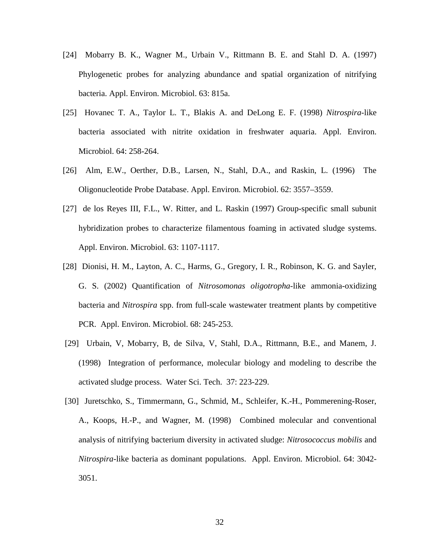- [24] Mobarry B. K., Wagner M., Urbain V., Rittmann B. E. and Stahl D. A. (1997) Phylogenetic probes for analyzing abundance and spatial organization of nitrifying bacteria. Appl. Environ. Microbiol. 63: 815a.
- [25] Hovanec T. A., Taylor L. T., Blakis A. and DeLong E. F. (1998) *Nitrospira*-like bacteria associated with nitrite oxidation in freshwater aquaria. Appl. Environ. Microbiol. 64: 258-264.
- [26] Alm, E.W., Oerther, D.B., Larsen, N., Stahl, D.A., and Raskin, L. (1996) The Oligonucleotide Probe Database. Appl. Environ. Microbiol. 62: 3557–3559.
- [27] de los Reyes III, F.L., W. Ritter, and L. Raskin (1997) Group-specific small subunit hybridization probes to characterize filamentous foaming in activated sludge systems. Appl. Environ. Microbiol. 63: 1107-1117.
- [28] Dionisi, H. M., Layton, A. C., Harms, G., Gregory, I. R., Robinson, K. G. and Sayler, G. S. (2002) Quantification of *Nitrosomonas oligotropha*-like ammonia-oxidizing bacteria and *Nitrospira* spp. from full-scale wastewater treatment plants by competitive PCR. Appl. Environ. Microbiol. 68: 245-253.
- [29] Urbain, V, Mobarry, B, de Silva, V, Stahl, D.A., Rittmann, B.E., and Manem, J. (1998) Integration of performance, molecular biology and modeling to describe the activated sludge process. Water Sci. Tech. 37: 223-229.
- [30] Juretschko, S., Timmermann, G., Schmid, M., Schleifer, K.-H., Pommerening-Roser, A., Koops, H.-P., and Wagner, M. (1998) Combined molecular and conventional analysis of nitrifying bacterium diversity in activated sludge: *Nitrosococcus mobilis* and *Nitrospira*-like bacteria as dominant populations. Appl. Environ. Microbiol. 64: 3042- 3051.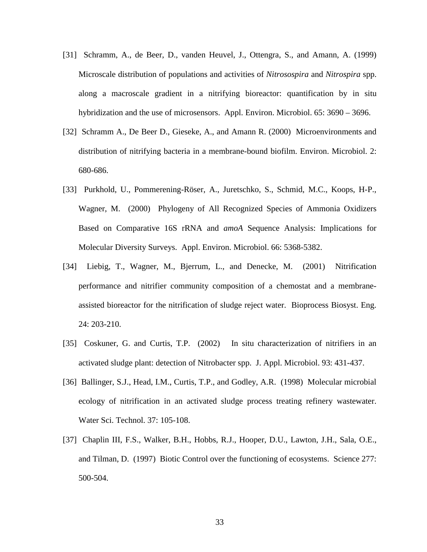- [31] Schramm, A., de Beer, D., vanden Heuvel, J., Ottengra, S., and Amann, A. (1999) Microscale distribution of populations and activities of *Nitrosospira* and *Nitrospira* spp. along a macroscale gradient in a nitrifying bioreactor: quantification by in situ hybridization and the use of microsensors. Appl. Environ. Microbiol. 65: 3690 – 3696.
- [32] Schramm A., De Beer D., Gieseke, A., and Amann R. (2000) Microenvironments and distribution of nitrifying bacteria in a membrane-bound biofilm. Environ. Microbiol. 2: 680-686.
- [33] Purkhold, U., Pommerening-Röser, A., Juretschko, S., Schmid, M.C., Koops, H-P., Wagner, M. (2000) Phylogeny of All Recognized Species of Ammonia Oxidizers Based on Comparative 16S rRNA and *amoA* Sequence Analysis: Implications for Molecular Diversity Surveys. Appl. Environ. Microbiol. 66: 5368-5382.
- [34] Liebig, T., Wagner, M., Bjerrum, L., and Denecke, M. (2001) Nitrification performance and nitrifier community composition of a chemostat and a membraneassisted bioreactor for the nitrification of sludge reject water. Bioprocess Biosyst. Eng. 24: 203-210.
- [35] Coskuner, G. and Curtis, T.P. (2002) In situ characterization of nitrifiers in an activated sludge plant: detection of Nitrobacter spp. J. Appl. Microbiol. 93: 431-437.
- [36] Ballinger, S.J., Head, I.M., Curtis, T.P., and Godley, A.R. (1998) Molecular microbial ecology of nitrification in an activated sludge process treating refinery wastewater. Water Sci. Technol. 37: 105-108.
- [37] Chaplin III, F.S., Walker, B.H., Hobbs, R.J., Hooper, D.U., Lawton, J.H., Sala, O.E., and Tilman, D. (1997) Biotic Control over the functioning of ecosystems. Science 277: 500-504.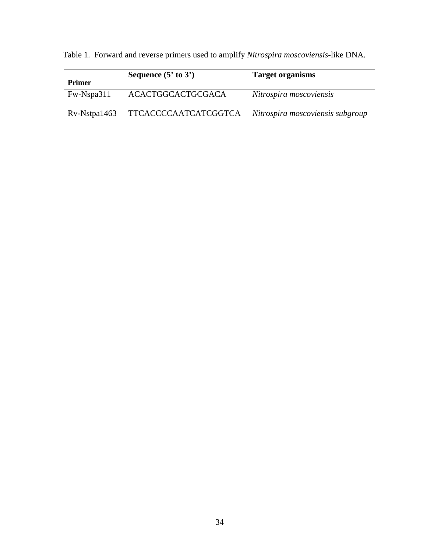Table 1. Forward and reverse primers used to amplify *Nitrospira moscoviensis*-like DNA.

| <b>Primer</b>         | Sequence $(5' \text{ to } 3')$ | <b>Target organisms</b>          |
|-----------------------|--------------------------------|----------------------------------|
| Fw-Nspa311            | ACACTGGCACTGCGACA              | Nitrospira moscoviensis          |
| $Rv\text{-Nstpa1463}$ | TTCACCCCAATCATCGGTCA           | Nitrospira moscoviensis subgroup |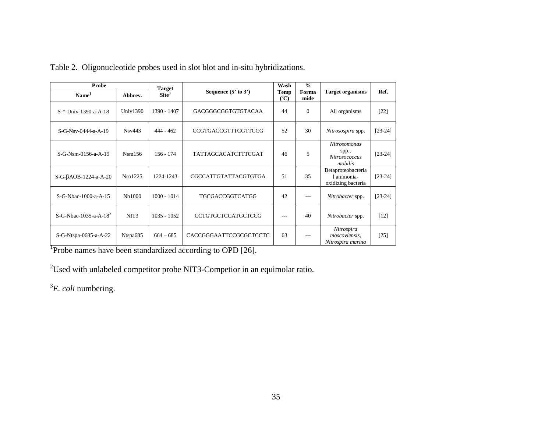| Probe                             |                  | <b>Target</b>   |                            | Wash              | $\frac{0}{0}$ |                                                                 |           |
|-----------------------------------|------------------|-----------------|----------------------------|-------------------|---------------|-----------------------------------------------------------------|-----------|
| Name <sup>1</sup>                 | Abbrev.          | $\text{Site}^3$ | Sequence $(5'$ to $3')$    | Temp<br>$({}^oC)$ | Forma<br>mide | <b>Target organisms</b>                                         | Ref.      |
| S-*-Univ-1390-a-A-18              | Univ $1390$      | 1390 - 1407     | GACGGGCGGTGTGTACAA         | 44                | $\Omega$      | All organisms                                                   | $[22]$    |
| S-G-Nsv-0444-a-A-19               | Nsv443           | $444 - 462$     | <b>CCGTGACCGTTTCGTTCCG</b> | 52                | 30            | Nitrosospira spp.                                               | $[23-24]$ |
| S-G-Nsm-0156-a-A-19               | Nsm156           | $156 - 174$     | <b>TATTAGCACATCTTTCGAT</b> | 46                | 5             | <b>Nitrosomonas</b><br>spp.,<br><b>Nitrosococcus</b><br>mobilis | $[23-24]$ |
| $S-G-BAOB-1224-a-A-20$            | Nso1225          | 1224-1243       | CGCCATTGTATTACGTGTGA       | 51                | 35            | Betaproteobacteria<br>1 ammonia-<br>oxidizing bacteria          | $[23-24]$ |
| S-G-Nbac-1000-a-A-15              | Nb1000           | $1000 - 1014$   | <b>TGCGACCGGTCATGG</b>     | 42                | $---$         | Nitrobacter spp.                                                | $[23-24]$ |
| S-G-Nbac-1035-a-A-18 <sup>2</sup> | NIT <sub>3</sub> | $1035 - 1052$   | <b>CCTGTGCTCCATGCTCCG</b>  | ---               | 40            | Nitrobacter spp.                                                | $[12]$    |
| S-G-Ntspa-0685-a-A-22             | Ntspa685         | $664 - 685$     | CACCGGGAATTCCGCGCTCCTC     | 63                | $---$         | Nitrospira<br>moscoviensis,<br>Nitrospira marina                | $[25]$    |

Table 2. Oligonucleotide probes used in slot blot and in-situ hybridizations.

<sup>1</sup>Probe names have been standardized according to OPD [26].

2Used with unlabeled competitor probe NIT3-Competior in an equimolar ratio.

<sup>3</sup>*E. coli* numbering.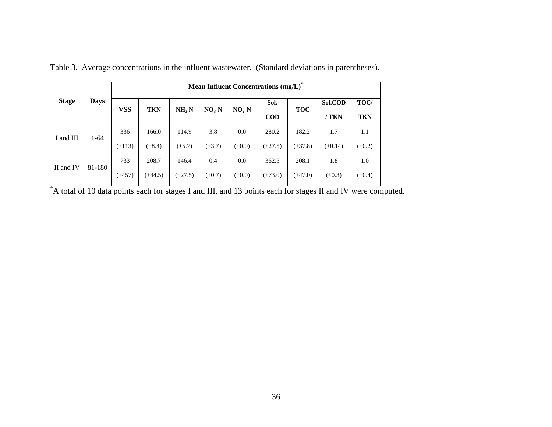|              |             | Mean Influent Concentrations (mg/L) |              |                   |             |             |                    |              |                  |                    |  |
|--------------|-------------|-------------------------------------|--------------|-------------------|-------------|-------------|--------------------|--------------|------------------|--------------------|--|
| <b>Stage</b> | <b>Days</b> | <b>VSS</b>                          | <b>TKN</b>   | NH <sub>3</sub> N | $NO3-N$     | $NO2-N$     | Sol.<br><b>COD</b> | <b>TOC</b>   | Sol.COD<br>/ TKN | TOC/<br><b>TKN</b> |  |
| I and III    | $1 - 64$    | 336                                 | 166.0        | 114.9             | 3.8         | 0.0         | 280.2              | 182.2        | 1.7              | 1.1                |  |
|              |             | $(\pm 113)$                         | $(\pm 8.4)$  | $(\pm 5.7)$       | $(\pm 3.7)$ | $(\pm 0.0)$ | $(\pm 27.5)$       | $(\pm 37.8)$ | $(\pm 0.14)$     | $(\pm 0.2)$        |  |
| II and IV    | 81-180      | 733                                 | 208.7        | 146.4             | 0.4         | 0.0         | 362.5              | 208.1        | 1.8              | 1.0                |  |
|              |             | $(\pm 457)$                         | $(\pm 44.5)$ | $(\pm 27.5)$      | $(\pm 0.7)$ | $(\pm 0.0)$ | $(\pm 73.0)$       | $(\pm 47.0)$ | $(\pm 0.3)$      | $(\pm 0.4)$        |  |

Table 3. Average concentrations in the influent wastewater. (Standard deviations in parentheses).

 $\frac{1}{4}$  A total of 10 data points each for stages I and III, and 13 points each for stages II and IV were computed.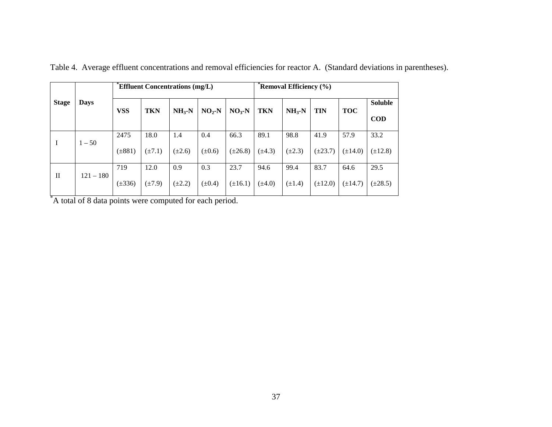| <b>Stage</b>                | <b>Days</b> |             | <b>Effluent Concentrations (mg/L)</b> |             |             |              | Removal Efficiency (%) |             |              |              |              |
|-----------------------------|-------------|-------------|---------------------------------------|-------------|-------------|--------------|------------------------|-------------|--------------|--------------|--------------|
|                             |             | <b>VSS</b>  | <b>TKN</b>                            | $NH3-N$     | $NO2-N$     | $NO3$ -N     | <b>TKN</b>             | $NH3-N$     | <b>TIN</b>   | <b>TOC</b>   | Soluble      |
|                             |             |             |                                       |             |             |              |                        |             |              |              | <b>COD</b>   |
| Ι                           | $1 - 50$    | 2475        | 18.0                                  | 1.4         | 0.4         | 66.3         | 89.1                   | 98.8        | 41.9         | 57.9         | 33.2         |
|                             |             | $(\pm 881)$ | $(\pm 7.1)$                           | $(\pm 2.6)$ | $(\pm 0.6)$ | $(\pm 26.8)$ | $(\pm 4.3)$            | $(\pm 2.3)$ | $(\pm 23.7)$ | $(\pm 14.0)$ | $(\pm 12.8)$ |
| $\mathbf{I}$<br>$121 - 180$ |             | 719         | 12.0                                  | 0.9         | 0.3         | 23.7         | 94.6                   | 99.4        | 83.7         | 64.6         | 29.5         |
|                             |             | $(\pm 336)$ | $(\pm 7.9)$                           | $(\pm 2.2)$ | $(\pm 0.4)$ | $(\pm 16.1)$ | $(\pm 4.0)$            | $(\pm 1.4)$ | $(\pm 12.0)$ | $(\pm 14.7)$ | $(\pm 28.5)$ |

Table 4. Average effluent concentrations and removal efficiencies for reactor A. (Standard deviations in parentheses).

\*A total of 8 data points were computed for each period.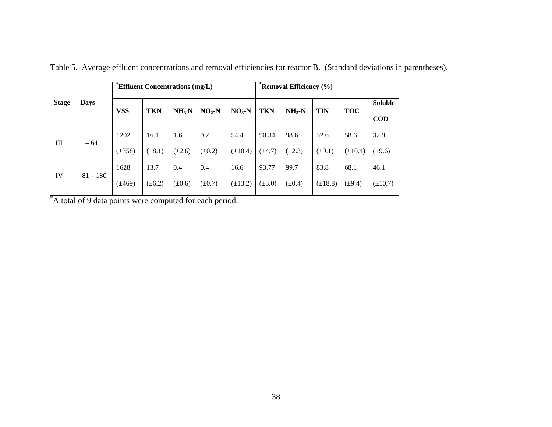| <b>Stage</b> | <b>Days</b> | <b>Effluent Concentrations (mg/L)</b> |             |                   |             |              |             | Removal Efficiency (%) |              |              |                |  |
|--------------|-------------|---------------------------------------|-------------|-------------------|-------------|--------------|-------------|------------------------|--------------|--------------|----------------|--|
|              |             | <b>VSS</b>                            | <b>TKN</b>  | NH <sub>3</sub> N | $NO2-N$     | $NO3$ -N     | TKN         | $NH3-N$                | TIN          | <b>TOC</b>   | <b>Soluble</b> |  |
|              |             |                                       |             |                   |             |              |             |                        |              |              | $\bf{COD}$     |  |
| Ш            | $1 - 64$    | 1202                                  | 16.1        | 1.6               | 0.2         | 54.4         | 90.34       | 98.6                   | 52.6         | 58.6         | 32.9           |  |
|              |             | $(\pm 358)$                           | $(\pm 8.1)$ | $(\pm 2.6)$       | $(\pm 0.2)$ | $(\pm 10.4)$ | $(\pm 4.7)$ | $(\pm 2.3)$            | $(\pm 9.1)$  | $(\pm 10.4)$ | $(\pm 9.6)$    |  |
| IV           | $81 - 180$  | 1628                                  | 13.7        | 0.4               | 0.4         | 16.6         | 93.77       | 99.7                   | 83.8         | 68.1         | 46.1           |  |
|              |             | $(\pm 469)$                           | $(\pm 6.2)$ | $(\pm 0.6)$       | $(\pm 0.7)$ | $(\pm 13.2)$ | $(\pm 3.0)$ | $(\pm 0.4)$            | $(\pm 18.8)$ | $(\pm 9.4)$  | $(\pm 10.7)$   |  |

Table 5. Average effluent concentrations and removal efficiencies for reactor B. (Standard deviations in parentheses).

\*A total of 9 data points were computed for each period.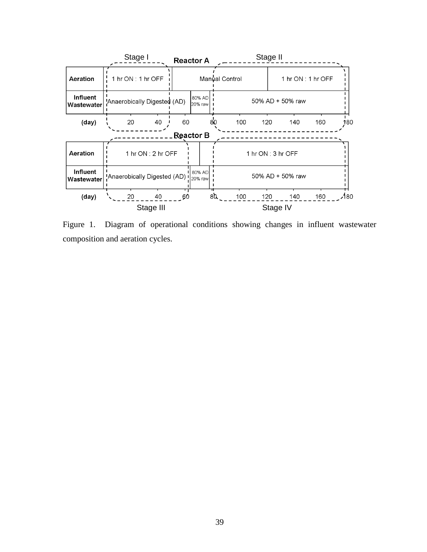

Figure 1. Diagram of operational conditions showing changes in influent wastewater composition and aeration cycles.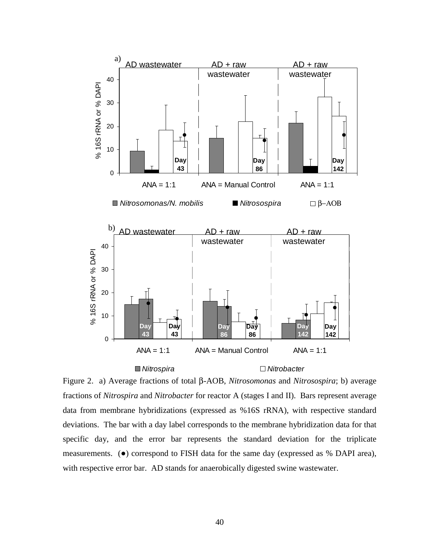

### *Nitrospira Nitrobacter*

Figure 2. a) Average fractions of total β-AOB, *Nitrosomonas* and *Nitrosospira*; b) average fractions of *Nitrospira* and *Nitrobacter* for reactor A (stages I and II). Bars represent average data from membrane hybridizations (expressed as %16S rRNA), with respective standard deviations. The bar with a day label corresponds to the membrane hybridization data for that specific day, and the error bar represents the standard deviation for the triplicate measurements. (●) correspond to FISH data for the same day (expressed as % DAPI area), with respective error bar. AD stands for anaerobically digested swine wastewater.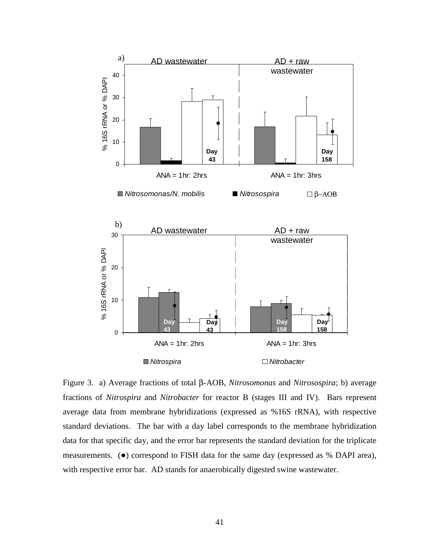

Figure 3. a) Average fractions of total β-AOB, *Nitrosomonas* and *Nitrosospira*; b) average fractions of *Nitrospira* and *Nitrobacter* for reactor B (stages III and IV). Bars represent average data from membrane hybridizations (expressed as %16S rRNA), with respective standard deviations. The bar with a day label corresponds to the membrane hybridization data for that specific day, and the error bar represents the standard deviation for the triplicate measurements. (●) correspond to FISH data for the same day (expressed as % DAPI area), with respective error bar. AD stands for anaerobically digested swine wastewater.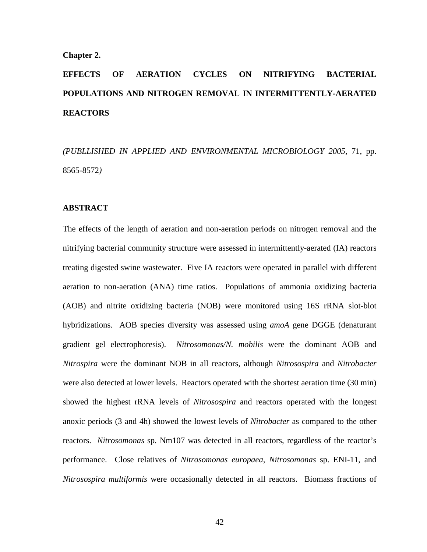#### **Chapter 2.**

# **EFFECTS OF AERATION CYCLES ON NITRIFYING BACTERIAL POPULATIONS AND NITROGEN REMOVAL IN INTERMITTENTLY-AERATED REACTORS**

*(PUBLLISHED IN APPLIED AND ENVIRONMENTAL MICROBIOLOGY 2005,* 71, pp. 8565-8572*)* 

#### **ABSTRACT**

The effects of the length of aeration and non-aeration periods on nitrogen removal and the nitrifying bacterial community structure were assessed in intermittently-aerated (IA) reactors treating digested swine wastewater. Five IA reactors were operated in parallel with different aeration to non-aeration (ANA) time ratios. Populations of ammonia oxidizing bacteria (AOB) and nitrite oxidizing bacteria (NOB) were monitored using 16S rRNA slot-blot hybridizations. AOB species diversity was assessed using *amoA* gene DGGE (denaturant gradient gel electrophoresis). *Nitrosomonas/N. mobilis* were the dominant AOB and *Nitrospira* were the dominant NOB in all reactors, although *Nitrosospira* and *Nitrobacter* were also detected at lower levels. Reactors operated with the shortest aeration time (30 min) showed the highest rRNA levels of *Nitrosospira* and reactors operated with the longest anoxic periods (3 and 4h) showed the lowest levels of *Nitrobacter* as compared to the other reactors. *Nitrosomonas* sp. Nm107 was detected in all reactors, regardless of the reactor's performance. Close relatives of *Nitrosomonas europaea, Nitrosomonas* sp. ENI-11, and *Nitrosospira multiformis* were occasionally detected in all reactors. Biomass fractions of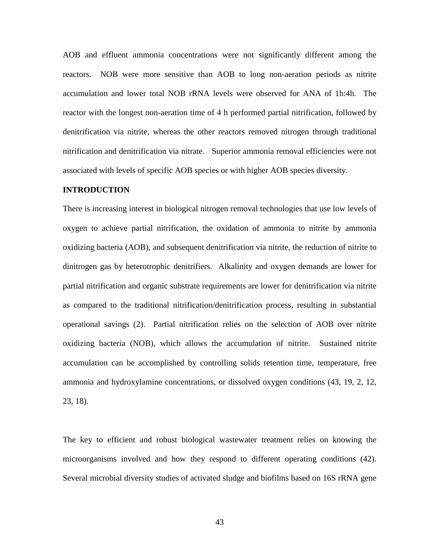AOB and effluent ammonia concentrations were not significantly different among the reactors. NOB were more sensitive than AOB to long non-aeration periods as nitrite accumulation and lower total NOB rRNA levels were observed for ANA of 1h:4h. The reactor with the longest non-aeration time of 4 h performed partial nitrification, followed by denitrification via nitrite, whereas the other reactors removed nitrogen through traditional nitrification and denitrification via nitrate. Superior ammonia removal efficiencies were not associated with levels of specific AOB species or with higher AOB species diversity.

#### **INTRODUCTION**

There is increasing interest in biological nitrogen removal technologies that use low levels of oxygen to achieve partial nitrification, the oxidation of ammonia to nitrite by ammonia oxidizing bacteria (AOB), and subsequent denitrification via nitrite, the reduction of nitrite to dinitrogen gas by heterotrophic denitrifiers. Alkalinity and oxygen demands are lower for partial nitrification and organic substrate requirements are lower for denitrification via nitrite as compared to the traditional nitrification/denitrification process, resulting in substantial operational savings (2). Partial nitrification relies on the selection of AOB over nitrite oxidizing bacteria (NOB), which allows the accumulation of nitrite. Sustained nitrite accumulation can be accomplished by controlling solids retention time, temperature, free ammonia and hydroxylamine concentrations, or dissolved oxygen conditions (43, 19, 2, 12, 23, 18).

The key to efficient and robust biological wastewater treatment relies on knowing the microorganisms involved and how they respond to different operating conditions (42). Several microbial diversity studies of activated sludge and biofilms based on 16S rRNA gene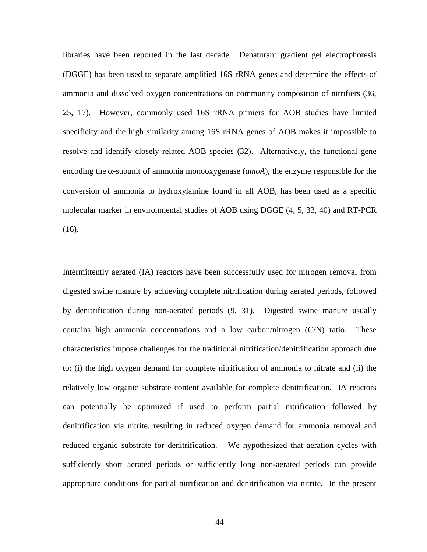libraries have been reported in the last decade. Denaturant gradient gel electrophoresis (DGGE) has been used to separate amplified 16S rRNA genes and determine the effects of ammonia and dissolved oxygen concentrations on community composition of nitrifiers (36, 25, 17). However, commonly used 16S rRNA primers for AOB studies have limited specificity and the high similarity among 16S rRNA genes of AOB makes it impossible to resolve and identify closely related AOB species (32). Alternatively, the functional gene encoding the α-subunit of ammonia monooxygenase (*amoA*), the enzyme responsible for the conversion of ammonia to hydroxylamine found in all AOB, has been used as a specific molecular marker in environmental studies of AOB using DGGE (4, 5, 33, 40) and RT-PCR (16).

Intermittently aerated (IA) reactors have been successfully used for nitrogen removal from digested swine manure by achieving complete nitrification during aerated periods, followed by denitrification during non-aerated periods (9, 31). Digested swine manure usually contains high ammonia concentrations and a low carbon/nitrogen (C/N) ratio. These characteristics impose challenges for the traditional nitrification/denitrification approach due to: (i) the high oxygen demand for complete nitrification of ammonia to nitrate and (ii) the relatively low organic substrate content available for complete denitrification. IA reactors can potentially be optimized if used to perform partial nitrification followed by denitrification via nitrite, resulting in reduced oxygen demand for ammonia removal and reduced organic substrate for denitrification. We hypothesized that aeration cycles with sufficiently short aerated periods or sufficiently long non-aerated periods can provide appropriate conditions for partial nitrification and denitrification via nitrite. In the present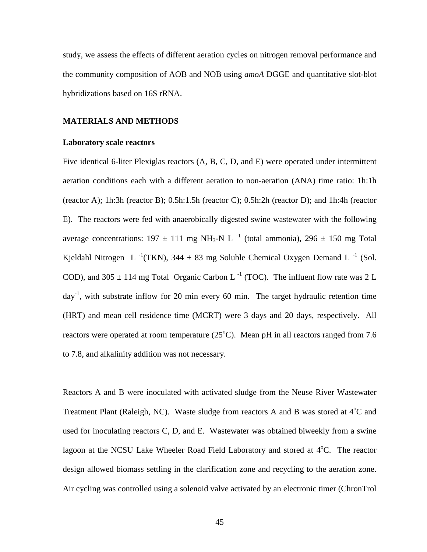study, we assess the effects of different aeration cycles on nitrogen removal performance and the community composition of AOB and NOB using *amoA* DGGE and quantitative slot-blot hybridizations based on 16S rRNA.

#### **MATERIALS AND METHODS**

#### **Laboratory scale reactors**

Five identical 6-liter Plexiglas reactors (A, B, C, D, and E) were operated under intermittent aeration conditions each with a different aeration to non-aeration (ANA) time ratio: 1h:1h (reactor A); 1h:3h (reactor B); 0.5h:1.5h (reactor C); 0.5h:2h (reactor D); and 1h:4h (reactor E). The reactors were fed with anaerobically digested swine wastewater with the following average concentrations:  $197 \pm 111$  mg NH<sub>3</sub>-N L<sup>-1</sup> (total ammonia),  $296 \pm 150$  mg Total Kjeldahl Nitrogen L<sup>-1</sup>(TKN), 344  $\pm$  83 mg Soluble Chemical Oxygen Demand L<sup>-1</sup> (Sol. COD), and 305  $\pm$  114 mg Total Organic Carbon L<sup>-1</sup> (TOC). The influent flow rate was 2 L  $day^{-1}$ , with substrate inflow for 20 min every 60 min. The target hydraulic retention time (HRT) and mean cell residence time (MCRT) were 3 days and 20 days, respectively. All reactors were operated at room temperature  $(25^{\circ}C)$ . Mean pH in all reactors ranged from 7.6 to 7.8, and alkalinity addition was not necessary.

Reactors A and B were inoculated with activated sludge from the Neuse River Wastewater Treatment Plant (Raleigh, NC). Waste sludge from reactors A and B was stored at  $4^{\circ}$ C and used for inoculating reactors C, D, and E. Wastewater was obtained biweekly from a swine lagoon at the NCSU Lake Wheeler Road Field Laboratory and stored at 4°C. The reactor design allowed biomass settling in the clarification zone and recycling to the aeration zone. Air cycling was controlled using a solenoid valve activated by an electronic timer (ChronTrol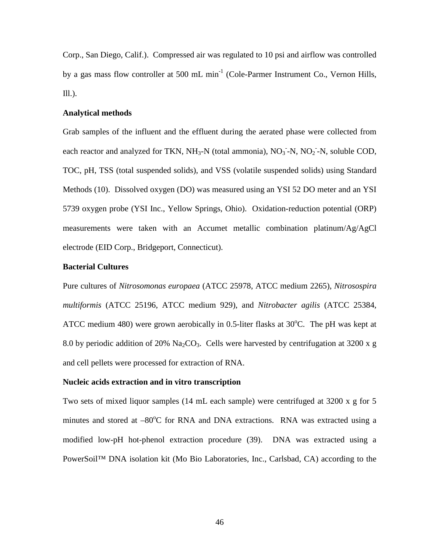Corp., San Diego, Calif.). Compressed air was regulated to 10 psi and airflow was controlled by a gas mass flow controller at 500 mL  $min^{-1}$  (Cole-Parmer Instrument Co., Vernon Hills, Ill.).

#### **Analytical methods**

Grab samples of the influent and the effluent during the aerated phase were collected from each reactor and analyzed for TKN,  $NH_3-N$  (total ammonia),  $NO_3$ <sup>-</sup> $N$ ,  $NO_2$ <sup>-</sup> $N$ , soluble COD, TOC, pH, TSS (total suspended solids), and VSS (volatile suspended solids) using Standard Methods (10). Dissolved oxygen (DO) was measured using an YSI 52 DO meter and an YSI 5739 oxygen probe (YSI Inc., Yellow Springs, Ohio). Oxidation-reduction potential (ORP) measurements were taken with an Accumet metallic combination platinum/Ag/AgCl electrode (EID Corp., Bridgeport, Connecticut).

#### **Bacterial Cultures**

Pure cultures of *Nitrosomonas europaea* (ATCC 25978, ATCC medium 2265), *Nitrosospira multiformis* (ATCC 25196, ATCC medium 929), and *Nitrobacter agilis* (ATCC 25384, ATCC medium 480) were grown aerobically in 0.5-liter flasks at  $30^{\circ}$ C. The pH was kept at 8.0 by periodic addition of 20% Na<sub>2</sub>CO<sub>3</sub>. Cells were harvested by centrifugation at 3200 x g and cell pellets were processed for extraction of RNA.

#### **Nucleic acids extraction and in vitro transcription**

Two sets of mixed liquor samples (14 mL each sample) were centrifuged at 3200 x g for 5 minutes and stored at -80°C for RNA and DNA extractions. RNA was extracted using a modified low-pH hot-phenol extraction procedure (39). DNA was extracted using a PowerSoil™ DNA isolation kit (Mo Bio Laboratories, Inc., Carlsbad, CA) according to the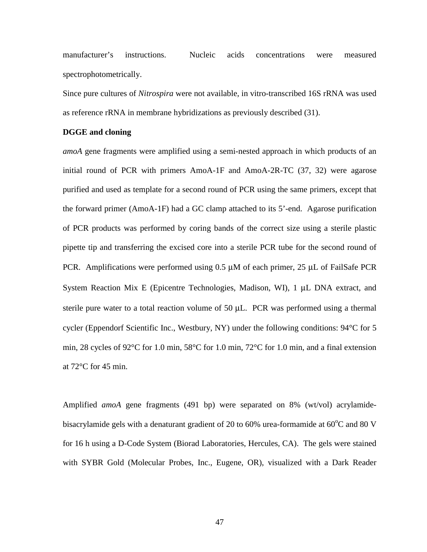manufacturer's instructions. Nucleic acids concentrations were measured spectrophotometrically.

Since pure cultures of *Nitrospira* were not available, in vitro-transcribed 16S rRNA was used as reference rRNA in membrane hybridizations as previously described (31).

#### **DGGE and cloning**

*amoA* gene fragments were amplified using a semi-nested approach in which products of an initial round of PCR with primers AmoA-1F and AmoA-2R-TC (37, 32) were agarose purified and used as template for a second round of PCR using the same primers, except that the forward primer (AmoA-1F) had a GC clamp attached to its 5'-end. Agarose purification of PCR products was performed by coring bands of the correct size using a sterile plastic pipette tip and transferring the excised core into a sterile PCR tube for the second round of PCR. Amplifications were performed using  $0.5 \mu M$  of each primer,  $25 \mu L$  of FailSafe PCR System Reaction Mix E (Epicentre Technologies, Madison, WI), 1 µL DNA extract, and sterile pure water to a total reaction volume of 50  $\mu$ L. PCR was performed using a thermal cycler (Eppendorf Scientific Inc., Westbury, NY) under the following conditions: 94°C for 5 min, 28 cycles of 92°C for 1.0 min, 58°C for 1.0 min, 72°C for 1.0 min, and a final extension at 72°C for 45 min.

Amplified *amoA* gene fragments (491 bp) were separated on 8% (wt/vol) acrylamidebisacrylamide gels with a denaturant gradient of 20 to 60% urea-formamide at  $60^{\circ}$ C and 80 V for 16 h using a D-Code System (Biorad Laboratories, Hercules, CA). The gels were stained with SYBR Gold (Molecular Probes, Inc., Eugene, OR), visualized with a Dark Reader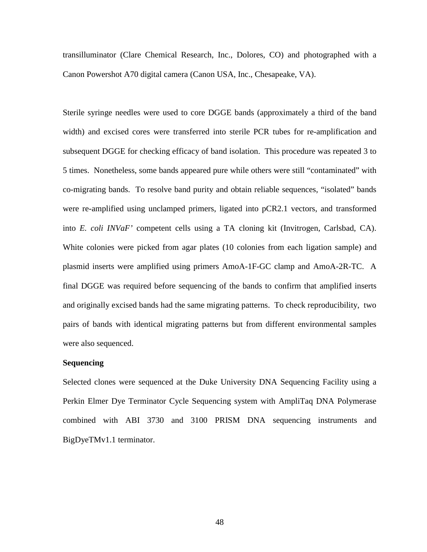transilluminator (Clare Chemical Research, Inc., Dolores, CO) and photographed with a Canon Powershot A70 digital camera (Canon USA, Inc., Chesapeake, VA).

Sterile syringe needles were used to core DGGE bands (approximately a third of the band width) and excised cores were transferred into sterile PCR tubes for re-amplification and subsequent DGGE for checking efficacy of band isolation. This procedure was repeated 3 to 5 times. Nonetheless, some bands appeared pure while others were still "contaminated" with co-migrating bands. To resolve band purity and obtain reliable sequences, "isolated" bands were re-amplified using unclamped primers, ligated into pCR2.1 vectors, and transformed into *E. coli INVaF'* competent cells using a TA cloning kit (Invitrogen, Carlsbad, CA). White colonies were picked from agar plates (10 colonies from each ligation sample) and plasmid inserts were amplified using primers AmoA-1F-GC clamp and AmoA-2R-TC. A final DGGE was required before sequencing of the bands to confirm that amplified inserts and originally excised bands had the same migrating patterns. To check reproducibility, two pairs of bands with identical migrating patterns but from different environmental samples were also sequenced.

#### **Sequencing**

Selected clones were sequenced at the Duke University DNA Sequencing Facility using a Perkin Elmer Dye Terminator Cycle Sequencing system with AmpliTaq DNA Polymerase combined with ABI 3730 and 3100 PRISM DNA sequencing instruments and BigDyeTMv1.1 terminator.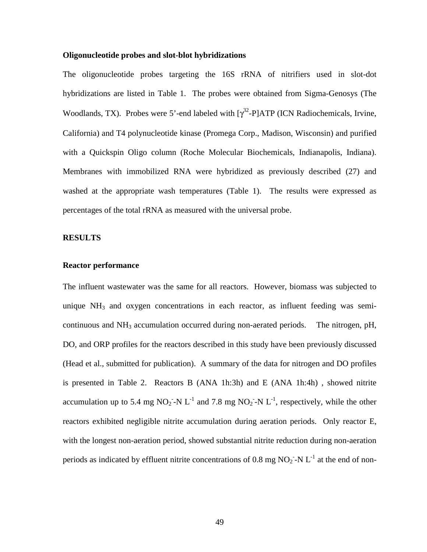#### **Oligonucleotide probes and slot-blot hybridizations**

The oligonucleotide probes targeting the 16S rRNA of nitrifiers used in slot-dot hybridizations are listed in Table 1. The probes were obtained from Sigma-Genosys (The Woodlands, TX). Probes were 5'-end labeled with  $[\gamma^{32}$ -P]ATP (ICN Radiochemicals, Irvine, California) and T4 polynucleotide kinase (Promega Corp., Madison, Wisconsin) and purified with a Quickspin Oligo column (Roche Molecular Biochemicals, Indianapolis, Indiana). Membranes with immobilized RNA were hybridized as previously described (27) and washed at the appropriate wash temperatures (Table 1). The results were expressed as percentages of the total rRNA as measured with the universal probe.

#### **RESULTS**

#### **Reactor performance**

The influent wastewater was the same for all reactors. However, biomass was subjected to unique  $NH<sub>3</sub>$  and oxygen concentrations in each reactor, as influent feeding was semicontinuous and  $NH<sub>3</sub>$  accumulation occurred during non-aerated periods. The nitrogen, pH, DO, and ORP profiles for the reactors described in this study have been previously discussed (Head et al., submitted for publication). A summary of the data for nitrogen and DO profiles is presented in Table 2. Reactors B (ANA 1h:3h) and E (ANA 1h:4h) , showed nitrite accumulation up to 5.4 mg NO<sub>2</sub> -N L<sup>-1</sup> and 7.8 mg NO<sub>2</sub> -N L<sup>-1</sup>, respectively, while the other reactors exhibited negligible nitrite accumulation during aeration periods. Only reactor E, with the longest non-aeration period, showed substantial nitrite reduction during non-aeration periods as indicated by effluent nitrite concentrations of 0.8 mg  $NO_2$  -N  $L^{-1}$  at the end of non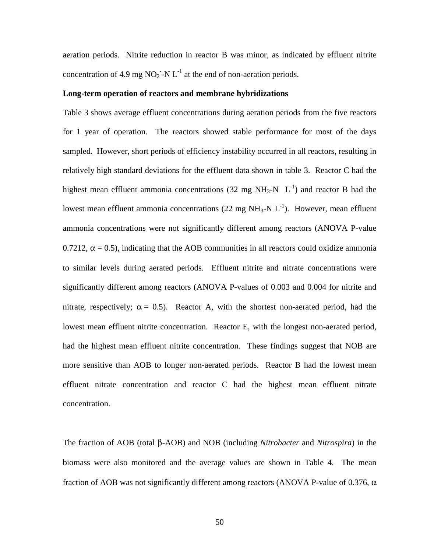aeration periods. Nitrite reduction in reactor B was minor, as indicated by effluent nitrite concentration of 4.9 mg  $NO_2^-$ -N  $L^{-1}$  at the end of non-aeration periods.

#### **Long-term operation of reactors and membrane hybridizations**

Table 3 shows average effluent concentrations during aeration periods from the five reactors for 1 year of operation. The reactors showed stable performance for most of the days sampled. However, short periods of efficiency instability occurred in all reactors, resulting in relatively high standard deviations for the effluent data shown in table 3. Reactor C had the highest mean effluent ammonia concentrations (32 mg NH<sub>3</sub>-N  $L^{-1}$ ) and reactor B had the lowest mean effluent ammonia concentrations (22 mg  $NH_3-N L^{-1}$ ). However, mean effluent ammonia concentrations were not significantly different among reactors (ANOVA P-value 0.7212,  $\alpha$  = 0.5), indicating that the AOB communities in all reactors could oxidize ammonia to similar levels during aerated periods. Effluent nitrite and nitrate concentrations were significantly different among reactors (ANOVA P-values of 0.003 and 0.004 for nitrite and nitrate, respectively;  $\alpha = 0.5$ ). Reactor A, with the shortest non-aerated period, had the lowest mean effluent nitrite concentration. Reactor E, with the longest non-aerated period, had the highest mean effluent nitrite concentration. These findings suggest that NOB are more sensitive than AOB to longer non-aerated periods. Reactor B had the lowest mean effluent nitrate concentration and reactor C had the highest mean effluent nitrate concentration.

The fraction of AOB (total β-AOB) and NOB (including *Nitrobacter* and *Nitrospira*) in the biomass were also monitored and the average values are shown in Table 4. The mean fraction of AOB was not significantly different among reactors (ANOVA P-value of 0.376,  $\alpha$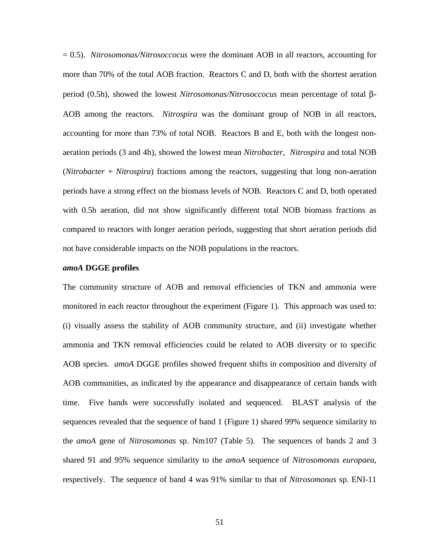= 0.5). *Nitrosomonas/Nitrosoccocus* were the dominant AOB in all reactors, accounting for more than 70% of the total AOB fraction. Reactors C and D, both with the shortest aeration period (0.5h), showed the lowest *Nitrosomonas/Nitrosoccocus* mean percentage of total β-AOB among the reactors. *Nitrospira* was the dominant group of NOB in all reactors, accounting for more than 73% of total NOB. Reactors B and E, both with the longest nonaeration periods (3 and 4h), showed the lowest mean *Nitrobacter, Nitrospira* and total NOB (*Nitrobacter* + *Nitrospira*) fractions among the reactors, suggesting that long non-aeration periods have a strong effect on the biomass levels of NOB. Reactors C and D, both operated with 0.5h aeration, did not show significantly different total NOB biomass fractions as compared to reactors with longer aeration periods, suggesting that short aeration periods did not have considerable impacts on the NOB populations in the reactors.

#### *amoA* **DGGE profiles**

The community structure of AOB and removal efficiencies of TKN and ammonia were monitored in each reactor throughout the experiment (Figure 1). This approach was used to: (i) visually assess the stability of AOB community structure, and (ii) investigate whether ammonia and TKN removal efficiencies could be related to AOB diversity or to specific AOB species. *amoA* DGGE profiles showed frequent shifts in composition and diversity of AOB communities, as indicated by the appearance and disappearance of certain bands with time. Five bands were successfully isolated and sequenced. BLAST analysis of the sequences revealed that the sequence of band 1 (Figure 1) shared 99% sequence similarity to the *amoA* gene of *Nitrosomonas* sp. Nm107 (Table 5). The sequences of bands 2 and 3 shared 91 and 95% sequence similarity to the *amoA* sequence of *Nitrosomonas europaea*, respectively. The sequence of band 4 was 91% similar to that of *Nitrosomonas* sp. ENI-11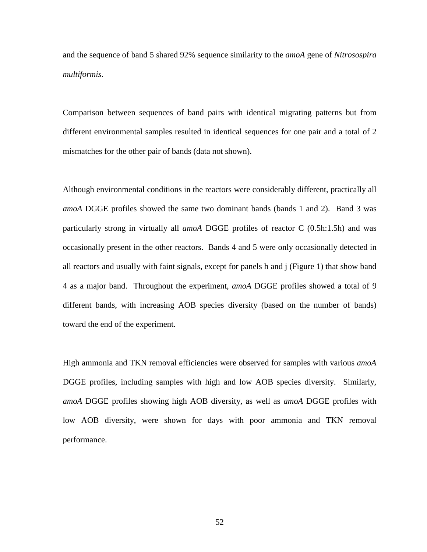and the sequence of band 5 shared 92% sequence similarity to the *amoA* gene of *Nitrosospira multiformis*.

Comparison between sequences of band pairs with identical migrating patterns but from different environmental samples resulted in identical sequences for one pair and a total of 2 mismatches for the other pair of bands (data not shown).

Although environmental conditions in the reactors were considerably different, practically all *amoA* DGGE profiles showed the same two dominant bands (bands 1 and 2). Band 3 was particularly strong in virtually all *amoA* DGGE profiles of reactor C (0.5h:1.5h) and was occasionally present in the other reactors. Bands 4 and 5 were only occasionally detected in all reactors and usually with faint signals, except for panels h and j (Figure 1) that show band 4 as a major band. Throughout the experiment, *amoA* DGGE profiles showed a total of 9 different bands, with increasing AOB species diversity (based on the number of bands) toward the end of the experiment.

High ammonia and TKN removal efficiencies were observed for samples with various *amoA* DGGE profiles, including samples with high and low AOB species diversity. Similarly, *amoA* DGGE profiles showing high AOB diversity, as well as *amoA* DGGE profiles with low AOB diversity, were shown for days with poor ammonia and TKN removal performance.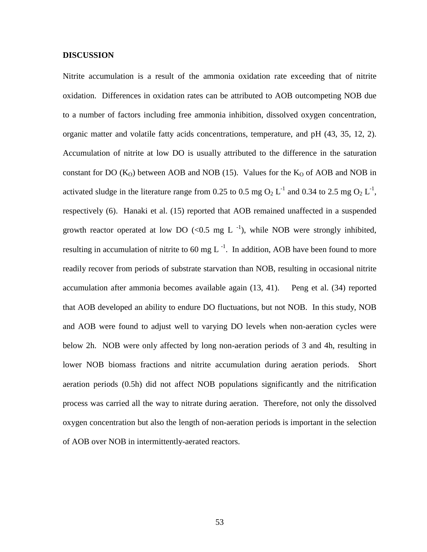#### **DISCUSSION**

Nitrite accumulation is a result of the ammonia oxidation rate exceeding that of nitrite oxidation. Differences in oxidation rates can be attributed to AOB outcompeting NOB due to a number of factors including free ammonia inhibition, dissolved oxygen concentration, organic matter and volatile fatty acids concentrations, temperature, and pH (43, 35, 12, 2). Accumulation of nitrite at low DO is usually attributed to the difference in the saturation constant for DO  $(K<sub>O</sub>)$  between AOB and NOB (15). Values for the  $K<sub>O</sub>$  of AOB and NOB in activated sludge in the literature range from 0.25 to 0.5 mg  $O_2 L^{-1}$  and 0.34 to 2.5 mg  $O_2 L^{-1}$ , respectively (6). Hanaki et al. (15) reported that AOB remained unaffected in a suspended growth reactor operated at low DO  $\left($ <0.5 mg L<sup>-1</sup>), while NOB were strongly inhibited, resulting in accumulation of nitrite to 60 mg  $L^{-1}$ . In addition, AOB have been found to more readily recover from periods of substrate starvation than NOB, resulting in occasional nitrite accumulation after ammonia becomes available again (13, 41). Peng et al. (34) reported that AOB developed an ability to endure DO fluctuations, but not NOB. In this study, NOB and AOB were found to adjust well to varying DO levels when non-aeration cycles were below 2h. NOB were only affected by long non-aeration periods of 3 and 4h, resulting in lower NOB biomass fractions and nitrite accumulation during aeration periods. Short aeration periods (0.5h) did not affect NOB populations significantly and the nitrification process was carried all the way to nitrate during aeration. Therefore, not only the dissolved oxygen concentration but also the length of non-aeration periods is important in the selection of AOB over NOB in intermittently-aerated reactors.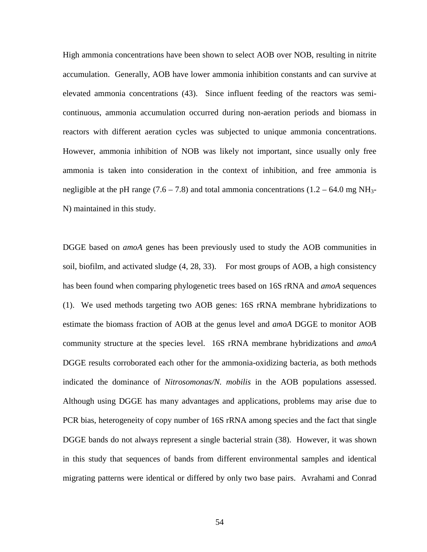High ammonia concentrations have been shown to select AOB over NOB, resulting in nitrite accumulation. Generally, AOB have lower ammonia inhibition constants and can survive at elevated ammonia concentrations (43). Since influent feeding of the reactors was semicontinuous, ammonia accumulation occurred during non-aeration periods and biomass in reactors with different aeration cycles was subjected to unique ammonia concentrations. However, ammonia inhibition of NOB was likely not important, since usually only free ammonia is taken into consideration in the context of inhibition, and free ammonia is negligible at the pH range (7.6 – 7.8) and total ammonia concentrations (1.2 – 64.0 mg NH<sub>3</sub>-N) maintained in this study.

DGGE based on *amoA* genes has been previously used to study the AOB communities in soil, biofilm, and activated sludge (4, 28, 33). For most groups of AOB, a high consistency has been found when comparing phylogenetic trees based on 16S rRNA and *amoA* sequences (1). We used methods targeting two AOB genes: 16S rRNA membrane hybridizations to estimate the biomass fraction of AOB at the genus level and *amoA* DGGE to monitor AOB community structure at the species level. 16S rRNA membrane hybridizations and *amoA* DGGE results corroborated each other for the ammonia-oxidizing bacteria, as both methods indicated the dominance of *Nitrosomonas/N. mobilis* in the AOB populations assessed. Although using DGGE has many advantages and applications, problems may arise due to PCR bias, heterogeneity of copy number of 16S rRNA among species and the fact that single DGGE bands do not always represent a single bacterial strain (38). However, it was shown in this study that sequences of bands from different environmental samples and identical migrating patterns were identical or differed by only two base pairs. Avrahami and Conrad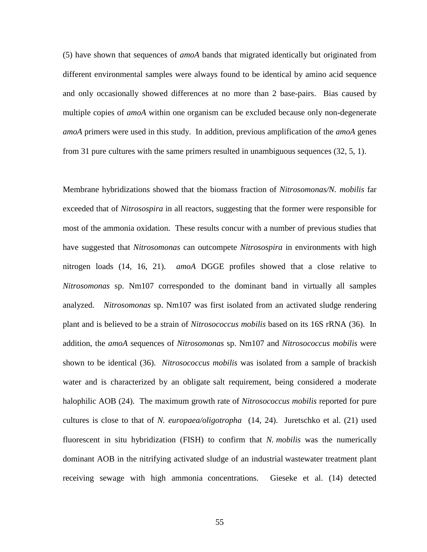(5) have shown that sequences of *amoA* bands that migrated identically but originated from different environmental samples were always found to be identical by amino acid sequence and only occasionally showed differences at no more than 2 base-pairs. Bias caused by multiple copies of *amoA* within one organism can be excluded because only non-degenerate *amoA* primers were used in this study. In addition, previous amplification of the *amoA* genes from 31 pure cultures with the same primers resulted in unambiguous sequences (32, 5, 1).

Membrane hybridizations showed that the biomass fraction of *Nitrosomonas/N. mobilis* far exceeded that of *Nitrosospira* in all reactors, suggesting that the former were responsible for most of the ammonia oxidation. These results concur with a number of previous studies that have suggested that *Nitrosomonas* can outcompete *Nitrosospira* in environments with high nitrogen loads (14, 16, 21). *amoA* DGGE profiles showed that a close relative to *Nitrosomonas* sp. Nm107 corresponded to the dominant band in virtually all samples analyzed. *Nitrosomonas* sp. Nm107 was first isolated from an activated sludge rendering plant and is believed to be a strain of *Nitrosococcus mobilis* based on its 16S rRNA (36). In addition, the *amoA* sequences of *Nitrosomonas* sp. Nm107 and *Nitrosococcus mobilis* were shown to be identical (36). *Nitrosococcus mobilis* was isolated from a sample of brackish water and is characterized by an obligate salt requirement, being considered a moderate halophilic AOB (24). The maximum growth rate of *Nitrosococcus mobilis* reported for pure cultures is close to that of *N. europaea/oligotropha* (14, 24). Juretschko et al. (21) used fluorescent in situ hybridization (FISH) to confirm that *N. mobilis* was the numerically dominant AOB in the nitrifying activated sludge of an industrial wastewater treatment plant receiving sewage with high ammonia concentrations. Gieseke et al. (14) detected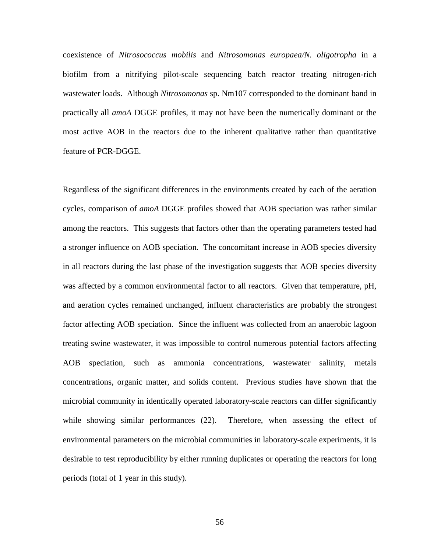coexistence of *Nitrosococcus mobilis* and *Nitrosomonas europaea/N. oligotropha* in a biofilm from a nitrifying pilot-scale sequencing batch reactor treating nitrogen-rich wastewater loads. Although *Nitrosomonas* sp. Nm107 corresponded to the dominant band in practically all *amoA* DGGE profiles, it may not have been the numerically dominant or the most active AOB in the reactors due to the inherent qualitative rather than quantitative feature of PCR-DGGE.

Regardless of the significant differences in the environments created by each of the aeration cycles, comparison of *amoA* DGGE profiles showed that AOB speciation was rather similar among the reactors. This suggests that factors other than the operating parameters tested had a stronger influence on AOB speciation. The concomitant increase in AOB species diversity in all reactors during the last phase of the investigation suggests that AOB species diversity was affected by a common environmental factor to all reactors. Given that temperature, pH, and aeration cycles remained unchanged, influent characteristics are probably the strongest factor affecting AOB speciation. Since the influent was collected from an anaerobic lagoon treating swine wastewater, it was impossible to control numerous potential factors affecting AOB speciation, such as ammonia concentrations, wastewater salinity, metals concentrations, organic matter, and solids content. Previous studies have shown that the microbial community in identically operated laboratory-scale reactors can differ significantly while showing similar performances (22). Therefore, when assessing the effect of environmental parameters on the microbial communities in laboratory-scale experiments, it is desirable to test reproducibility by either running duplicates or operating the reactors for long periods (total of 1 year in this study).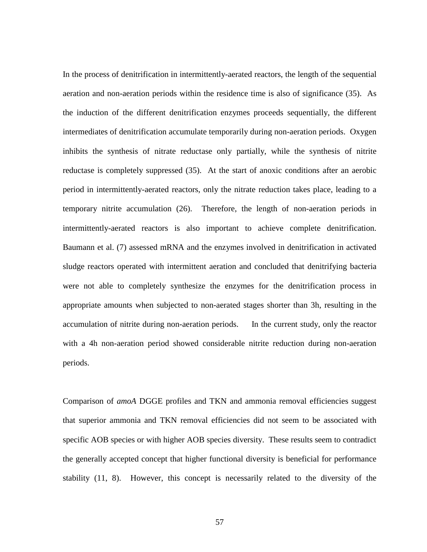In the process of denitrification in intermittently-aerated reactors, the length of the sequential aeration and non-aeration periods within the residence time is also of significance (35). As the induction of the different denitrification enzymes proceeds sequentially, the different intermediates of denitrification accumulate temporarily during non-aeration periods. Oxygen inhibits the synthesis of nitrate reductase only partially, while the synthesis of nitrite reductase is completely suppressed (35). At the start of anoxic conditions after an aerobic period in intermittently-aerated reactors, only the nitrate reduction takes place, leading to a temporary nitrite accumulation (26). Therefore, the length of non-aeration periods in intermittently-aerated reactors is also important to achieve complete denitrification. Baumann et al. (7) assessed mRNA and the enzymes involved in denitrification in activated sludge reactors operated with intermittent aeration and concluded that denitrifying bacteria were not able to completely synthesize the enzymes for the denitrification process in appropriate amounts when subjected to non-aerated stages shorter than 3h, resulting in the accumulation of nitrite during non-aeration periods. In the current study, only the reactor with a 4h non-aeration period showed considerable nitrite reduction during non-aeration periods.

Comparison of *amoA* DGGE profiles and TKN and ammonia removal efficiencies suggest that superior ammonia and TKN removal efficiencies did not seem to be associated with specific AOB species or with higher AOB species diversity. These results seem to contradict the generally accepted concept that higher functional diversity is beneficial for performance stability (11, 8). However, this concept is necessarily related to the diversity of the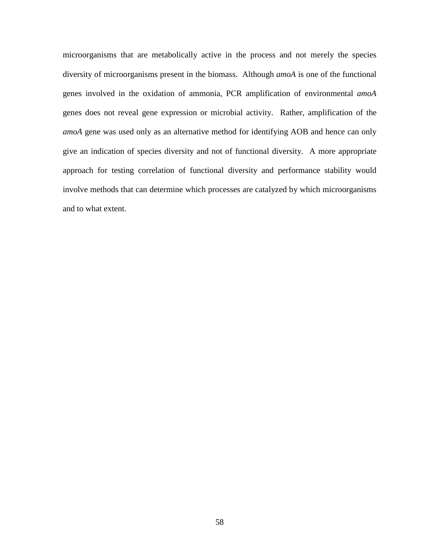microorganisms that are metabolically active in the process and not merely the species diversity of microorganisms present in the biomass. Although *amoA* is one of the functional genes involved in the oxidation of ammonia, PCR amplification of environmental *amoA* genes does not reveal gene expression or microbial activity. Rather, amplification of the *amoA* gene was used only as an alternative method for identifying AOB and hence can only give an indication of species diversity and not of functional diversity. A more appropriate approach for testing correlation of functional diversity and performance stability would involve methods that can determine which processes are catalyzed by which microorganisms and to what extent.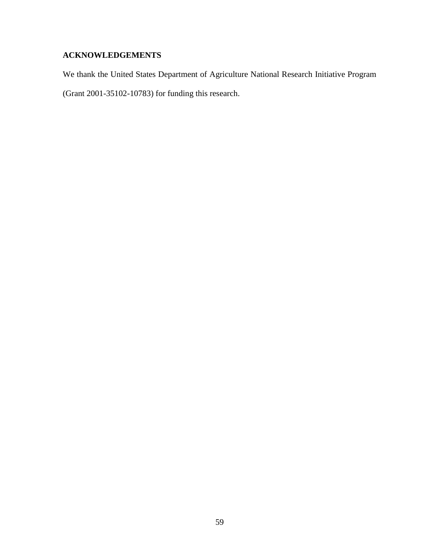## **ACKNOWLEDGEMENTS**

We thank the United States Department of Agriculture National Research Initiative Program (Grant 2001-35102-10783) for funding this research.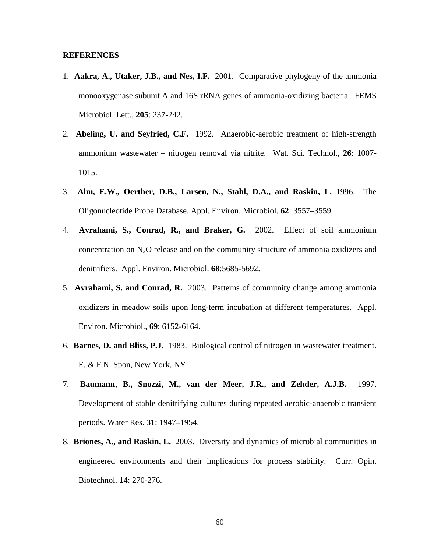#### **REFERENCES**

- 1. **Aakra, A., Utaker, J.B., and Nes, I.F.** 2001. Comparative phylogeny of the ammonia monooxygenase subunit A and 16S rRNA genes of ammonia-oxidizing bacteria. FEMS Microbiol. Lett., **205**: 237-242.
- 2. **Abeling, U. and Seyfried, C.F.** 1992. Anaerobic-aerobic treatment of high-strength ammonium wastewater – nitrogen removal via nitrite. Wat. Sci. Technol., **26**: 1007- 1015.
- 3. **Alm, E.W., Oerther, D.B., Larsen, N., Stahl, D.A., and Raskin, L.** 1996. The Oligonucleotide Probe Database. Appl. Environ. Microbiol. **62**: 3557–3559.
- 4. **Avrahami, S., Conrad, R., and Braker, G.** 2002. Effect of soil ammonium concentration on  $N_2O$  release and on the community structure of ammonia oxidizers and denitrifiers. Appl. Environ. Microbiol. **68**:5685-5692.
- 5. **Avrahami, S. and Conrad, R.** 2003. Patterns of community change among ammonia oxidizers in meadow soils upon long-term incubation at different temperatures. Appl. Environ. Microbiol., **69**: 6152-6164.
- 6. **Barnes, D. and Bliss, P.J.** 1983. Biological control of nitrogen in wastewater treatment. E. & F.N. Spon, New York, NY.
- 7. **Baumann, B., Snozzi, M., van der Meer, J.R., and Zehder, A.J.B.** 1997. Development of stable denitrifying cultures during repeated aerobic-anaerobic transient periods. Water Res. **31**: 1947–1954.
- 8. **Briones, A., and Raskin, L.** 2003. Diversity and dynamics of microbial communities in engineered environments and their implications for process stability. Curr. Opin. Biotechnol. **14**: 270-276.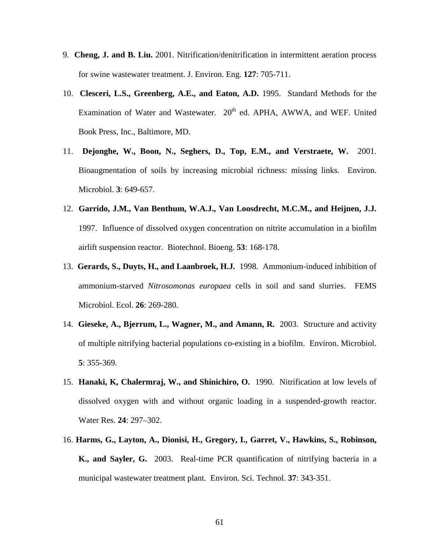- 9. **Cheng, J. and B. Liu.** 2001. Nitrification/denitrification in intermittent aeration process for swine wastewater treatment. J. Environ. Eng. **127**: 705-711.
- 10. **Clesceri, L.S., Greenberg, A.E., and Eaton, A.D.** 1995. Standard Methods for the Examination of Water and Wastewater. 20<sup>th</sup> ed. APHA, AWWA, and WEF. United Book Press, Inc., Baltimore, MD.
- 11. **Dejonghe, W., Boon, N., Seghers, D., Top, E.M., and Verstraete, W.** 2001. Bioaugmentation of soils by increasing microbial richness: missing links. Environ. Microbiol. **3**: 649-657.
- 12. **Garrido, J.M., Van Benthum, W.A.J., Van Loosdrecht, M.C.M., and Heijnen, J.J.** 1997. Influence of dissolved oxygen concentration on nitrite accumulation in a biofilm airlift suspension reactor. Biotechnol. Bioeng. **53**: 168-178.
- 13. **Gerards, S., Duyts, H., and Laanbroek, H.J.** 1998. Ammonium-induced inhibition of ammonium-starved *Nitrosomonas europaea* cells in soil and sand slurries. FEMS Microbiol. Ecol. **26**: 269-280.
- 14. **Gieseke, A., Bjerrum, L., Wagner, M., and Amann, R.** 2003. Structure and activity of multiple nitrifying bacterial populations co-existing in a biofilm. Environ. Microbiol. **5**: 355-369.
- 15. **Hanaki, K, Chalermraj, W., and Shinichiro, O.** 1990. Nitrification at low levels of dissolved oxygen with and without organic loading in a suspended-growth reactor. Water Res. **24**: 297–302.
- 16. **Harms, G., Layton, A., Dionisi, H., Gregory, I., Garret, V., Hawkins, S., Robinson, K., and Sayler, G.** 2003. Real-time PCR quantification of nitrifying bacteria in a municipal wastewater treatment plant. Environ. Sci. Technol. **37**: 343-351.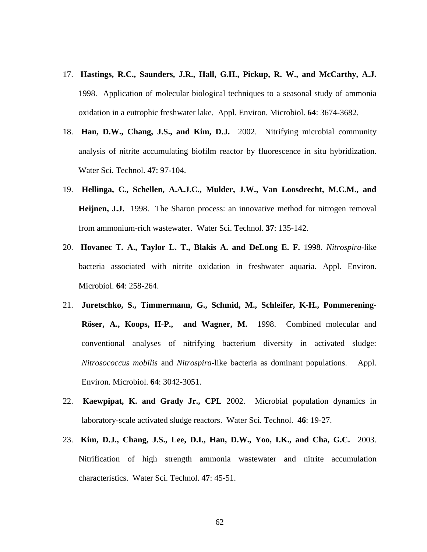- 17. **Hastings, R.C., Saunders, J.R., Hall, G.H., Pickup, R. W., and McCarthy, A.J.** 1998. Application of molecular biological techniques to a seasonal study of ammonia oxidation in a eutrophic freshwater lake. Appl. Environ. Microbiol. **64**: 3674-3682.
- 18. **Han, D.W., Chang, J.S., and Kim, D.J.** 2002. Nitrifying microbial community analysis of nitrite accumulating biofilm reactor by fluorescence in situ hybridization. Water Sci. Technol. **47**: 97-104.
- 19. **Hellinga, C., Schellen, A.A.J.C., Mulder, J.W., Van Loosdrecht, M.C.M., and Heijnen, J.J.** 1998. The Sharon process: an innovative method for nitrogen removal from ammonium-rich wastewater. Water Sci. Technol. **37**: 135-142.
- 20. **Hovanec T. A., Taylor L. T., Blakis A. and DeLong E. F.** 1998. *Nitrospira*-like bacteria associated with nitrite oxidation in freshwater aquaria. Appl. Environ. Microbiol. **64**: 258-264.
- 21. **Juretschko, S., Timmermann, G., Schmid, M., Schleifer, K-H., Pommerening-Röser, A., Koops, H-P., and Wagner, M.** 1998. Combined molecular and conventional analyses of nitrifying bacterium diversity in activated sludge: *Nitrosococcus mobilis* and *Nitrospira*-like bacteria as dominant populations. Appl. Environ. Microbiol. **64**: 3042-3051.
- 22. **Kaewpipat, K. and Grady Jr., CPL** 2002. Microbial population dynamics in laboratory-scale activated sludge reactors. Water Sci. Technol. **46**: 19-27.
- 23. **Kim, D.J., Chang, J.S., Lee, D.I., Han, D.W., Yoo, I.K., and Cha, G.C.** 2003. Nitrification of high strength ammonia wastewater and nitrite accumulation characteristics. Water Sci. Technol. **47**: 45-51.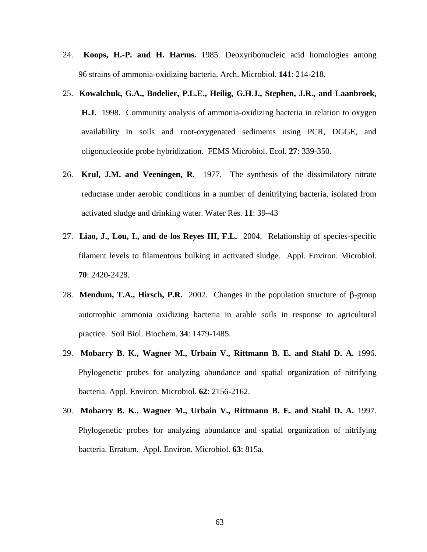- 24. **Koops, H.-P. and H. Harms.** 1985. Deoxyribonucleic acid homologies among 96 strains of ammonia-oxidizing bacteria. Arch. Microbiol. **141**: 214-218.
- 25. **Kowalchuk, G.A., Bodelier, P.L.E., Heilig, G.H.J., Stephen, J.R., and Laanbroek, H.J.** 1998. Community analysis of ammonia-oxidizing bacteria in relation to oxygen availability in soils and root-oxygenated sediments using PCR, DGGE, and oligonucleotide probe hybridization. FEMS Microbiol. Ecol. **27**: 339-350.
- 26. **Krul, J.M. and Veeningen, R.** 1977. The synthesis of the dissimilatory nitrate reductase under aerobic conditions in a number of denitrifying bacteria, isolated from activated sludge and drinking water. Water Res. **11**: 39–43
- 27. **Liao, J., Lou, I., and de los Reyes III, F.L.** 2004. Relationship of species-specific filament levels to filamentous bulking in activated sludge. Appl. Environ. Microbiol. **70**: 2420-2428.
- 28. **Mendum, T.A., Hirsch, P.R.** 2002. Changes in the population structure of β-group autotrophic ammonia oxidizing bacteria in arable soils in response to agricultural practice. Soil Biol. Biochem. **34**: 1479-1485.
- 29. **Mobarry B. K., Wagner M., Urbain V., Rittmann B. E. and Stahl D. A.** 1996. Phylogenetic probes for analyzing abundance and spatial organization of nitrifying bacteria. Appl. Environ. Microbiol. **62**: 2156-2162.
- 30. **Mobarry B. K., Wagner M., Urbain V., Rittmann B. E. and Stahl D. A.** 1997. Phylogenetic probes for analyzing abundance and spatial organization of nitrifying bacteria. Erratum. Appl. Environ. Microbiol. **63**: 815a.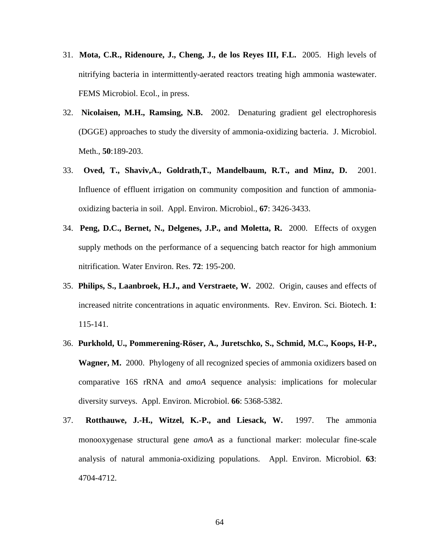- 31. **Mota, C.R., Ridenoure, J., Cheng, J., de los Reyes III, F.L.** 2005. High levels of nitrifying bacteria in intermittently-aerated reactors treating high ammonia wastewater. FEMS Microbiol. Ecol., in press.
- 32. **Nicolaisen, M.H., Ramsing, N.B.** 2002. Denaturing gradient gel electrophoresis (DGGE) approaches to study the diversity of ammonia-oxidizing bacteria. J. Microbiol. Meth., **50**:189-203.
- 33. **Oved, T., Shaviv,A., Goldrath,T., Mandelbaum, R.T., and Minz, D.** 2001. Influence of effluent irrigation on community composition and function of ammoniaoxidizing bacteria in soil. Appl. Environ. Microbiol., **67**: 3426-3433.
- 34. **Peng, D.C., Bernet, N., Delgenes, J.P., and Moletta, R.** 2000. Effects of oxygen supply methods on the performance of a sequencing batch reactor for high ammonium nitrification. Water Environ. Res. **72**: 195-200.
- 35. **Philips, S., Laanbroek, H.J., and Verstraete, W.** 2002. Origin, causes and effects of increased nitrite concentrations in aquatic environments. Rev. Environ. Sci. Biotech. **1**: 115-141.
- 36. **Purkhold, U., Pommerening-Röser, A., Juretschko, S., Schmid, M.C., Koops, H-P., Wagner, M.** 2000. Phylogeny of all recognized species of ammonia oxidizers based on comparative 16S rRNA and *amoA* sequence analysis: implications for molecular diversity surveys. Appl. Environ. Microbiol. **66**: 5368-5382.
- 37. **Rotthauwe, J.-H., Witzel, K.-P., and Liesack, W.** 1997. The ammonia monooxygenase structural gene *amoA* as a functional marker: molecular fine-scale analysis of natural ammonia-oxidizing populations. Appl. Environ. Microbiol. **63**: 4704-4712.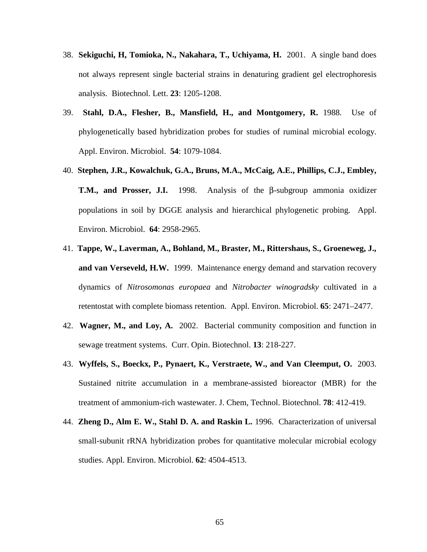- 38. **Sekiguchi, H, Tomioka, N., Nakahara, T., Uchiyama, H.** 2001. A single band does not always represent single bacterial strains in denaturing gradient gel electrophoresis analysis. Biotechnol. Lett. **23**: 1205-1208.
- 39. **Stahl, D.A., Flesher, B., Mansfield, H., and Montgomery, R.** 1988. Use of phylogenetically based hybridization probes for studies of ruminal microbial ecology. Appl. Environ. Microbiol. **54**: 1079-1084.
- 40. **Stephen, J.R., Kowalchuk, G.A., Bruns, M.A., McCaig, A.E., Phillips, C.J., Embley, T.M., and Prosser, J.I.** 1998. Analysis of the β-subgroup ammonia oxidizer populations in soil by DGGE analysis and hierarchical phylogenetic probing. Appl. Environ. Microbiol. **64**: 2958-2965.
- 41. **Tappe, W., Laverman, A., Bohland, M., Braster, M., Rittershaus, S., Groeneweg, J., and van Verseveld, H.W.** 1999. Maintenance energy demand and starvation recovery dynamics of *Nitrosomonas europaea* and *Nitrobacter winogradsky* cultivated in a retentostat with complete biomass retention. Appl. Environ. Microbiol. **65**: 2471–2477.
- 42. **Wagner, M., and Loy, A.** 2002. Bacterial community composition and function in sewage treatment systems. Curr. Opin. Biotechnol. **13**: 218-227.
- 43. **Wyffels, S., Boeckx, P., Pynaert, K., Verstraete, W., and Van Cleemput, O.** 2003. Sustained nitrite accumulation in a membrane-assisted bioreactor (MBR) for the treatment of ammonium-rich wastewater. J. Chem, Technol. Biotechnol. **78**: 412-419.
- 44. **Zheng D., Alm E. W., Stahl D. A. and Raskin L.** 1996. Characterization of universal small-subunit rRNA hybridization probes for quantitative molecular microbial ecology studies. Appl. Environ. Microbiol. **62**: 4504-4513.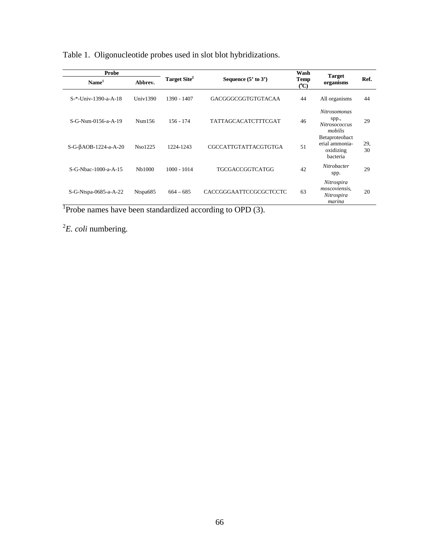| Probe                 |                     |               |                                                     | Wash |                                                           |           |
|-----------------------|---------------------|---------------|-----------------------------------------------------|------|-----------------------------------------------------------|-----------|
| Name <sup>1</sup>     | Abbrev.             |               | Target Site <sup>2</sup><br>Sequence $(5'$ to $3')$ |      | <b>Target</b><br>organisms                                | Ref.      |
| S-*-Univ-1390-a-A-18  | Univ $1390$         | 1390 - 1407   | GACGGGCGGTGTGTACAA                                  | 44   | All organisms                                             | 44        |
| S-G-Nsm-0156-a-A-19   | Nsm156              | $156 - 174$   | TATTAGCACATCTTTCGAT                                 | 46   | <b>Nitrosomonas</b><br>spp.,<br>Nitrosococcus<br>mobilis  | 29        |
| S-G-βAOB-1224-a-A-20  | Nso1225             | 1224-1243     | <b>CGCCATTGTATTACGTGTGA</b>                         | 51   | Betaproteobact<br>erial ammonia-<br>oxidizing<br>bacteria | 29.<br>30 |
| S-G-Nbac-1000-a-A-15  | N <sub>b</sub> 1000 | $1000 - 1014$ | <b>TGCGACCGGTCATGG</b>                              | 42   | Nitrobacter<br>spp.                                       | 29        |
| S-G-Ntspa-0685-a-A-22 | Ntspa685            | $664 - 685$   | CACCGGGAATTCCGCGCTCCTC                              | 63   | Nitrospira<br>moscoviensis,<br>Nitrospira<br>marina       | 20        |

Table 1. Oligonucleotide probes used in slot blot hybridizations.

<sup>1</sup>Probe names have been standardized according to OPD (3).

2 *E. coli* numbering.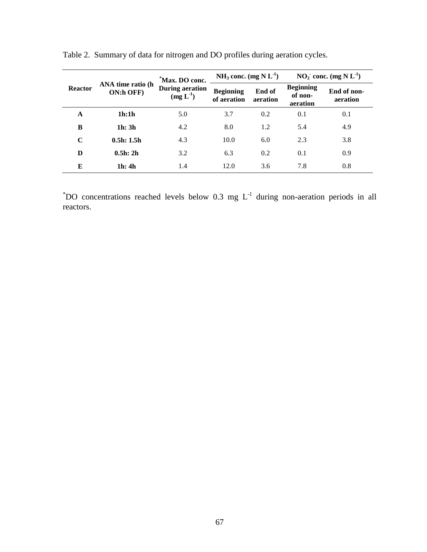| <b>Reactor</b> | ANA time ratio (h<br>ON:h OFF)  | *Max. DO conc.<br><b>During aeration</b><br>(mg L <sup>1</sup> ) | NH <sub>3</sub> conc. $(mg N L-1)$ |                    | $NO2$ conc. (mg N L <sup>1</sup> )      |                         |
|----------------|---------------------------------|------------------------------------------------------------------|------------------------------------|--------------------|-----------------------------------------|-------------------------|
|                |                                 |                                                                  | <b>Beginning</b><br>of aeration    | End of<br>aeration | <b>Beginning</b><br>of non-<br>aeration | End of non-<br>aeration |
| A              | 1h:1h                           | 5.0                                                              | 3.7                                | 0.2                | 0.1                                     | 0.1                     |
| B              | 1 <sub>h</sub> : 3 <sub>h</sub> | 4.2                                                              | 8.0                                | 1.2                | 5.4                                     | 4.9                     |
| $\mathbf C$    | 0.5h: 1.5h                      | 4.3                                                              | 10.0                               | 6.0                | 2.3                                     | 3.8                     |
| D              | 0.5h: 2h                        | 3.2                                                              | 6.3                                | 0.2                | 0.1                                     | 0.9                     |
| E              | 1h: 4h                          | 1.4                                                              | 12.0                               | 3.6                | 7.8                                     | 0.8                     |

Table 2. Summary of data for nitrogen and DO profiles during aeration cycles.

 $*$ DO concentrations reached levels below 0.3 mg L<sup>-1</sup> during non-aeration periods in all reactors.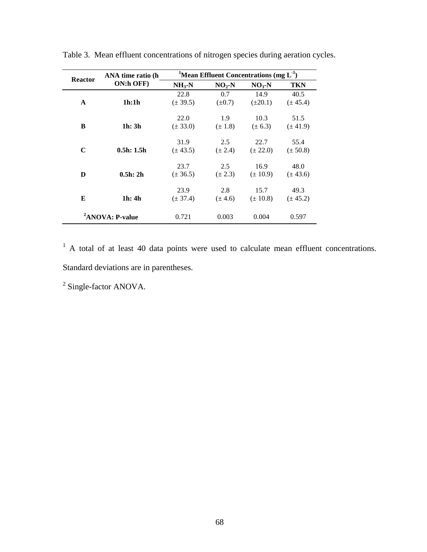| <b>Reactor</b>              | ANA time ratio (h               | <sup>1</sup> Mean Effluent Concentrations (mg $L^1$ ) |             |              |              |  |
|-----------------------------|---------------------------------|-------------------------------------------------------|-------------|--------------|--------------|--|
|                             | ON:h OFF)                       | $NH_{3}-N$                                            | $NO2$ -N    | $NO3$ -N     | <b>TKN</b>   |  |
|                             |                                 | 22.8                                                  | 0.7         | 14.9         | 40.5         |  |
| $\mathbf{A}$                | 1h:1h                           | $(\pm 39.5)$                                          | $(\pm 0.7)$ | $(\pm 20.1)$ | $(\pm 45.4)$ |  |
|                             |                                 | 22.0                                                  | 1.9         | 10.3         | 51.5         |  |
| B                           | 1 <sub>h</sub> : 3 <sub>h</sub> | $(\pm 33.0)$                                          | $(\pm 1.8)$ | $(\pm 6.3)$  | $(\pm 41.9)$ |  |
|                             |                                 | 31.9                                                  | 2.5         | 22.7         | 55.4         |  |
| $\mathbf C$                 | 0.5h: 1.5h                      | $(\pm 43.5)$                                          | $(\pm 2.4)$ | $(\pm 22.0)$ | $(\pm 50.8)$ |  |
|                             |                                 | 23.7                                                  | 2.5         | 16.9         | 48.0         |  |
| D                           | 0.5h: 2h                        | $(\pm 36.5)$                                          | $(\pm 2.3)$ | $(\pm 10.9)$ | $(\pm 43.6)$ |  |
|                             |                                 | 23.9                                                  | 2.8         | 15.7         | 49.3         |  |
| E                           | 1h: 4h                          | $(\pm 37.4)$                                          | $(\pm 4.6)$ | $(\pm 10.8)$ | $(\pm 45.2)$ |  |
| <sup>2</sup> ANOVA: P-value |                                 | 0.721                                                 | 0.003       | 0.004        | 0.597        |  |

Table 3. Mean effluent concentrations of nitrogen species during aeration cycles.

<sup>1</sup> A total of at least 40 data points were used to calculate mean effluent concentrations. Standard deviations are in parentheses.

 $2$  Single-factor ANOVA.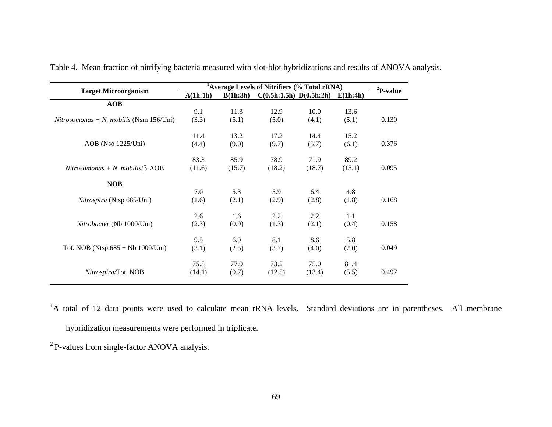| <b>Target Microorganism</b>             | <sup>1</sup> Average Levels of Nitrifiers (% Total rRNA) | ${}^{2}P$ -value |                         |        |          |       |
|-----------------------------------------|----------------------------------------------------------|------------------|-------------------------|--------|----------|-------|
|                                         | A(1h:1h)                                                 | B(1h:3h)         | C(0.5h:1.5h) D(0.5h:2h) |        | E(1h:4h) |       |
| AOB                                     |                                                          |                  |                         |        |          |       |
|                                         | 9.1                                                      | 11.3             | 12.9                    | 10.0   | 13.6     |       |
| Nitrosomonas + N. mobilis (Nsm 156/Uni) | (3.3)                                                    | (5.1)            | (5.0)                   | (4.1)  | (5.1)    | 0.130 |
|                                         | 11.4                                                     | 13.2             | 17.2                    | 14.4   | 15.2     |       |
| AOB (Nso 1225/Uni)                      | (4.4)                                                    | (9.0)            | (9.7)                   | (5.7)  | (6.1)    | 0.376 |
|                                         | 83.3                                                     | 85.9             | 78.9                    | 71.9   | 89.2     |       |
| Nitrosomonas + N. mobilis/ $\beta$ -AOB | (11.6)                                                   | (15.7)           | (18.2)                  | (18.7) | (15.1)   | 0.095 |
| <b>NOB</b>                              |                                                          |                  |                         |        |          |       |
|                                         | 7.0                                                      | 5.3              | 5.9                     | 6.4    | 4.8      |       |
| Nitrospira (Ntsp 685/Uni)               | (1.6)                                                    | (2.1)            | (2.9)                   | (2.8)  | (1.8)    | 0.168 |
|                                         | 2.6                                                      | 1.6              | 2.2                     | 2.2    | 1.1      |       |
| <i>Nitrobacter</i> (Nb 1000/Uni)        | (2.3)                                                    | (0.9)            | (1.3)                   | (2.1)  | (0.4)    | 0.158 |
|                                         | 9.5                                                      | 6.9              | 8.1                     | 8.6    | 5.8      |       |
| Tot. NOB (Ntsp $685 + Nb$ 1000/Uni)     | (3.1)                                                    | (2.5)            | (3.7)                   | (4.0)  | (2.0)    | 0.049 |
|                                         | 75.5                                                     | 77.0             | 73.2                    | 75.0   | 81.4     |       |
| <i>Nitrospira/Tot. NOB</i>              | (14.1)                                                   | (9.7)            | (12.5)                  | (13.4) | (5.5)    | 0.497 |

Table 4. Mean fraction of nitrifying bacteria measured with slot-blot hybridizations and results of ANOVA analysis.

<sup>1</sup>A total of 12 data points were used to calculate mean rRNA levels. Standard deviations are in parentheses. All membrane hybridization measurements were performed in triplicate.

2 P-values from single-factor ANOVA analysis.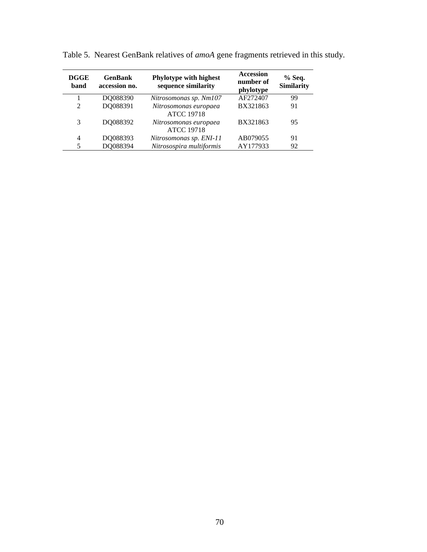| <b>DGGE</b><br>band | <b>GenBank</b><br>accession no. | Phylotype with highest<br>sequence similarity | <b>Accession</b><br>number of<br>phylotype | $%$ Seq.<br>Similarity |  |
|---------------------|---------------------------------|-----------------------------------------------|--------------------------------------------|------------------------|--|
|                     | DQ088390                        | Nitrosomonas sp. Nm107                        | AF272407                                   | 99                     |  |
| $\mathfrak{D}$      | DQ088391                        | Nitrosomonas europaea<br><b>ATCC 19718</b>    | BX321863                                   | 91                     |  |
| 3                   | DO088392                        | Nitrosomonas europaea<br><b>ATCC 19718</b>    | BX321863                                   | 95                     |  |
| 4                   | DQ088393                        | Nitrosomonas sp. ENI-11                       | AB079055                                   | 91                     |  |
| 5                   | DQ088394                        | Nitrosospira multiformis                      | AY177933                                   | 92                     |  |

Table 5. Nearest GenBank relatives of *amoA* gene fragments retrieved in this study.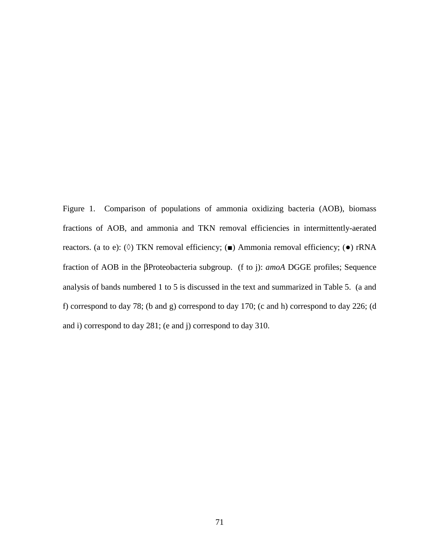Figure 1. Comparison of populations of ammonia oxidizing bacteria (AOB), biomass fractions of AOB, and ammonia and TKN removal efficiencies in intermittently-aerated reactors. (a to e): ( $\Diamond$ ) TKN removal efficiency; (■) Ammonia removal efficiency; (●) rRNA fraction of AOB in the βProteobacteria subgroup. (f to j): *amoA* DGGE profiles; Sequence analysis of bands numbered 1 to 5 is discussed in the text and summarized in Table 5. (a and f) correspond to day 78; (b and g) correspond to day 170; (c and h) correspond to day 226; (d and i) correspond to day 281; (e and j) correspond to day 310.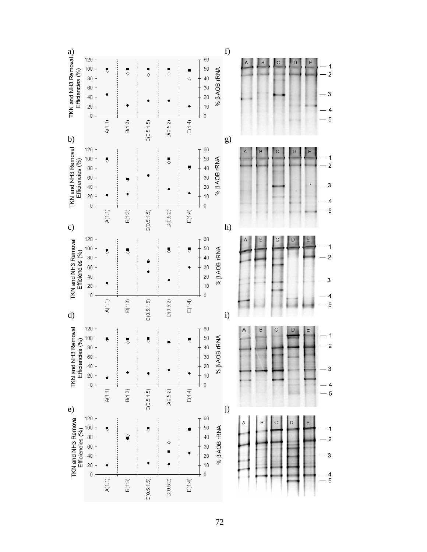

72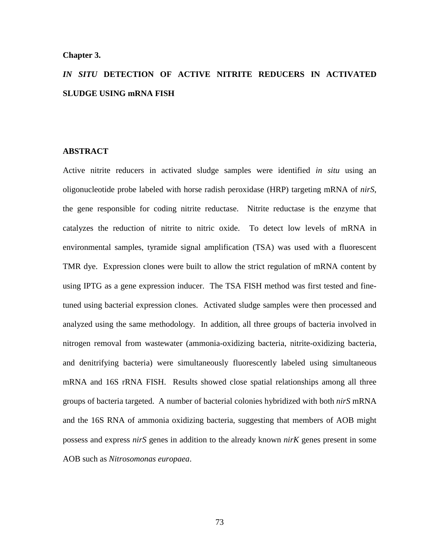#### **Chapter 3.**

# *IN SITU* **DETECTION OF ACTIVE NITRITE REDUCERS IN ACTIVATED SLUDGE USING mRNA FISH**

#### **ABSTRACT**

Active nitrite reducers in activated sludge samples were identified *in situ* using an oligonucleotide probe labeled with horse radish peroxidase (HRP) targeting mRNA of *nirS*, the gene responsible for coding nitrite reductase. Nitrite reductase is the enzyme that catalyzes the reduction of nitrite to nitric oxide. To detect low levels of mRNA in environmental samples, tyramide signal amplification (TSA) was used with a fluorescent TMR dye. Expression clones were built to allow the strict regulation of mRNA content by using IPTG as a gene expression inducer. The TSA FISH method was first tested and finetuned using bacterial expression clones. Activated sludge samples were then processed and analyzed using the same methodology. In addition, all three groups of bacteria involved in nitrogen removal from wastewater (ammonia-oxidizing bacteria, nitrite-oxidizing bacteria, and denitrifying bacteria) were simultaneously fluorescently labeled using simultaneous mRNA and 16S rRNA FISH. Results showed close spatial relationships among all three groups of bacteria targeted. A number of bacterial colonies hybridized with both *nirS* mRNA and the 16S RNA of ammonia oxidizing bacteria, suggesting that members of AOB might possess and express *nirS* genes in addition to the already known *nirK* genes present in some AOB such as *Nitrosomonas europaea*.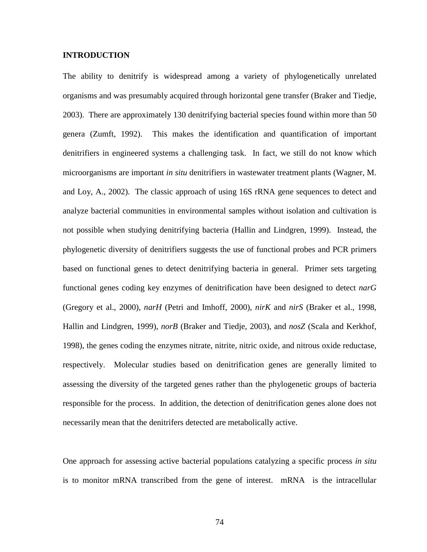### **INTRODUCTION**

The ability to denitrify is widespread among a variety of phylogenetically unrelated organisms and was presumably acquired through horizontal gene transfer (Braker and Tiedje, 2003). There are approximately 130 denitrifying bacterial species found within more than 50 genera (Zumft, 1992). This makes the identification and quantification of important denitrifiers in engineered systems a challenging task. In fact, we still do not know which microorganisms are important *in situ* denitrifiers in wastewater treatment plants (Wagner, M. and Loy, A., 2002). The classic approach of using 16S rRNA gene sequences to detect and analyze bacterial communities in environmental samples without isolation and cultivation is not possible when studying denitrifying bacteria (Hallin and Lindgren, 1999). Instead, the phylogenetic diversity of denitrifiers suggests the use of functional probes and PCR primers based on functional genes to detect denitrifying bacteria in general. Primer sets targeting functional genes coding key enzymes of denitrification have been designed to detect *narG* (Gregory et al., 2000), *narH* (Petri and Imhoff, 2000), *nirK* and *nirS* (Braker et al., 1998, Hallin and Lindgren, 1999), *norB* (Braker and Tiedje, 2003), and *nosZ* (Scala and Kerkhof, 1998), the genes coding the enzymes nitrate, nitrite, nitric oxide, and nitrous oxide reductase, respectively. Molecular studies based on denitrification genes are generally limited to assessing the diversity of the targeted genes rather than the phylogenetic groups of bacteria responsible for the process. In addition, the detection of denitrification genes alone does not necessarily mean that the denitrifers detected are metabolically active.

One approach for assessing active bacterial populations catalyzing a specific process *in situ* is to monitor mRNA transcribed from the gene of interest. mRNA is the intracellular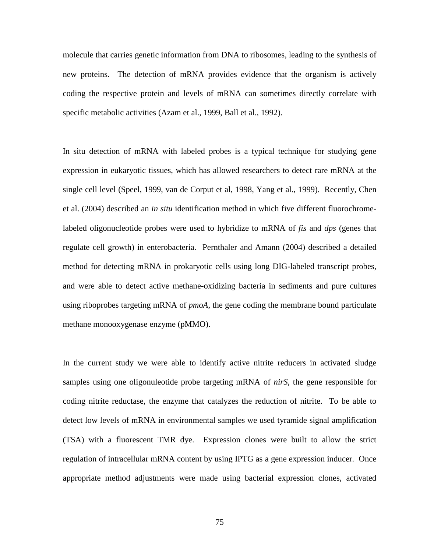molecule that carries genetic information from DNA to ribosomes, leading to the synthesis of new proteins. The detection of mRNA provides evidence that the organism is actively coding the respective protein and levels of mRNA can sometimes directly correlate with specific metabolic activities (Azam et al., 1999, Ball et al., 1992).

In situ detection of mRNA with labeled probes is a typical technique for studying gene expression in eukaryotic tissues, which has allowed researchers to detect rare mRNA at the single cell level (Speel, 1999, van de Corput et al, 1998, Yang et al., 1999). Recently, Chen et al. (2004) described an *in situ* identification method in which five different fluorochromelabeled oligonucleotide probes were used to hybridize to mRNA of *fis* and *dps* (genes that regulate cell growth) in enterobacteria. Pernthaler and Amann (2004) described a detailed method for detecting mRNA in prokaryotic cells using long DIG-labeled transcript probes, and were able to detect active methane-oxidizing bacteria in sediments and pure cultures using riboprobes targeting mRNA of *pmoA*, the gene coding the membrane bound particulate methane monooxygenase enzyme (pMMO).

In the current study we were able to identify active nitrite reducers in activated sludge samples using one oligonuleotide probe targeting mRNA of *nirS*, the gene responsible for coding nitrite reductase, the enzyme that catalyzes the reduction of nitrite. To be able to detect low levels of mRNA in environmental samples we used tyramide signal amplification (TSA) with a fluorescent TMR dye. Expression clones were built to allow the strict regulation of intracellular mRNA content by using IPTG as a gene expression inducer. Once appropriate method adjustments were made using bacterial expression clones, activated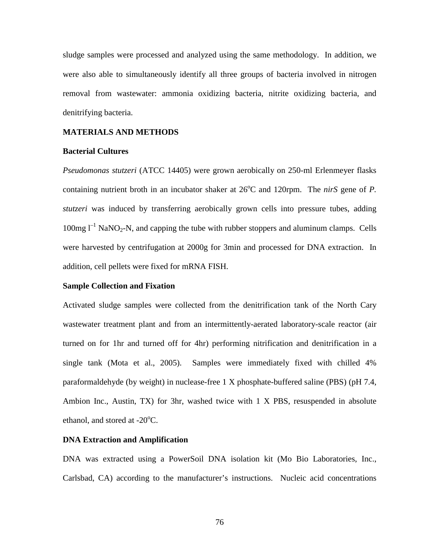sludge samples were processed and analyzed using the same methodology. In addition, we were also able to simultaneously identify all three groups of bacteria involved in nitrogen removal from wastewater: ammonia oxidizing bacteria, nitrite oxidizing bacteria, and denitrifying bacteria.

#### **MATERIALS AND METHODS**

#### **Bacterial Cultures**

*Pseudomonas stutzeri* (ATCC 14405) were grown aerobically on 250-ml Erlenmeyer flasks containing nutrient broth in an incubator shaker at  $26^{\circ}$ C and 120rpm. The *nirS* gene of *P*. *stutzeri* was induced by transferring aerobically grown cells into pressure tubes, adding  $100$ mg l<sup>-1</sup> NaNO<sub>2</sub>-N, and capping the tube with rubber stoppers and aluminum clamps. Cells were harvested by centrifugation at 2000g for 3min and processed for DNA extraction. In addition, cell pellets were fixed for mRNA FISH.

#### **Sample Collection and Fixation**

Activated sludge samples were collected from the denitrification tank of the North Cary wastewater treatment plant and from an intermittently-aerated laboratory-scale reactor (air turned on for 1hr and turned off for 4hr) performing nitrification and denitrification in a single tank (Mota et al., 2005). Samples were immediately fixed with chilled 4% paraformaldehyde (by weight) in nuclease-free 1 X phosphate-buffered saline (PBS) (pH 7.4, Ambion Inc., Austin, TX) for 3hr, washed twice with 1 X PBS, resuspended in absolute ethanol, and stored at  $-20^{\circ}$ C.

#### **DNA Extraction and Amplification**

DNA was extracted using a PowerSoil DNA isolation kit (Mo Bio Laboratories, Inc., Carlsbad, CA) according to the manufacturer's instructions. Nucleic acid concentrations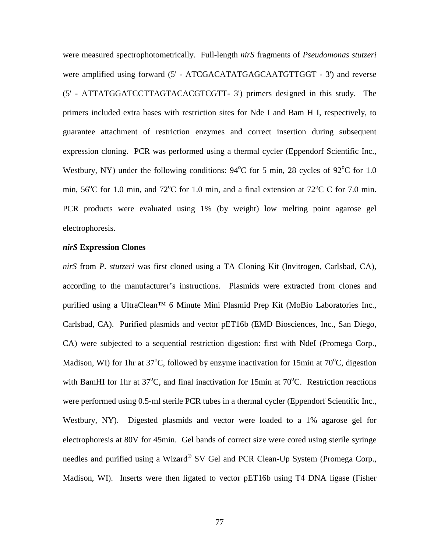were measured spectrophotometrically. Full-length *nirS* fragments of *Pseudomonas stutzeri* were amplified using forward (5' - ATCGACATATGAGCAATGTTGGT - 3') and reverse (5' - ATTATGGATCCTTAGTACACGTCGTT- 3') primers designed in this study. The primers included extra bases with restriction sites for Nde I and Bam H I, respectively, to guarantee attachment of restriction enzymes and correct insertion during subsequent expression cloning. PCR was performed using a thermal cycler (Eppendorf Scientific Inc., Westbury, NY) under the following conditions:  $94^{\circ}$ C for 5 min, 28 cycles of  $92^{\circ}$ C for 1.0 min,  $56^{\circ}$ C for 1.0 min, and  $72^{\circ}$ C for 1.0 min, and a final extension at  $72^{\circ}$ C C for 7.0 min. PCR products were evaluated using 1% (by weight) low melting point agarose gel electrophoresis.

#### *nirS* **Expression Clones**

*nirS* from *P. stutzeri* was first cloned using a TA Cloning Kit (Invitrogen, Carlsbad, CA), according to the manufacturer's instructions. Plasmids were extracted from clones and purified using a UltraClean™ 6 Minute Mini Plasmid Prep Kit (MoBio Laboratories Inc., Carlsbad, CA). Purified plasmids and vector pET16b (EMD Biosciences, Inc., San Diego, CA) were subjected to a sequential restriction digestion: first with NdeI (Promega Corp., Madison, WI) for 1hr at  $37^{\circ}$ C, followed by enzyme inactivation for 15min at  $70^{\circ}$ C, digestion with BamHI for 1hr at  $37^{\circ}$ C, and final inactivation for 15min at  $70^{\circ}$ C. Restriction reactions were performed using 0.5-ml sterile PCR tubes in a thermal cycler (Eppendorf Scientific Inc., Westbury, NY). Digested plasmids and vector were loaded to a 1% agarose gel for electrophoresis at 80V for 45min. Gel bands of correct size were cored using sterile syringe needles and purified using a Wizard® SV Gel and PCR Clean-Up System (Promega Corp., Madison, WI). Inserts were then ligated to vector pET16b using T4 DNA ligase (Fisher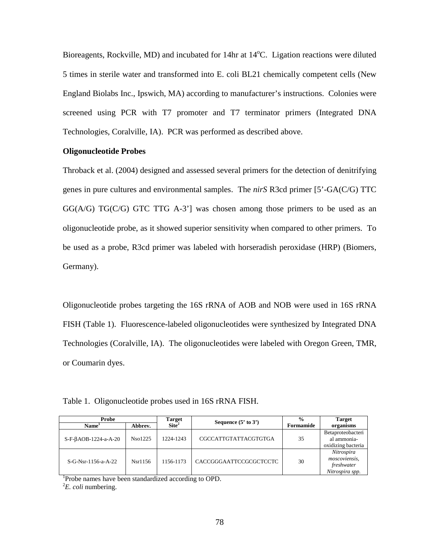Bioreagents, Rockville, MD) and incubated for 14hr at 14<sup>o</sup>C. Ligation reactions were diluted 5 times in sterile water and transformed into E. coli BL21 chemically competent cells (New England Biolabs Inc., Ipswich, MA) according to manufacturer's instructions. Colonies were screened using PCR with T7 promoter and T7 terminator primers (Integrated DNA Technologies, Coralville, IA). PCR was performed as described above.

#### **Oligonucleotide Probes**

Throback et al. (2004) designed and assessed several primers for the detection of denitrifying genes in pure cultures and environmental samples. The *nirS* R3cd primer [5'-GA(C/G) TTC  $GG(A/G)$   $TG(C/G)$   $GTC$   $TTG$   $A-3$ '] was chosen among those primers to be used as an oligonucleotide probe, as it showed superior sensitivity when compared to other primers. To be used as a probe, R3cd primer was labeled with horseradish peroxidase (HRP) (Biomers, Germany).

Oligonucleotide probes targeting the 16S rRNA of AOB and NOB were used in 16S rRNA FISH (Table 1). Fluorescence-labeled oligonucleotides were synthesized by Integrated DNA Technologies (Coralville, IA). The oligonucleotides were labeled with Oregon Green, TMR, or Coumarin dyes.

Table 1. Oligonucleotide probes used in 16S rRNA FISH.

| Probe                  |         | <b>Target</b>   | Sequence $(5'$ to $3')$ | $\frac{0}{0}$ | <b>Target</b>      |
|------------------------|---------|-----------------|-------------------------|---------------|--------------------|
| Name <sup>1</sup>      | Abbrev. | $\text{Site}^2$ |                         | Formamide     | organisms          |
|                        |         |                 |                         |               | Betaproteobacteri  |
| $S-F-BAOB-1224-a-A-20$ | Nso1225 | 1224-1243       | CGCCATTGTATTACGTGTGA    | 35            | al ammonia-        |
|                        |         |                 |                         |               | oxidizing bacteria |
|                        |         |                 |                         |               | Nitrospira         |
| $S-G-Nsr-1156-a-A-22$  | Nsr1156 | 1156-1173       | CACCGGGAATTCCGCGCTCCTC  | 30            | moscoviensis.      |
|                        |         |                 |                         |               | freshwater         |
|                        |         |                 |                         |               | Nitrospira spp.    |

<sup>1</sup>Probe names have been standardized according to OPD.

2 *E. coli* numbering.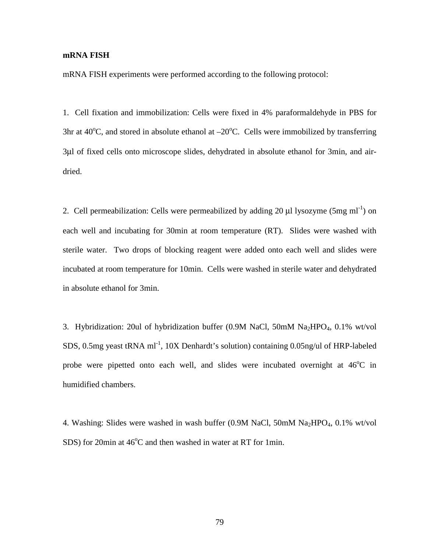#### **mRNA FISH**

mRNA FISH experiments were performed according to the following protocol:

1. Cell fixation and immobilization: Cells were fixed in 4% paraformaldehyde in PBS for 3hr at  $40^{\circ}$ C, and stored in absolute ethanol at  $-20^{\circ}$ C. Cells were immobilized by transferring 3µl of fixed cells onto microscope slides, dehydrated in absolute ethanol for 3min, and airdried.

2. Cell permeabilization: Cells were permeabilized by adding 20  $\mu$ l lysozyme (5mg ml<sup>-1</sup>) on each well and incubating for 30min at room temperature (RT). Slides were washed with sterile water. Two drops of blocking reagent were added onto each well and slides were incubated at room temperature for 10min. Cells were washed in sterile water and dehydrated in absolute ethanol for 3min.

3. Hybridization: 20ul of hybridization buffer  $(0.9M$  NaCl, 50mM Na<sub>2</sub>HPO<sub>4</sub>, 0.1% wt/vol SDS, 0.5mg yeast tRNA  $ml^{-1}$ , 10X Denhardt's solution) containing 0.05ng/ul of HRP-labeled probe were pipetted onto each well, and slides were incubated overnight at  $46^{\circ}$ C in humidified chambers.

4. Washing: Slides were washed in wash buffer  $(0.9M$  NaCl,  $50mM$  Na<sub>2</sub>HPO<sub>4</sub>,  $0.1\%$  wt/vol SDS) for 20min at 46<sup>o</sup>C and then washed in water at RT for 1min.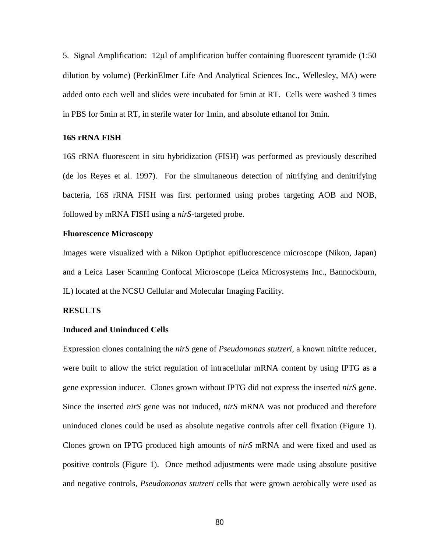5. Signal Amplification: 12µl of amplification buffer containing fluorescent tyramide (1:50 dilution by volume) (PerkinElmer Life And Analytical Sciences Inc., Wellesley, MA) were added onto each well and slides were incubated for 5min at RT. Cells were washed 3 times in PBS for 5min at RT, in sterile water for 1min, and absolute ethanol for 3min.

#### **16S rRNA FISH**

16S rRNA fluorescent in situ hybridization (FISH) was performed as previously described (de los Reyes et al. 1997). For the simultaneous detection of nitrifying and denitrifying bacteria, 16S rRNA FISH was first performed using probes targeting AOB and NOB, followed by mRNA FISH using a *nirS*-targeted probe.

#### **Fluorescence Microscopy**

Images were visualized with a Nikon Optiphot epifluorescence microscope (Nikon, Japan) and a Leica Laser Scanning Confocal Microscope (Leica Microsystems Inc., Bannockburn, IL) located at the NCSU Cellular and Molecular Imaging Facility.

#### **RESULTS**

#### **Induced and Uninduced Cells**

Expression clones containing the *nirS* gene of *Pseudomonas stutzeri*, a known nitrite reducer*,* were built to allow the strict regulation of intracellular mRNA content by using IPTG as a gene expression inducer. Clones grown without IPTG did not express the inserted *nirS* gene. Since the inserted *nirS* gene was not induced, *nirS* mRNA was not produced and therefore uninduced clones could be used as absolute negative controls after cell fixation (Figure 1). Clones grown on IPTG produced high amounts of *nirS* mRNA and were fixed and used as positive controls (Figure 1). Once method adjustments were made using absolute positive and negative controls, *Pseudomonas stutzeri* cells that were grown aerobically were used as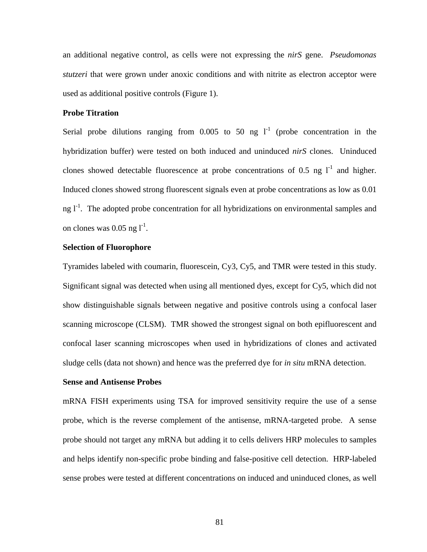an additional negative control, as cells were not expressing the *nirS* gene. *Pseudomonas stutzeri* that were grown under anoxic conditions and with nitrite as electron acceptor were used as additional positive controls (Figure 1).

#### **Probe Titration**

Serial probe dilutions ranging from 0.005 to 50 ng  $I<sup>-1</sup>$  (probe concentration in the hybridization buffer) were tested on both induced and uninduced *nirS* clones. Uninduced clones showed detectable fluorescence at probe concentrations of 0.5 ng  $1<sup>-1</sup>$  and higher. Induced clones showed strong fluorescent signals even at probe concentrations as low as 0.01 ng  $I<sup>-1</sup>$ . The adopted probe concentration for all hybridizations on environmental samples and on clones was  $0.05$  ng  $l^{-1}$ .

#### **Selection of Fluorophore**

Tyramides labeled with coumarin, fluorescein, Cy3, Cy5, and TMR were tested in this study. Significant signal was detected when using all mentioned dyes, except for Cy5, which did not show distinguishable signals between negative and positive controls using a confocal laser scanning microscope (CLSM). TMR showed the strongest signal on both epifluorescent and confocal laser scanning microscopes when used in hybridizations of clones and activated sludge cells (data not shown) and hence was the preferred dye for *in situ* mRNA detection.

#### **Sense and Antisense Probes**

mRNA FISH experiments using TSA for improved sensitivity require the use of a sense probe, which is the reverse complement of the antisense, mRNA-targeted probe. A sense probe should not target any mRNA but adding it to cells delivers HRP molecules to samples and helps identify non-specific probe binding and false-positive cell detection. HRP-labeled sense probes were tested at different concentrations on induced and uninduced clones, as well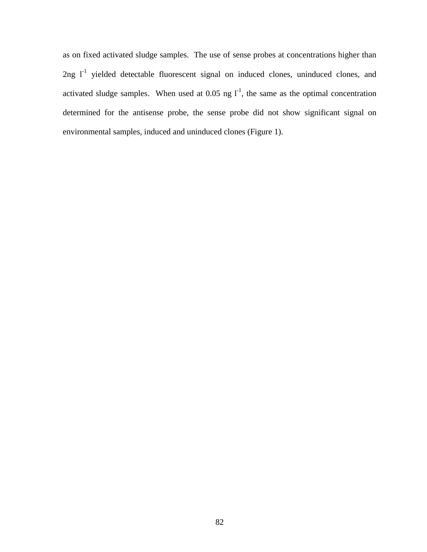as on fixed activated sludge samples. The use of sense probes at concentrations higher than  $2ng$   $l^{-1}$  yielded detectable fluorescent signal on induced clones, uninduced clones, and activated sludge samples. When used at 0.05 ng  $I<sup>-1</sup>$ , the same as the optimal concentration determined for the antisense probe, the sense probe did not show significant signal on environmental samples, induced and uninduced clones (Figure 1).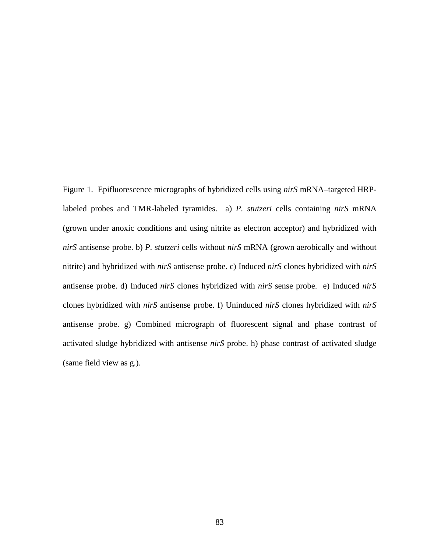Figure 1. Epifluorescence micrographs of hybridized cells using *nirS* mRNA–targeted HRPlabeled probes and TMR-labeled tyramides. a) *P. stutzeri* cells containing *nirS* mRNA (grown under anoxic conditions and using nitrite as electron acceptor) and hybridized with *nirS* antisense probe. b) *P. stutzeri* cells without *nirS* mRNA (grown aerobically and without nitrite) and hybridized with *nirS* antisense probe. c) Induced *nirS* clones hybridized with *nirS* antisense probe. d) Induced *nirS* clones hybridized with *nirS* sense probe. e) Induced *nirS* clones hybridized with *nirS* antisense probe. f) Uninduced *nirS* clones hybridized with *nirS* antisense probe. g) Combined micrograph of fluorescent signal and phase contrast of activated sludge hybridized with antisense *nirS* probe. h) phase contrast of activated sludge (same field view as g.).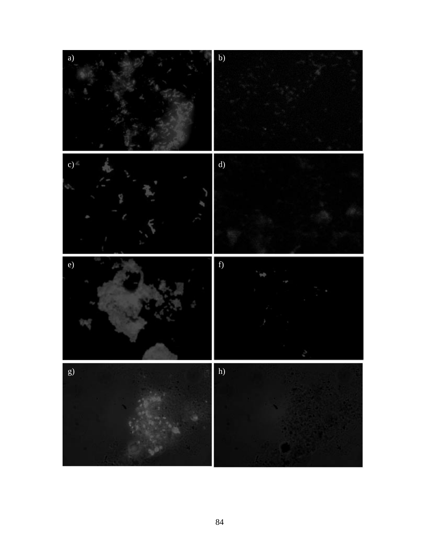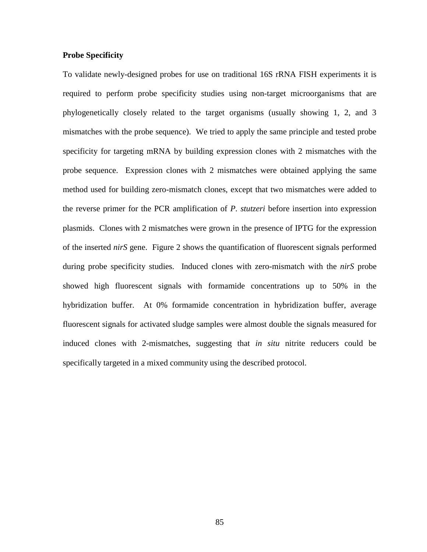#### **Probe Specificity**

To validate newly-designed probes for use on traditional 16S rRNA FISH experiments it is required to perform probe specificity studies using non-target microorganisms that are phylogenetically closely related to the target organisms (usually showing 1, 2, and 3 mismatches with the probe sequence). We tried to apply the same principle and tested probe specificity for targeting mRNA by building expression clones with 2 mismatches with the probe sequence. Expression clones with 2 mismatches were obtained applying the same method used for building zero-mismatch clones, except that two mismatches were added to the reverse primer for the PCR amplification of *P. stutzeri* before insertion into expression plasmids. Clones with 2 mismatches were grown in the presence of IPTG for the expression of the inserted *nirS* gene. Figure 2 shows the quantification of fluorescent signals performed during probe specificity studies. Induced clones with zero-mismatch with the *nirS* probe showed high fluorescent signals with formamide concentrations up to 50% in the hybridization buffer. At 0% formamide concentration in hybridization buffer, average fluorescent signals for activated sludge samples were almost double the signals measured for induced clones with 2-mismatches, suggesting that *in situ* nitrite reducers could be specifically targeted in a mixed community using the described protocol.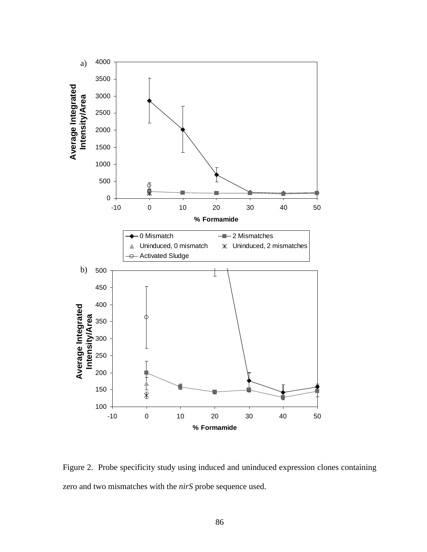

Figure 2. Probe specificity study using induced and uninduced expression clones containing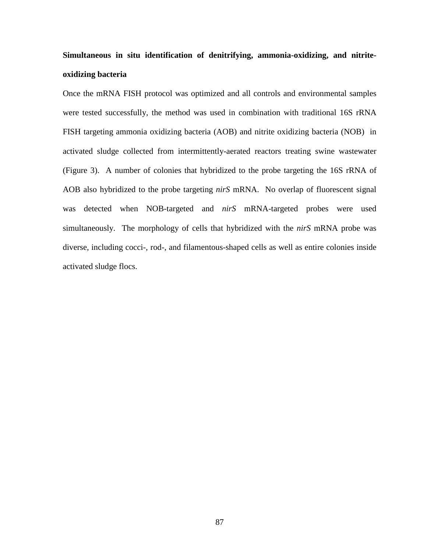## **Simultaneous in situ identification of denitrifying, ammonia-oxidizing, and nitriteoxidizing bacteria**

Once the mRNA FISH protocol was optimized and all controls and environmental samples were tested successfully, the method was used in combination with traditional 16S rRNA FISH targeting ammonia oxidizing bacteria (AOB) and nitrite oxidizing bacteria (NOB) in activated sludge collected from intermittently-aerated reactors treating swine wastewater (Figure 3). A number of colonies that hybridized to the probe targeting the 16S rRNA of AOB also hybridized to the probe targeting *nirS* mRNA. No overlap of fluorescent signal was detected when NOB-targeted and *nirS* mRNA-targeted probes were used simultaneously. The morphology of cells that hybridized with the *nirS* mRNA probe was diverse, including cocci-, rod-, and filamentous-shaped cells as well as entire colonies inside activated sludge flocs.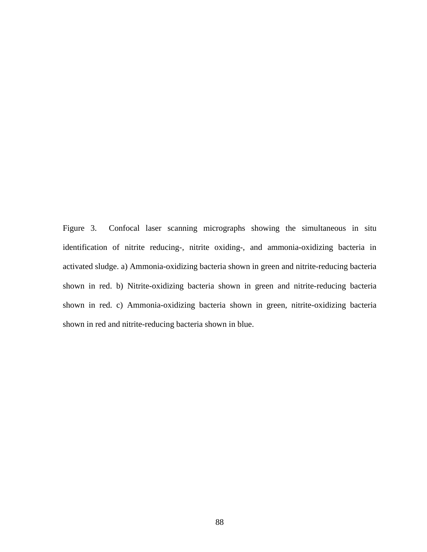Figure 3. Confocal laser scanning micrographs showing the simultaneous in situ identification of nitrite reducing-, nitrite oxiding-, and ammonia-oxidizing bacteria in activated sludge. a) Ammonia-oxidizing bacteria shown in green and nitrite-reducing bacteria shown in red. b) Nitrite-oxidizing bacteria shown in green and nitrite-reducing bacteria shown in red. c) Ammonia-oxidizing bacteria shown in green, nitrite-oxidizing bacteria shown in red and nitrite-reducing bacteria shown in blue.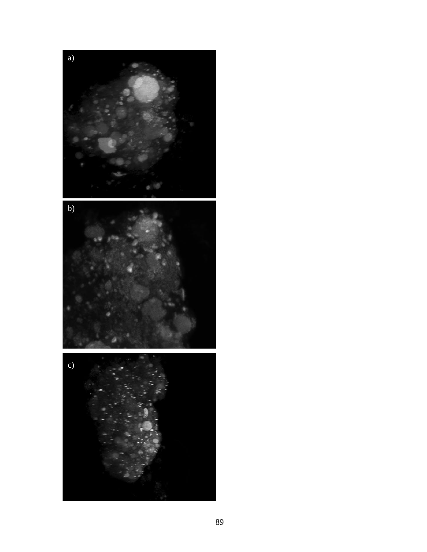

89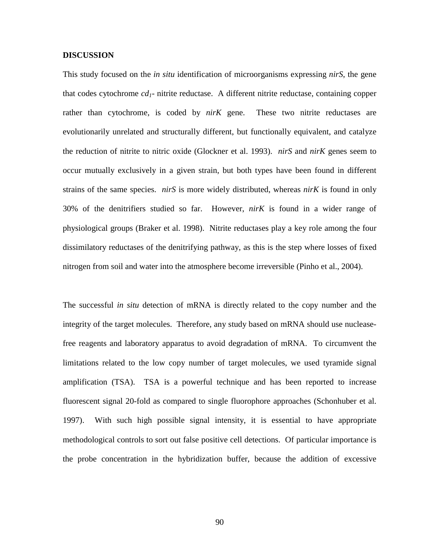#### **DISCUSSION**

This study focused on the *in situ* identification of microorganisms expressing *nirS*, the gene that codes cytochrome *cd1*- nitrite reductase. A different nitrite reductase, containing copper rather than cytochrome, is coded by *nirK* gene. These two nitrite reductases are evolutionarily unrelated and structurally different, but functionally equivalent, and catalyze the reduction of nitrite to nitric oxide (Glockner et al. 1993). *nirS* and *nirK* genes seem to occur mutually exclusively in a given strain, but both types have been found in different strains of the same species. *nirS* is more widely distributed, whereas *nirK* is found in only 30% of the denitrifiers studied so far. However, *nirK* is found in a wider range of physiological groups (Braker et al. 1998). Nitrite reductases play a key role among the four dissimilatory reductases of the denitrifying pathway, as this is the step where losses of fixed nitrogen from soil and water into the atmosphere become irreversible (Pinho et al., 2004).

The successful *in situ* detection of mRNA is directly related to the copy number and the integrity of the target molecules. Therefore, any study based on mRNA should use nucleasefree reagents and laboratory apparatus to avoid degradation of mRNA. To circumvent the limitations related to the low copy number of target molecules, we used tyramide signal amplification (TSA). TSA is a powerful technique and has been reported to increase fluorescent signal 20-fold as compared to single fluorophore approaches (Schonhuber et al. 1997). With such high possible signal intensity, it is essential to have appropriate methodological controls to sort out false positive cell detections. Of particular importance is the probe concentration in the hybridization buffer, because the addition of excessive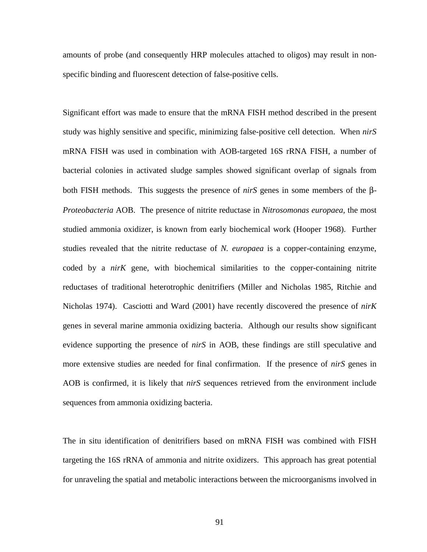amounts of probe (and consequently HRP molecules attached to oligos) may result in nonspecific binding and fluorescent detection of false-positive cells.

Significant effort was made to ensure that the mRNA FISH method described in the present study was highly sensitive and specific, minimizing false-positive cell detection. When *nirS* mRNA FISH was used in combination with AOB-targeted 16S rRNA FISH, a number of bacterial colonies in activated sludge samples showed significant overlap of signals from both FISH methods. This suggests the presence of *nirS* genes in some members of the β-*Proteobacteria* AOB. The presence of nitrite reductase in *Nitrosomonas europaea*, the most studied ammonia oxidizer, is known from early biochemical work (Hooper 1968). Further studies revealed that the nitrite reductase of *N. europaea* is a copper-containing enzyme, coded by a *nirK* gene, with biochemical similarities to the copper-containing nitrite reductases of traditional heterotrophic denitrifiers (Miller and Nicholas 1985, Ritchie and Nicholas 1974). Casciotti and Ward (2001) have recently discovered the presence of *nirK* genes in several marine ammonia oxidizing bacteria. Although our results show significant evidence supporting the presence of *nirS* in AOB, these findings are still speculative and more extensive studies are needed for final confirmation. If the presence of *nirS* genes in AOB is confirmed, it is likely that *nirS* sequences retrieved from the environment include sequences from ammonia oxidizing bacteria.

The in situ identification of denitrifiers based on mRNA FISH was combined with FISH targeting the 16S rRNA of ammonia and nitrite oxidizers. This approach has great potential for unraveling the spatial and metabolic interactions between the microorganisms involved in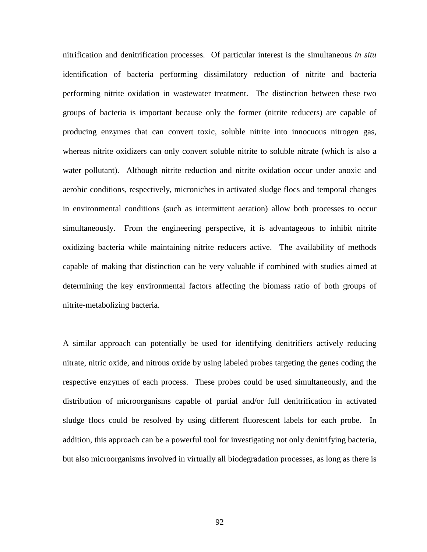nitrification and denitrification processes. Of particular interest is the simultaneous *in situ*  identification of bacteria performing dissimilatory reduction of nitrite and bacteria performing nitrite oxidation in wastewater treatment. The distinction between these two groups of bacteria is important because only the former (nitrite reducers) are capable of producing enzymes that can convert toxic, soluble nitrite into innocuous nitrogen gas, whereas nitrite oxidizers can only convert soluble nitrite to soluble nitrate (which is also a water pollutant). Although nitrite reduction and nitrite oxidation occur under anoxic and aerobic conditions, respectively, microniches in activated sludge flocs and temporal changes in environmental conditions (such as intermittent aeration) allow both processes to occur simultaneously. From the engineering perspective, it is advantageous to inhibit nitrite oxidizing bacteria while maintaining nitrite reducers active. The availability of methods capable of making that distinction can be very valuable if combined with studies aimed at determining the key environmental factors affecting the biomass ratio of both groups of nitrite-metabolizing bacteria.

A similar approach can potentially be used for identifying denitrifiers actively reducing nitrate, nitric oxide, and nitrous oxide by using labeled probes targeting the genes coding the respective enzymes of each process. These probes could be used simultaneously, and the distribution of microorganisms capable of partial and/or full denitrification in activated sludge flocs could be resolved by using different fluorescent labels for each probe. In addition, this approach can be a powerful tool for investigating not only denitrifying bacteria, but also microorganisms involved in virtually all biodegradation processes, as long as there is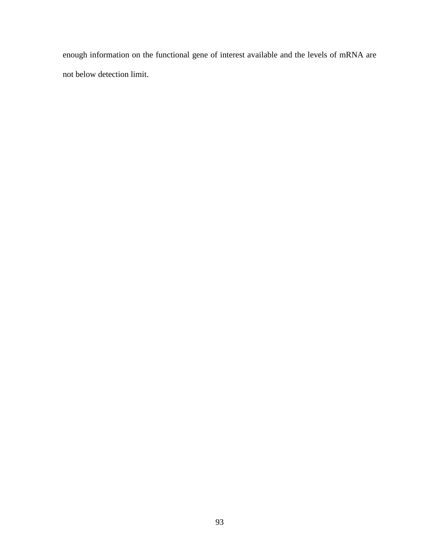enough information on the functional gene of interest available and the levels of mRNA are not below detection limit.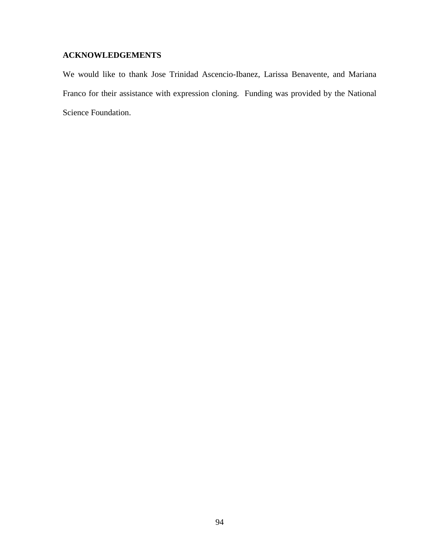### **ACKNOWLEDGEMENTS**

We would like to thank Jose Trinidad Ascencio-Ibanez, Larissa Benavente, and Mariana Franco for their assistance with expression cloning. Funding was provided by the National Science Foundation.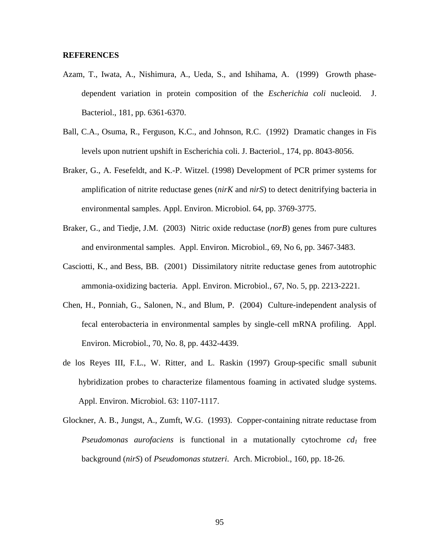# **REFERENCES**

- Azam, T., Iwata, A., Nishimura, A., Ueda, S., and Ishihama, A. (1999) Growth phasedependent variation in protein composition of the *Escherichia coli* nucleoid. J. Bacteriol., 181, pp. 6361-6370.
- Ball, C.A., Osuma, R., Ferguson, K.C., and Johnson, R.C. (1992) Dramatic changes in Fis levels upon nutrient upshift in Escherichia coli. J. Bacteriol., 174, pp. 8043-8056.
- Braker, G., A. Fesefeldt, and K.-P. Witzel. (1998) Development of PCR primer systems for amplification of nitrite reductase genes (*nirK* and *nirS*) to detect denitrifying bacteria in environmental samples. Appl. Environ. Microbiol. 64, pp. 3769-3775.
- Braker, G., and Tiedje, J.M. (2003) Nitric oxide reductase (*norB*) genes from pure cultures and environmental samples. Appl. Environ. Microbiol., 69, No 6, pp. 3467-3483.
- Casciotti, K., and Bess, BB. (2001) Dissimilatory nitrite reductase genes from autotrophic ammonia-oxidizing bacteria. Appl. Environ. Microbiol., 67, No. 5, pp. 2213-2221.
- Chen, H., Ponniah, G., Salonen, N., and Blum, P. (2004) Culture-independent analysis of fecal enterobacteria in environmental samples by single-cell mRNA profiling. Appl. Environ. Microbiol., 70, No. 8, pp. 4432-4439.
- de los Reyes III, F.L., W. Ritter, and L. Raskin (1997) Group-specific small subunit hybridization probes to characterize filamentous foaming in activated sludge systems. Appl. Environ. Microbiol. 63: 1107-1117.
- Glockner, A. B., Jungst, A., Zumft, W.G. (1993). Copper-containing nitrate reductase from *Pseudomonas aurofaciens* is functional in a mutationally cytochrome  $cd<sub>1</sub>$  free background (*nirS*) of *Pseudomonas stutzeri*. Arch. Microbiol., 160, pp. 18-26.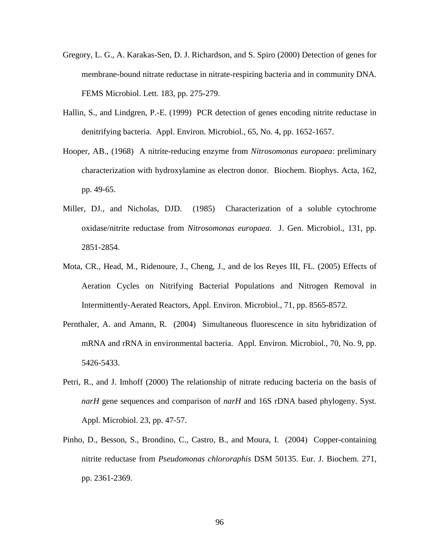- Gregory, L. G., A. Karakas-Sen, D. J. Richardson, and S. Spiro (2000) Detection of genes for membrane-bound nitrate reductase in nitrate-respiring bacteria and in community DNA. FEMS Microbiol. Lett. 183, pp. 275-279.
- Hallin, S., and Lindgren, P.-E. (1999) PCR detection of genes encoding nitrite reductase in denitrifying bacteria. Appl. Environ. Microbiol., 65, No. 4, pp. 1652-1657.
- Hooper, AB., (1968) A nitrite-reducing enzyme from *Nitrosomonas europaea*: preliminary characterization with hydroxylamine as electron donor. Biochem. Biophys. Acta, 162, pp. 49-65.
- Miller, DJ., and Nicholas, DJD. (1985) Characterization of a soluble cytochrome oxidase/nitrite reductase from *Nitrosomonas europaea*. J. Gen. Microbiol., 131, pp. 2851-2854.
- Mota, CR., Head, M., Ridenoure, J., Cheng, J., and de los Reyes III, FL. (2005) Effects of Aeration Cycles on Nitrifying Bacterial Populations and Nitrogen Removal in Intermittently-Aerated Reactors, Appl. Environ. Microbiol., 71, pp. 8565-8572.
- Pernthaler, A. and Amann, R. (2004) Simultaneous fluorescence in situ hybridization of mRNA and rRNA in environmental bacteria. Appl. Environ. Microbiol., 70, No. 9, pp. 5426-5433.
- Petri, R., and J. Imhoff (2000) The relationship of nitrate reducing bacteria on the basis of *narH* gene sequences and comparison of *narH* and 16S rDNA based phylogeny. Syst. Appl. Microbiol. 23, pp. 47-57.
- Pinho, D., Besson, S., Brondino, C., Castro, B., and Moura, I. (2004) Copper-containing nitrite reductase from *Pseudomonas chlororaphis* DSM 50135. Eur. J. Biochem. 271, pp. 2361-2369.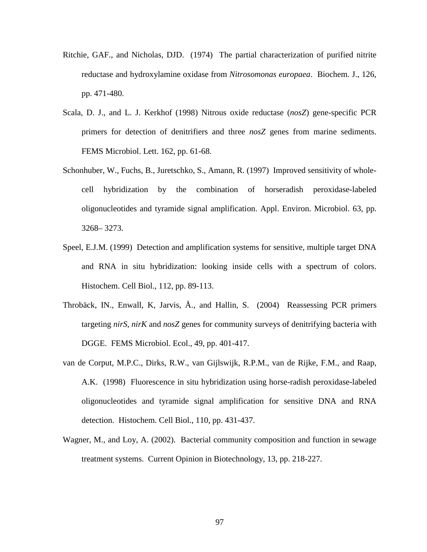- Ritchie, GAF., and Nicholas, DJD. (1974) The partial characterization of purified nitrite reductase and hydroxylamine oxidase from *Nitrosomonas europaea*. Biochem. J., 126, pp. 471-480.
- Scala, D. J., and L. J. Kerkhof (1998) Nitrous oxide reductase (*nosZ*) gene-specific PCR primers for detection of denitrifiers and three *nosZ* genes from marine sediments. FEMS Microbiol. Lett. 162, pp. 61-68.
- Schonhuber, W., Fuchs, B., Juretschko, S., Amann, R. (1997) Improved sensitivity of wholecell hybridization by the combination of horseradish peroxidase-labeled oligonucleotides and tyramide signal amplification. Appl. Environ. Microbiol. 63, pp. 3268– 3273.
- Speel, E.J.M. (1999) Detection and amplification systems for sensitive, multiple target DNA and RNA in situ hybridization: looking inside cells with a spectrum of colors. Histochem. Cell Biol., 112, pp. 89-113.
- Throbäck, IN., Enwall, K, Jarvis, Å., and Hallin, S. (2004) Reassessing PCR primers targeting *nirS*, *nirK* and *nosZ* genes for community surveys of denitrifying bacteria with DGGE. FEMS Microbiol. Ecol., 49, pp. 401-417.
- van de Corput, M.P.C., Dirks, R.W., van Gijlswijk, R.P.M., van de Rijke, F.M., and Raap, A.K. (1998) Fluorescence in situ hybridization using horse-radish peroxidase-labeled oligonucleotides and tyramide signal amplification for sensitive DNA and RNA detection. Histochem. Cell Biol., 110, pp. 431-437.
- Wagner, M., and Loy, A. (2002). Bacterial community composition and function in sewage treatment systems. Current Opinion in Biotechnology, 13, pp. 218-227.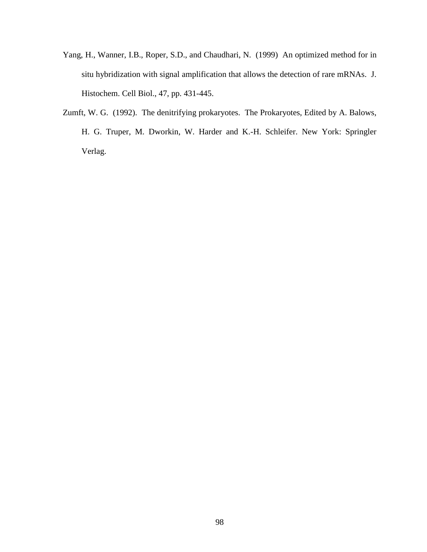- Yang, H., Wanner, I.B., Roper, S.D., and Chaudhari, N. (1999) An optimized method for in situ hybridization with signal amplification that allows the detection of rare mRNAs. J. Histochem. Cell Biol., 47, pp. 431-445.
- Zumft, W. G. (1992). The denitrifying prokaryotes. The Prokaryotes, Edited by A. Balows, H. G. Truper, M. Dworkin, W. Harder and K.-H. Schleifer. New York: Springler Verlag.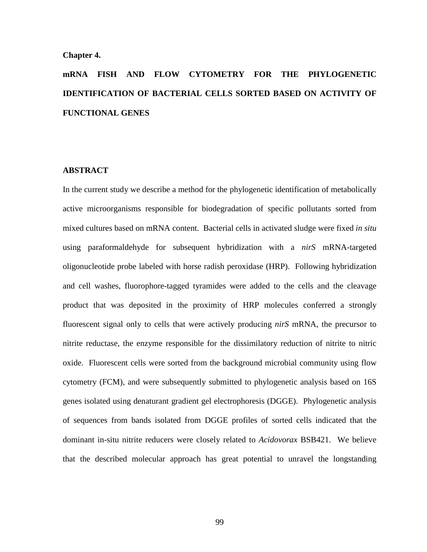#### **Chapter 4.**

# **mRNA FISH AND FLOW CYTOMETRY FOR THE PHYLOGENETIC IDENTIFICATION OF BACTERIAL CELLS SORTED BASED ON ACTIVITY OF FUNCTIONAL GENES**

# **ABSTRACT**

In the current study we describe a method for the phylogenetic identification of metabolically active microorganisms responsible for biodegradation of specific pollutants sorted from mixed cultures based on mRNA content. Bacterial cells in activated sludge were fixed *in situ* using paraformaldehyde for subsequent hybridization with a *nirS* mRNA-targeted oligonucleotide probe labeled with horse radish peroxidase (HRP). Following hybridization and cell washes, fluorophore-tagged tyramides were added to the cells and the cleavage product that was deposited in the proximity of HRP molecules conferred a strongly fluorescent signal only to cells that were actively producing *nirS* mRNA, the precursor to nitrite reductase, the enzyme responsible for the dissimilatory reduction of nitrite to nitric oxide. Fluorescent cells were sorted from the background microbial community using flow cytometry (FCM), and were subsequently submitted to phylogenetic analysis based on 16S genes isolated using denaturant gradient gel electrophoresis (DGGE). Phylogenetic analysis of sequences from bands isolated from DGGE profiles of sorted cells indicated that the dominant in-situ nitrite reducers were closely related to *Acidovorax* BSB421. We believe that the described molecular approach has great potential to unravel the longstanding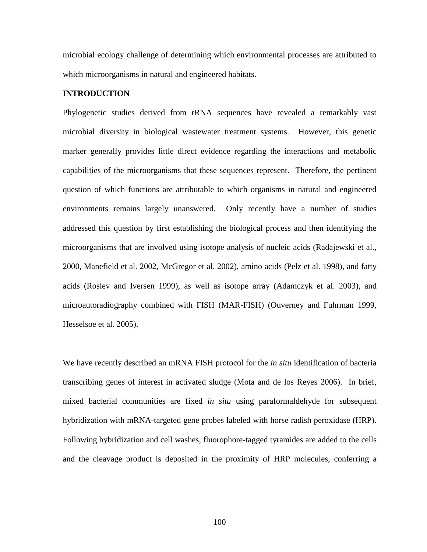microbial ecology challenge of determining which environmental processes are attributed to which microorganisms in natural and engineered habitats.

# **INTRODUCTION**

Phylogenetic studies derived from rRNA sequences have revealed a remarkably vast microbial diversity in biological wastewater treatment systems. However, this genetic marker generally provides little direct evidence regarding the interactions and metabolic capabilities of the microorganisms that these sequences represent. Therefore, the pertinent question of which functions are attributable to which organisms in natural and engineered environments remains largely unanswered. Only recently have a number of studies addressed this question by first establishing the biological process and then identifying the microorganisms that are involved using isotope analysis of nucleic acids (Radajewski et al., 2000, Manefield et al. 2002, McGregor et al. 2002), amino acids (Pelz et al. 1998), and fatty acids (Roslev and Iversen 1999), as well as isotope array (Adamczyk et al. 2003), and microautoradiography combined with FISH (MAR-FISH) (Ouverney and Fuhrman 1999, Hesselsoe et al. 2005).

We have recently described an mRNA FISH protocol for the *in situ* identification of bacteria transcribing genes of interest in activated sludge (Mota and de los Reyes 2006). In brief, mixed bacterial communities are fixed *in situ* using paraformaldehyde for subsequent hybridization with mRNA-targeted gene probes labeled with horse radish peroxidase (HRP). Following hybridization and cell washes, fluorophore-tagged tyramides are added to the cells and the cleavage product is deposited in the proximity of HRP molecules, conferring a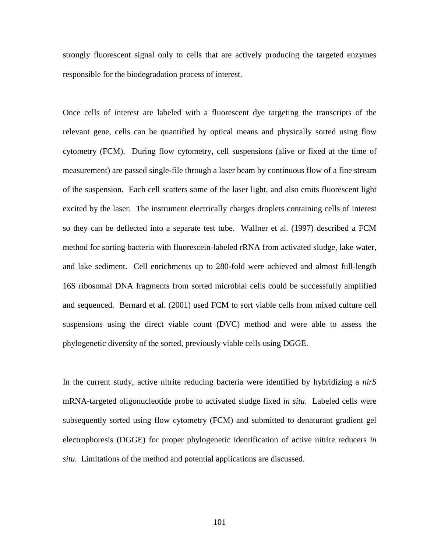strongly fluorescent signal only to cells that are actively producing the targeted enzymes responsible for the biodegradation process of interest.

Once cells of interest are labeled with a fluorescent dye targeting the transcripts of the relevant gene, cells can be quantified by optical means and physically sorted using flow cytometry (FCM). During flow cytometry, cell suspensions (alive or fixed at the time of measurement) are passed single-file through a laser beam by continuous flow of a fine stream of the suspension. Each cell scatters some of the laser light, and also emits fluorescent light excited by the laser. The instrument electrically charges droplets containing cells of interest so they can be deflected into a separate test tube. Wallner et al. (1997) described a FCM method for sorting bacteria with fluorescein-labeled rRNA from activated sludge, lake water, and lake sediment. Cell enrichments up to 280-fold were achieved and almost full-length 16S ribosomal DNA fragments from sorted microbial cells could be successfully amplified and sequenced. Bernard et al. (2001) used FCM to sort viable cells from mixed culture cell suspensions using the direct viable count (DVC) method and were able to assess the phylogenetic diversity of the sorted, previously viable cells using DGGE.

In the current study, active nitrite reducing bacteria were identified by hybridizing a *nirS* mRNA-targeted oligonucleotide probe to activated sludge fixed *in situ*. Labeled cells were subsequently sorted using flow cytometry (FCM) and submitted to denaturant gradient gel electrophoresis (DGGE) for proper phylogenetic identification of active nitrite reducers *in situ*. Limitations of the method and potential applications are discussed.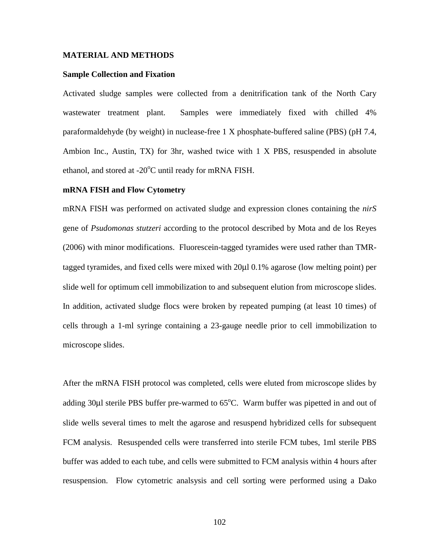#### **MATERIAL AND METHODS**

#### **Sample Collection and Fixation**

Activated sludge samples were collected from a denitrification tank of the North Cary wastewater treatment plant. Samples were immediately fixed with chilled 4% paraformaldehyde (by weight) in nuclease-free 1 X phosphate-buffered saline (PBS) (pH 7.4, Ambion Inc., Austin, TX) for 3hr, washed twice with 1 X PBS, resuspended in absolute ethanol, and stored at -20°C until ready for mRNA FISH.

#### **mRNA FISH and Flow Cytometry**

mRNA FISH was performed on activated sludge and expression clones containing the *nirS* gene of *Psudomonas stutzeri* according to the protocol described by Mota and de los Reyes (2006) with minor modifications. Fluorescein-tagged tyramides were used rather than TMRtagged tyramides, and fixed cells were mixed with 20µl 0.1% agarose (low melting point) per slide well for optimum cell immobilization to and subsequent elution from microscope slides. In addition, activated sludge flocs were broken by repeated pumping (at least 10 times) of cells through a 1-ml syringe containing a 23-gauge needle prior to cell immobilization to microscope slides.

After the mRNA FISH protocol was completed, cells were eluted from microscope slides by adding 30µl sterile PBS buffer pre-warmed to 65°C. Warm buffer was pipetted in and out of slide wells several times to melt the agarose and resuspend hybridized cells for subsequent FCM analysis. Resuspended cells were transferred into sterile FCM tubes, 1ml sterile PBS buffer was added to each tube, and cells were submitted to FCM analysis within 4 hours after resuspension. Flow cytometric analsysis and cell sorting were performed using a Dako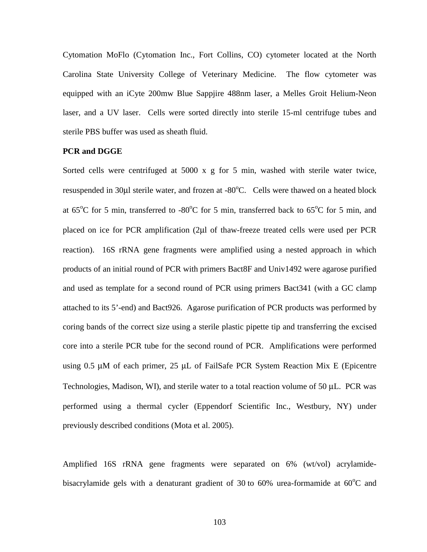Cytomation MoFlo (Cytomation Inc., Fort Collins, CO) cytometer located at the North Carolina State University College of Veterinary Medicine. The flow cytometer was equipped with an iCyte 200mw Blue Sappjire 488nm laser, a Melles Groit Helium-Neon laser, and a UV laser. Cells were sorted directly into sterile 15-ml centrifuge tubes and sterile PBS buffer was used as sheath fluid.

# **PCR and DGGE**

Sorted cells were centrifuged at 5000 x g for 5 min, washed with sterile water twice, resuspended in 30µl sterile water, and frozen at -80°C. Cells were thawed on a heated block at  $65^{\circ}$ C for 5 min, transferred to -80 $^{\circ}$ C for 5 min, transferred back to  $65^{\circ}$ C for 5 min, and placed on ice for PCR amplification (2µl of thaw-freeze treated cells were used per PCR reaction). 16S rRNA gene fragments were amplified using a nested approach in which products of an initial round of PCR with primers Bact8F and Univ1492 were agarose purified and used as template for a second round of PCR using primers Bact341 (with a GC clamp attached to its 5'-end) and Bact926. Agarose purification of PCR products was performed by coring bands of the correct size using a sterile plastic pipette tip and transferring the excised core into a sterile PCR tube for the second round of PCR. Amplifications were performed using 0.5 µM of each primer, 25 µL of FailSafe PCR System Reaction Mix E (Epicentre Technologies, Madison, WI), and sterile water to a total reaction volume of 50 µL. PCR was performed using a thermal cycler (Eppendorf Scientific Inc., Westbury, NY) under previously described conditions (Mota et al. 2005).

Amplified 16S rRNA gene fragments were separated on 6% (wt/vol) acrylamidebisacrylamide gels with a denaturant gradient of 30 to 60% urea-formamide at  $60^{\circ}$ C and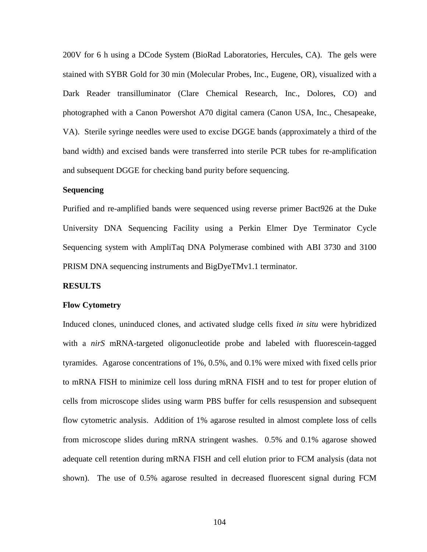200V for 6 h using a DCode System (BioRad Laboratories, Hercules, CA). The gels were stained with SYBR Gold for 30 min (Molecular Probes, Inc., Eugene, OR), visualized with a Dark Reader transilluminator (Clare Chemical Research, Inc., Dolores, CO) and photographed with a Canon Powershot A70 digital camera (Canon USA, Inc., Chesapeake, VA). Sterile syringe needles were used to excise DGGE bands (approximately a third of the band width) and excised bands were transferred into sterile PCR tubes for re-amplification and subsequent DGGE for checking band purity before sequencing.

# **Sequencing**

Purified and re-amplified bands were sequenced using reverse primer Bact926 at the Duke University DNA Sequencing Facility using a Perkin Elmer Dye Terminator Cycle Sequencing system with AmpliTaq DNA Polymerase combined with ABI 3730 and 3100 PRISM DNA sequencing instruments and BigDyeTMv1.1 terminator.

#### **RESULTS**

#### **Flow Cytometry**

Induced clones, uninduced clones, and activated sludge cells fixed *in situ* were hybridized with a *nirS* mRNA-targeted oligonucleotide probe and labeled with fluorescein-tagged tyramides. Agarose concentrations of 1%, 0.5%, and 0.1% were mixed with fixed cells prior to mRNA FISH to minimize cell loss during mRNA FISH and to test for proper elution of cells from microscope slides using warm PBS buffer for cells resuspension and subsequent flow cytometric analysis. Addition of 1% agarose resulted in almost complete loss of cells from microscope slides during mRNA stringent washes. 0.5% and 0.1% agarose showed adequate cell retention during mRNA FISH and cell elution prior to FCM analysis (data not shown). The use of 0.5% agarose resulted in decreased fluorescent signal during FCM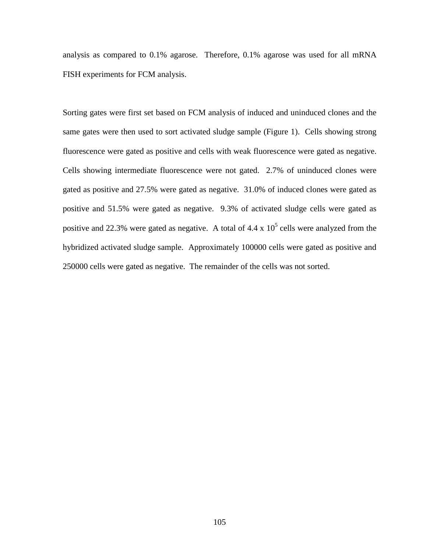analysis as compared to 0.1% agarose. Therefore, 0.1% agarose was used for all mRNA FISH experiments for FCM analysis.

Sorting gates were first set based on FCM analysis of induced and uninduced clones and the same gates were then used to sort activated sludge sample (Figure 1). Cells showing strong fluorescence were gated as positive and cells with weak fluorescence were gated as negative. Cells showing intermediate fluorescence were not gated. 2.7% of uninduced clones were gated as positive and 27.5% were gated as negative. 31.0% of induced clones were gated as positive and 51.5% were gated as negative. 9.3% of activated sludge cells were gated as positive and 22.3% were gated as negative. A total of 4.4 x  $10^5$  cells were analyzed from the hybridized activated sludge sample. Approximately 100000 cells were gated as positive and 250000 cells were gated as negative. The remainder of the cells was not sorted.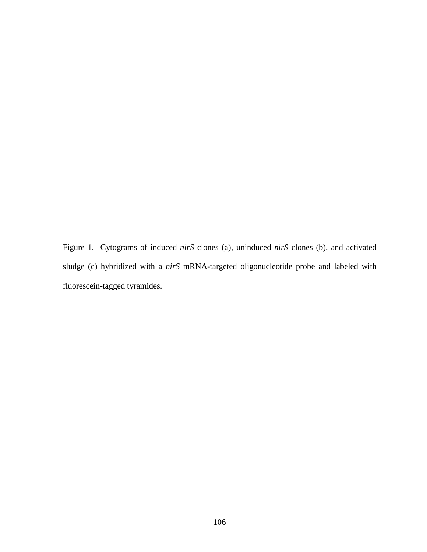Figure 1. Cytograms of induced *nirS* clones (a), uninduced *nirS* clones (b), and activated sludge (c) hybridized with a *nirS* mRNA-targeted oligonucleotide probe and labeled with fluorescein-tagged tyramides.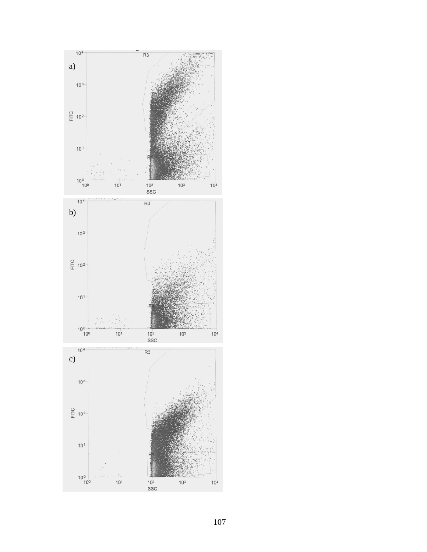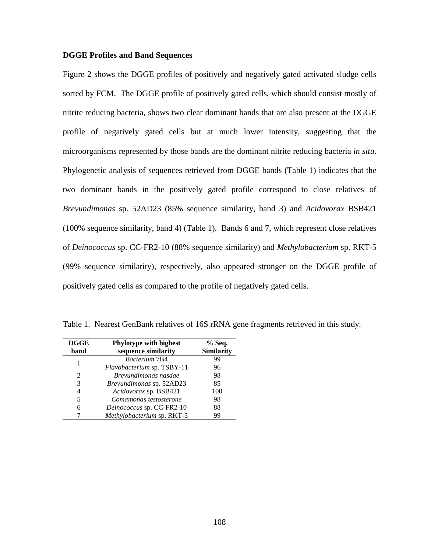# **DGGE Profiles and Band Sequences**

Figure 2 shows the DGGE profiles of positively and negatively gated activated sludge cells sorted by FCM. The DGGE profile of positively gated cells, which should consist mostly of nitrite reducing bacteria, shows two clear dominant bands that are also present at the DGGE profile of negatively gated cells but at much lower intensity, suggesting that the microorganisms represented by those bands are the dominant nitrite reducing bacteria *in situ*. Phylogenetic analysis of sequences retrieved from DGGE bands (Table 1) indicates that the two dominant bands in the positively gated profile correspond to close relatives of *Brevundimonas* sp. 52AD23 (85% sequence similarity, band 3) and *Acidovorax* BSB421 (100% sequence similarity, band 4) (Table 1). Bands 6 and 7, which represent close relatives of *Deinococcus* sp. CC-FR2-10 (88% sequence similarity) and *Methylobacterium* sp. RKT-5 (99% sequence similarity), respectively, also appeared stronger on the DGGE profile of positively gated cells as compared to the profile of negatively gated cells.

| <b>DGGE</b>    | Phylotype with highest     | % Seq.            |
|----------------|----------------------------|-------------------|
| band           | sequence similarity        | <b>Similarity</b> |
| 1              | <b>Bacterium 7B4</b>       | 99                |
|                | Flavobacterium sp. TSBY-11 | 96                |
| $\mathfrak{D}$ | Brevundimonas nasdae       | 98                |
| 3              | Brevundimonas sp. 52AD23   | 85                |
| 4              | Acidovorax sp. BSB421      | 100               |
| 5              | Comamonas testosterone     | 98                |
| 6              | Deinococcus sp. CC-FR2-10  | 88                |
|                | Methylobacterium sp. RKT-5 | 99                |

Table 1. Nearest GenBank relatives of 16S rRNA gene fragments retrieved in this study.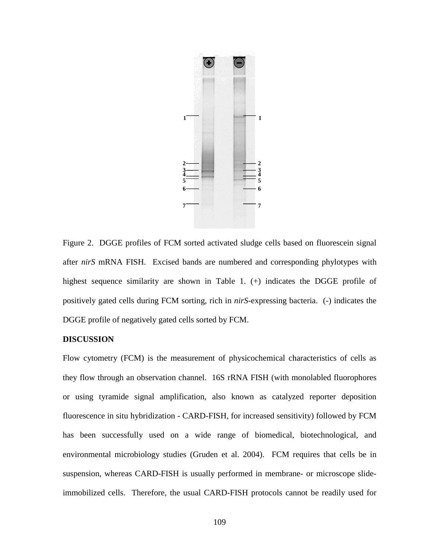

Figure 2. DGGE profiles of FCM sorted activated sludge cells based on fluorescein signal after *nirS* mRNA FISH. Excised bands are numbered and corresponding phylotypes with highest sequence similarity are shown in Table 1. (+) indicates the DGGE profile of positively gated cells during FCM sorting, rich in *nirS*-expressing bacteria. (-) indicates the DGGE profile of negatively gated cells sorted by FCM.

#### **DISCUSSION**

Flow cytometry (FCM) is the measurement of physicochemical characteristics of cells as they flow through an observation channel. 16S rRNA FISH (with monolabled fluorophores or using tyramide signal amplification, also known as catalyzed reporter deposition fluorescence in situ hybridization - CARD-FISH, for increased sensitivity) followed by FCM has been successfully used on a wide range of biomedical, biotechnological, and environmental microbiology studies (Gruden et al. 2004). FCM requires that cells be in suspension, whereas CARD-FISH is usually performed in membrane- or microscope slideimmobilized cells. Therefore, the usual CARD-FISH protocols cannot be readily used for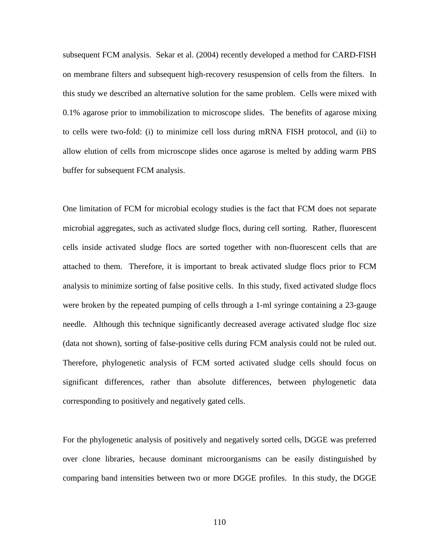subsequent FCM analysis. Sekar et al. (2004) recently developed a method for CARD-FISH on membrane filters and subsequent high-recovery resuspension of cells from the filters. In this study we described an alternative solution for the same problem. Cells were mixed with 0.1% agarose prior to immobilization to microscope slides. The benefits of agarose mixing to cells were two-fold: (i) to minimize cell loss during mRNA FISH protocol, and (ii) to allow elution of cells from microscope slides once agarose is melted by adding warm PBS buffer for subsequent FCM analysis.

One limitation of FCM for microbial ecology studies is the fact that FCM does not separate microbial aggregates, such as activated sludge flocs, during cell sorting. Rather, fluorescent cells inside activated sludge flocs are sorted together with non-fluorescent cells that are attached to them. Therefore, it is important to break activated sludge flocs prior to FCM analysis to minimize sorting of false positive cells. In this study, fixed activated sludge flocs were broken by the repeated pumping of cells through a 1-ml syringe containing a 23-gauge needle. Although this technique significantly decreased average activated sludge floc size (data not shown), sorting of false-positive cells during FCM analysis could not be ruled out. Therefore, phylogenetic analysis of FCM sorted activated sludge cells should focus on significant differences, rather than absolute differences, between phylogenetic data corresponding to positively and negatively gated cells.

For the phylogenetic analysis of positively and negatively sorted cells, DGGE was preferred over clone libraries, because dominant microorganisms can be easily distinguished by comparing band intensities between two or more DGGE profiles. In this study, the DGGE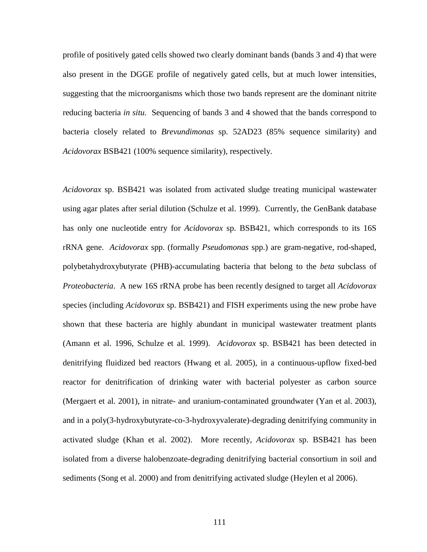profile of positively gated cells showed two clearly dominant bands (bands 3 and 4) that were also present in the DGGE profile of negatively gated cells, but at much lower intensities, suggesting that the microorganisms which those two bands represent are the dominant nitrite reducing bacteria *in situ.* Sequencing of bands 3 and 4 showed that the bands correspond to bacteria closely related to *Brevundimonas* sp. 52AD23 (85% sequence similarity) and *Acidovorax* BSB421 (100% sequence similarity), respectively.

*Acidovorax* sp. BSB421 was isolated from activated sludge treating municipal wastewater using agar plates after serial dilution (Schulze et al. 1999). Currently, the GenBank database has only one nucleotide entry for *Acidovorax* sp. BSB421, which corresponds to its 16S rRNA gene. *Acidovorax* spp. (formally *Pseudomonas* spp.) are gram-negative, rod-shaped, polybetahydroxybutyrate (PHB)-accumulating bacteria that belong to the *beta* subclass of *Proteobacteria*. A new 16S rRNA probe has been recently designed to target all *Acidovorax* species (including *Acidovorax* sp. BSB421) and FISH experiments using the new probe have shown that these bacteria are highly abundant in municipal wastewater treatment plants (Amann et al. 1996, Schulze et al. 1999). *Acidovorax* sp. BSB421 has been detected in denitrifying fluidized bed reactors (Hwang et al. 2005), in a continuous-upflow fixed-bed reactor for denitrification of drinking water with bacterial polyester as carbon source (Mergaert et al. 2001), in nitrate- and uranium-contaminated groundwater (Yan et al. 2003), and in a poly(3-hydroxybutyrate-co-3-hydroxyvalerate)-degrading denitrifying community in activated sludge (Khan et al. 2002). More recently, *Acidovorax* sp. BSB421 has been isolated from a diverse halobenzoate-degrading denitrifying bacterial consortium in soil and sediments (Song et al. 2000) and from denitrifying activated sludge (Heylen et al 2006).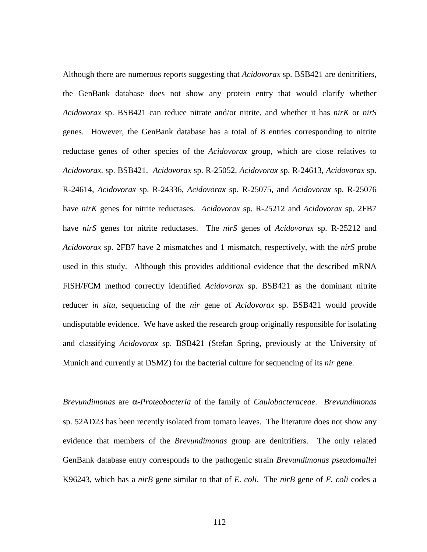Although there are numerous reports suggesting that *Acidovorax* sp. BSB421 are denitrifiers, the GenBank database does not show any protein entry that would clarify whether *Acidovorax* sp. BSB421 can reduce nitrate and/or nitrite, and whether it has *nirK* or *nirS* genes. However, the GenBank database has a total of 8 entries corresponding to nitrite reductase genes of other species of the *Acidovorax* group, which are close relatives to *Acidovorax.* sp. BSB421. *Acidovorax* sp. R-25052, *Acidovorax* sp. R-24613, *Acidovorax* sp. R-24614, *Acidovorax* sp. R-24336, *Acidovorax* sp. R-25075, and *Acidovorax* sp. R-25076 have *nirK* genes for nitrite reductases. *Acidovorax* sp. R-25212 and *Acidovorax* sp. 2FB7 have *nirS* genes for nitrite reductases. The *nirS* genes of *Acidovorax* sp. R-25212 and *Acidovorax* sp. 2FB7 have 2 mismatches and 1 mismatch, respectively, with the *nirS* probe used in this study. Although this provides additional evidence that the described mRNA FISH/FCM method correctly identified *Acidovorax* sp. BSB421 as the dominant nitrite reducer *in situ*, sequencing of the *nir* gene of *Acidovorax* sp. BSB421 would provide undisputable evidence. We have asked the research group originally responsible for isolating and classifying *Acidovorax* sp. BSB421 (Stefan Spring, previously at the University of Munich and currently at DSMZ) for the bacterial culture for sequencing of its *nir* gene.

*Brevundimonas* are α-*Proteobacteria* of the family of *Caulobacteraceae*. *Brevundimonas* sp. 52AD23 has been recently isolated from tomato leaves. The literature does not show any evidence that members of the *Brevundimonas* group are denitrifiers. The only related GenBank database entry corresponds to the pathogenic strain *Brevundimonas pseudomallei* K96243, which has a *nirB* gene similar to that of *E. coli*. The *nirB* gene of *E. coli* codes a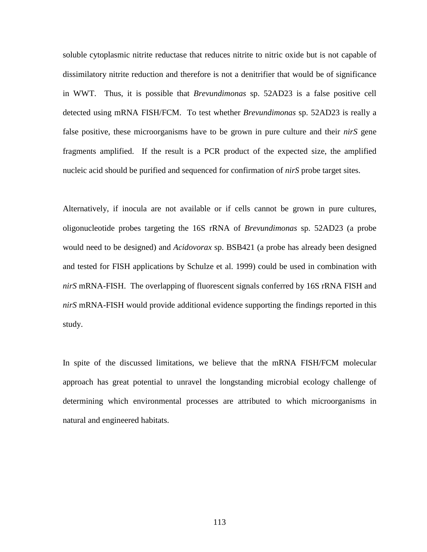soluble cytoplasmic nitrite reductase that reduces nitrite to nitric oxide but is not capable of dissimilatory nitrite reduction and therefore is not a denitrifier that would be of significance in WWT. Thus, it is possible that *Brevundimonas* sp. 52AD23 is a false positive cell detected using mRNA FISH/FCM. To test whether *Brevundimonas* sp. 52AD23 is really a false positive, these microorganisms have to be grown in pure culture and their *nirS* gene fragments amplified. If the result is a PCR product of the expected size, the amplified nucleic acid should be purified and sequenced for confirmation of *nirS* probe target sites.

Alternatively, if inocula are not available or if cells cannot be grown in pure cultures, oligonucleotide probes targeting the 16S rRNA of *Brevundimonas* sp. 52AD23 (a probe would need to be designed) and *Acidovorax* sp. BSB421 (a probe has already been designed and tested for FISH applications by Schulze et al. 1999) could be used in combination with *nirS* mRNA-FISH. The overlapping of fluorescent signals conferred by 16S rRNA FISH and *nirS* mRNA-FISH would provide additional evidence supporting the findings reported in this study.

In spite of the discussed limitations, we believe that the mRNA FISH/FCM molecular approach has great potential to unravel the longstanding microbial ecology challenge of determining which environmental processes are attributed to which microorganisms in natural and engineered habitats.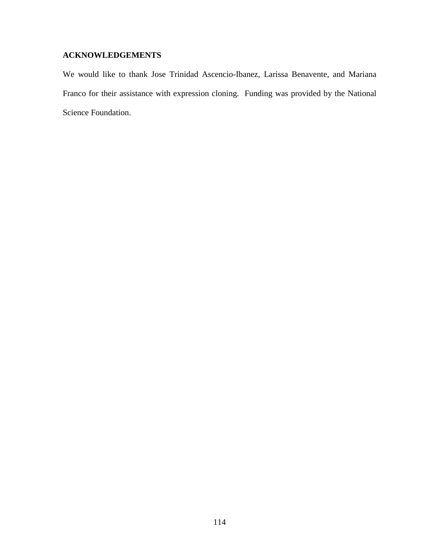# **ACKNOWLEDGEMENTS**

We would like to thank Jose Trinidad Ascencio-Ibanez, Larissa Benavente, and Mariana Franco for their assistance with expression cloning. Funding was provided by the National Science Foundation.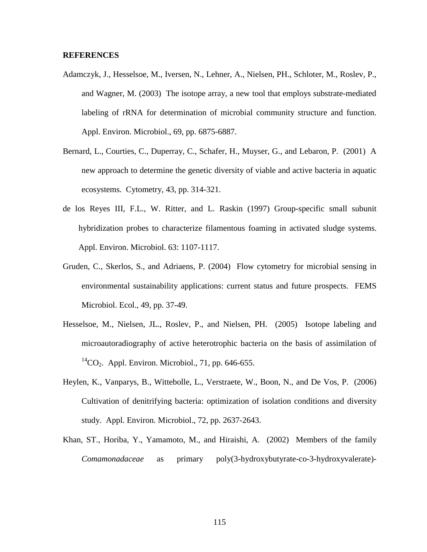# **REFERENCES**

- Adamczyk, J., Hesselsoe, M., Iversen, N., Lehner, A., Nielsen, PH., Schloter, M., Roslev, P., and Wagner, M. (2003) The isotope array, a new tool that employs substrate-mediated labeling of rRNA for determination of microbial community structure and function. Appl. Environ. Microbiol., 69, pp. 6875-6887.
- Bernard, L., Courties, C., Duperray, C., Schafer, H., Muyser, G., and Lebaron, P. (2001) A new approach to determine the genetic diversity of viable and active bacteria in aquatic ecosystems. Cytometry, 43, pp. 314-321.
- de los Reyes III, F.L., W. Ritter, and L. Raskin (1997) Group-specific small subunit hybridization probes to characterize filamentous foaming in activated sludge systems. Appl. Environ. Microbiol. 63: 1107-1117.
- Gruden, C., Skerlos, S., and Adriaens, P. (2004) Flow cytometry for microbial sensing in environmental sustainability applications: current status and future prospects. FEMS Microbiol. Ecol., 49, pp. 37-49.
- Hesselsoe, M., Nielsen, JL., Roslev, P., and Nielsen, PH. (2005) Isotope labeling and microautoradiography of active heterotrophic bacteria on the basis of assimilation of  ${}^{14}CO_2$ . Appl. Environ. Microbiol., 71, pp. 646-655.
- Heylen, K., Vanparys, B., Wittebolle, L., Verstraete, W., Boon, N., and De Vos, P. (2006) Cultivation of denitrifying bacteria: optimization of isolation conditions and diversity study. Appl. Environ. Microbiol., 72, pp. 2637-2643.
- Khan, ST., Horiba, Y., Yamamoto, M., and Hiraishi, A. (2002) Members of the family *Comamonadaceae* as primary poly(3-hydroxybutyrate-co-3-hydroxyvalerate)-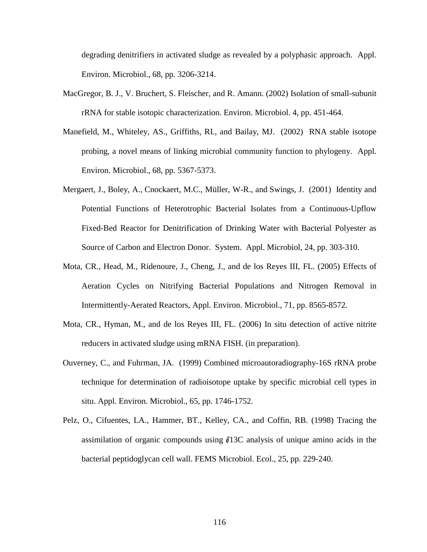degrading denitrifiers in activated sludge as revealed by a polyphasic approach. Appl. Environ. Microbiol., 68, pp. 3206-3214.

- MacGregor, B. J., V. Bruchert, S. Fleischer, and R. Amann. (2002) Isolation of small-subunit rRNA for stable isotopic characterization. Environ. Microbiol. 4, pp. 451-464.
- Manefield, M., Whiteley, AS., Griffiths, RI., and Bailay, MJ. (2002) RNA stable isotope probing, a novel means of linking microbial community function to phylogeny. Appl. Environ. Microbiol., 68, pp. 5367-5373.
- Mergaert, J., Boley, A., Cnockaert, M.C., Müller, W-R., and Swings, J. (2001) Identity and Potential Functions of Heterotrophic Bacterial Isolates from a Continuous-Upflow Fixed-Bed Reactor for Denitrification of Drinking Water with Bacterial Polyester as Source of Carbon and Electron Donor. System. Appl. Microbiol, 24, pp. 303-310.
- Mota, CR., Head, M., Ridenoure, J., Cheng, J., and de los Reyes III, FL. (2005) Effects of Aeration Cycles on Nitrifying Bacterial Populations and Nitrogen Removal in Intermittently-Aerated Reactors, Appl. Environ. Microbiol., 71, pp. 8565-8572.
- Mota, CR., Hyman, M., and de los Reyes III, FL. (2006) In situ detection of active nitrite reducers in activated sludge using mRNA FISH. (in preparation).
- Ouverney, C., and Fuhrman, JA. (1999) Combined microautoradiography-16S rRNA probe technique for determination of radioisotope uptake by specific microbial cell types in situ. Appl. Environ. Microbiol., 65, pp. 1746-1752.
- Pelz, O., Cifuentes, LA., Hammer, BT., Kelley, CA., and Coffin, RB. (1998) Tracing the assimilation of organic compounds using  $\delta$ 13C analysis of unique amino acids in the bacterial peptidoglycan cell wall. FEMS Microbiol. Ecol., 25, pp. 229-240.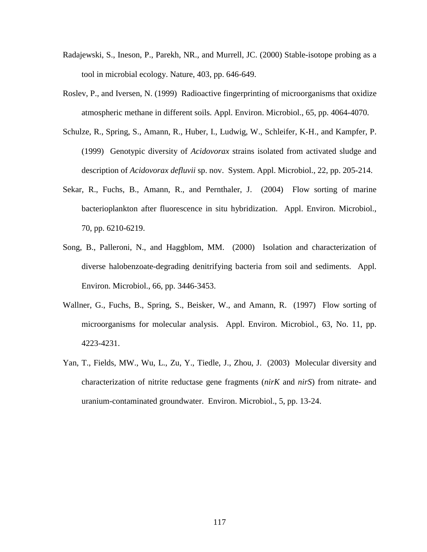- Radajewski, S., Ineson, P., Parekh, NR., and Murrell, JC. (2000) Stable-isotope probing as a tool in microbial ecology. Nature, 403, pp. 646-649.
- Roslev, P., and Iversen, N. (1999) Radioactive fingerprinting of microorganisms that oxidize atmospheric methane in different soils. Appl. Environ. Microbiol., 65, pp. 4064-4070.
- Schulze, R., Spring, S., Amann, R., Huber, I., Ludwig, W., Schleifer, K-H., and Kampfer, P. (1999) Genotypic diversity of *Acidovorax* strains isolated from activated sludge and description of *Acidovorax defluvii* sp. nov. System. Appl. Microbiol., 22, pp. 205-214.
- Sekar, R., Fuchs, B., Amann, R., and Pernthaler, J. (2004) Flow sorting of marine bacterioplankton after fluorescence in situ hybridization. Appl. Environ. Microbiol., 70, pp. 6210-6219.
- Song, B., Palleroni, N., and Haggblom, MM. (2000) Isolation and characterization of diverse halobenzoate-degrading denitrifying bacteria from soil and sediments. Appl. Environ. Microbiol., 66, pp. 3446-3453.
- Wallner, G., Fuchs, B., Spring, S., Beisker, W., and Amann, R. (1997) Flow sorting of microorganisms for molecular analysis. Appl. Environ. Microbiol., 63, No. 11, pp. 4223-4231.
- Yan, T., Fields, MW., Wu, L., Zu, Y., Tiedle, J., Zhou, J. (2003) Molecular diversity and characterization of nitrite reductase gene fragments (*nirK* and *nirS*) from nitrate- and uranium-contaminated groundwater. Environ. Microbiol., 5, pp. 13-24.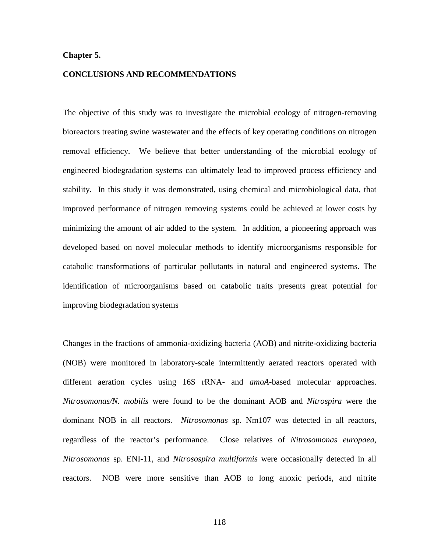# **Chapter 5.**

#### **CONCLUSIONS AND RECOMMENDATIONS**

The objective of this study was to investigate the microbial ecology of nitrogen-removing bioreactors treating swine wastewater and the effects of key operating conditions on nitrogen removal efficiency. We believe that better understanding of the microbial ecology of engineered biodegradation systems can ultimately lead to improved process efficiency and stability. In this study it was demonstrated, using chemical and microbiological data, that improved performance of nitrogen removing systems could be achieved at lower costs by minimizing the amount of air added to the system. In addition, a pioneering approach was developed based on novel molecular methods to identify microorganisms responsible for catabolic transformations of particular pollutants in natural and engineered systems. The identification of microorganisms based on catabolic traits presents great potential for improving biodegradation systems

Changes in the fractions of ammonia-oxidizing bacteria (AOB) and nitrite-oxidizing bacteria (NOB) were monitored in laboratory-scale intermittently aerated reactors operated with different aeration cycles using 16S rRNA- and *amoA*-based molecular approaches. *Nitrosomonas/N. mobilis* were found to be the dominant AOB and *Nitrospira* were the dominant NOB in all reactors. *Nitrosomonas* sp. Nm107 was detected in all reactors, regardless of the reactor's performance. Close relatives of *Nitrosomonas europaea, Nitrosomonas* sp. ENI-11, and *Nitrosospira multiformis* were occasionally detected in all reactors. NOB were more sensitive than AOB to long anoxic periods, and nitrite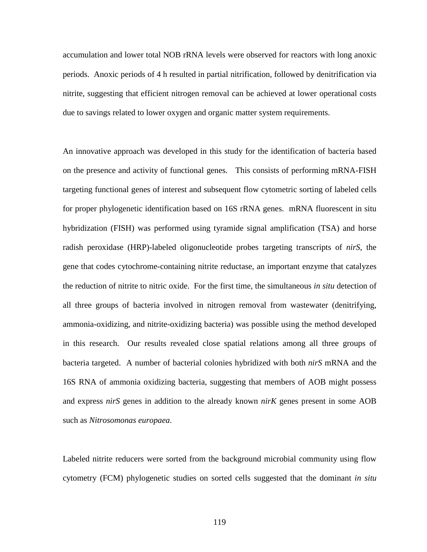accumulation and lower total NOB rRNA levels were observed for reactors with long anoxic periods. Anoxic periods of 4 h resulted in partial nitrification, followed by denitrification via nitrite, suggesting that efficient nitrogen removal can be achieved at lower operational costs due to savings related to lower oxygen and organic matter system requirements.

An innovative approach was developed in this study for the identification of bacteria based on the presence and activity of functional genes. This consists of performing mRNA-FISH targeting functional genes of interest and subsequent flow cytometric sorting of labeled cells for proper phylogenetic identification based on 16S rRNA genes. mRNA fluorescent in situ hybridization (FISH) was performed using tyramide signal amplification (TSA) and horse radish peroxidase (HRP)-labeled oligonucleotide probes targeting transcripts of *nirS*, the gene that codes cytochrome-containing nitrite reductase, an important enzyme that catalyzes the reduction of nitrite to nitric oxide. For the first time, the simultaneous *in situ* detection of all three groups of bacteria involved in nitrogen removal from wastewater (denitrifying, ammonia-oxidizing, and nitrite-oxidizing bacteria) was possible using the method developed in this research. Our results revealed close spatial relations among all three groups of bacteria targeted. A number of bacterial colonies hybridized with both *nirS* mRNA and the 16S RNA of ammonia oxidizing bacteria, suggesting that members of AOB might possess and express *nirS* genes in addition to the already known *nirK* genes present in some AOB such as *Nitrosomonas europaea*.

Labeled nitrite reducers were sorted from the background microbial community using flow cytometry (FCM) phylogenetic studies on sorted cells suggested that the dominant *in situ*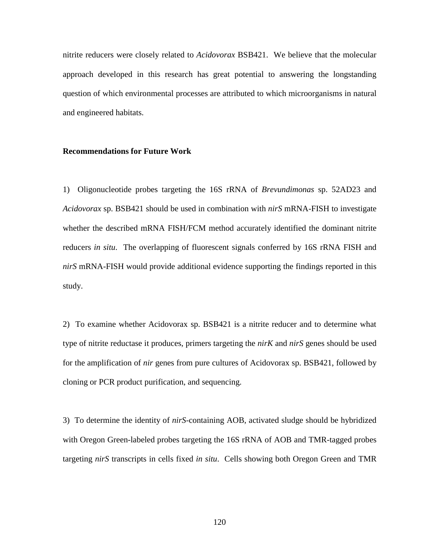nitrite reducers were closely related to *Acidovorax* BSB421. We believe that the molecular approach developed in this research has great potential to answering the longstanding question of which environmental processes are attributed to which microorganisms in natural and engineered habitats.

# **Recommendations for Future Work**

1) Oligonucleotide probes targeting the 16S rRNA of *Brevundimonas* sp. 52AD23 and *Acidovorax* sp. BSB421 should be used in combination with *nirS* mRNA-FISH to investigate whether the described mRNA FISH/FCM method accurately identified the dominant nitrite reducers *in situ*. The overlapping of fluorescent signals conferred by 16S rRNA FISH and *nirS* mRNA-FISH would provide additional evidence supporting the findings reported in this study.

2) To examine whether Acidovorax sp. BSB421 is a nitrite reducer and to determine what type of nitrite reductase it produces, primers targeting the *nirK* and *nirS* genes should be used for the amplification of *nir* genes from pure cultures of Acidovorax sp. BSB421, followed by cloning or PCR product purification, and sequencing.

3) To determine the identity of *nirS*-containing AOB, activated sludge should be hybridized with Oregon Green-labeled probes targeting the 16S rRNA of AOB and TMR-tagged probes targeting *nirS* transcripts in cells fixed *in situ*. Cells showing both Oregon Green and TMR